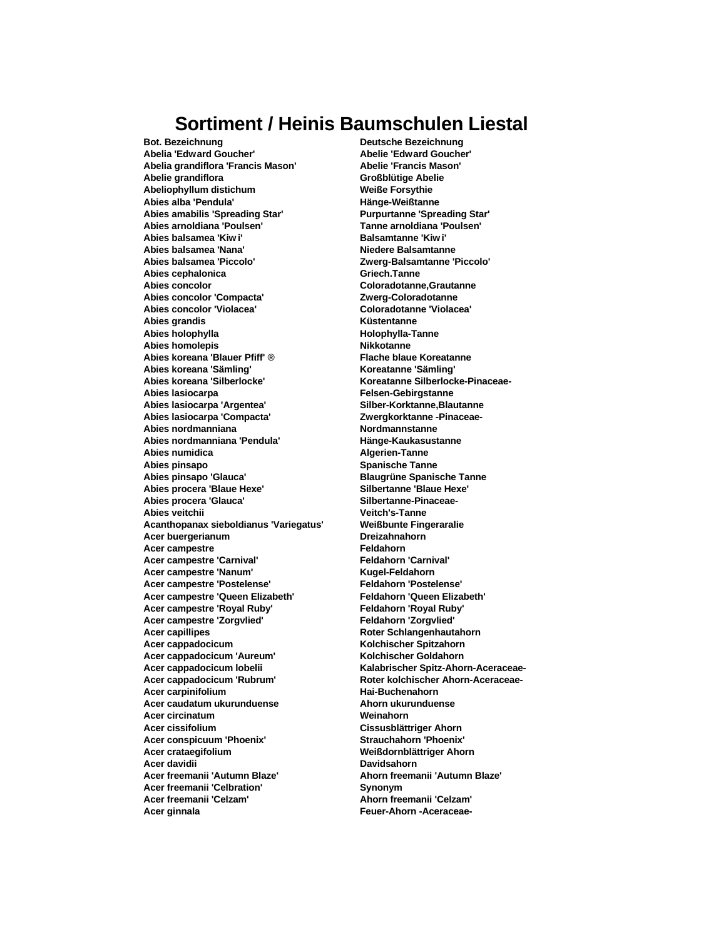## **Sortiment / Heinis Baumschulen Liestal**

**Bot. Bezeichnung Deutsche Bezeichnung Abelia 'Edward Goucher' Abelie 'Edward Goucher' Abelia grandiflora 'Francis Mason' Abelie 'Francis Mason' Abelie grandiflora Großblütige Abelie Abeliophyllum distichum Weiße Forsythie Abies alba 'Pendula' Hänge-Weißtanne Abies amabilis 'Spreading Star' Purpurtanne 'Spreading Star' Abies arnoldiana 'Poulsen' Tanne arnoldiana 'Poulsen'** Abies balsamea 'Kiw i' **Balsamtanne 'Kiw i' Abies balsamea 'Nana' Niedere Balsamtanne Abies balsamea 'Piccolo' Zwerg-Balsamtanne 'Piccolo'** Abies cephalonica **Griech.Tanne Abies concolor Coloradotanne,Grautanne** Abies concolor 'Compacta' **Zwerg-Coloradotanne Abies concolor 'Violacea' Coloradotanne 'Violacea' Abies grandis Küstentanne Abies holophylla Abies homolepis Nikkotanne Abies koreana 'Blauer Pfiff' ® Flache blaue Koreatanne Abies koreana 'Sämling' Koreatanne 'Sämling' Abies koreana 'Silberlocke' Koreatanne Silberlocke-Pinaceae-Abies lasiocarpa Felsen-Gebirgstanne Abies lasiocarpa 'Argentea'** Abies lasiocarpa 'Compacta' *Zwergkorktanne -Pinaceae-***Abies nordmanniana Nordmannstanne Abies nordmanniana 'Pendula' Hänge-Kaukasustanne Abies numidica Algerien-Tanne Abies pinsapo Spanische Tanne Abies pinsapo 'Glauca' Blaugrüne Spanische Tanne Abies procera 'Blaue Hexe'** Abies procera 'Glauca' **Silbertanne-Pinaceae-Abies veitchii Veitch's-Tanne Acanthopanax sieboldianus 'Variegatus' Weißbunte Fingeraralie Acer buergerianum Dreizahnahorn Acer campestre Feldahorn Acer campestre 'Carnival' Feldahorn 'Carnival'** Acer campestre 'Nanum' **Kugel-Feldahorn Acer campestre 'Postelense' Feldahorn 'Postelense' Acer campestre 'Queen Elizabeth' Acer campestre 'Royal Ruby' Feldahorn 'Royal Ruby' Acer campestre 'Zorgvlied' Feldahorn 'Zorgvlied'** Acer capillipes **Roter Schlangenhautahorn Acer cappadocicum Kolchischer Spitzahorn Acer cappadocicum 'Aureum' Kolchischer Goldahorn Acer cappadocicum lobelii Kalabrischer Spitz-Ahorn-Aceraceae-**Acer cappadocicum 'Rubrum' Referred Roter kolchischer Ahorn-Aceraceae-**Acer carpinifolium Hai-Buchenahorn Acer caudatum ukurunduense Ahorn ukurunduense Acer circinatum Weinahorn Acer cissifolium Cissusblättriger Ahorn Acer conspicuum 'Phoenix' Strauchahorn 'Phoenix' Acer crataegifolium Weißdornblättriger Ahorn Acer davidii Davidsahorn Acer freemanii 'Autumn Blaze' Ahorn freemanii 'Autumn Blaze'** Acer freemanii 'Celbration' **Synonym Acer freemanii 'Celzam' Ahorn freemanii 'Celzam' Acer ginnala Feuer-Ahorn -Aceraceae-**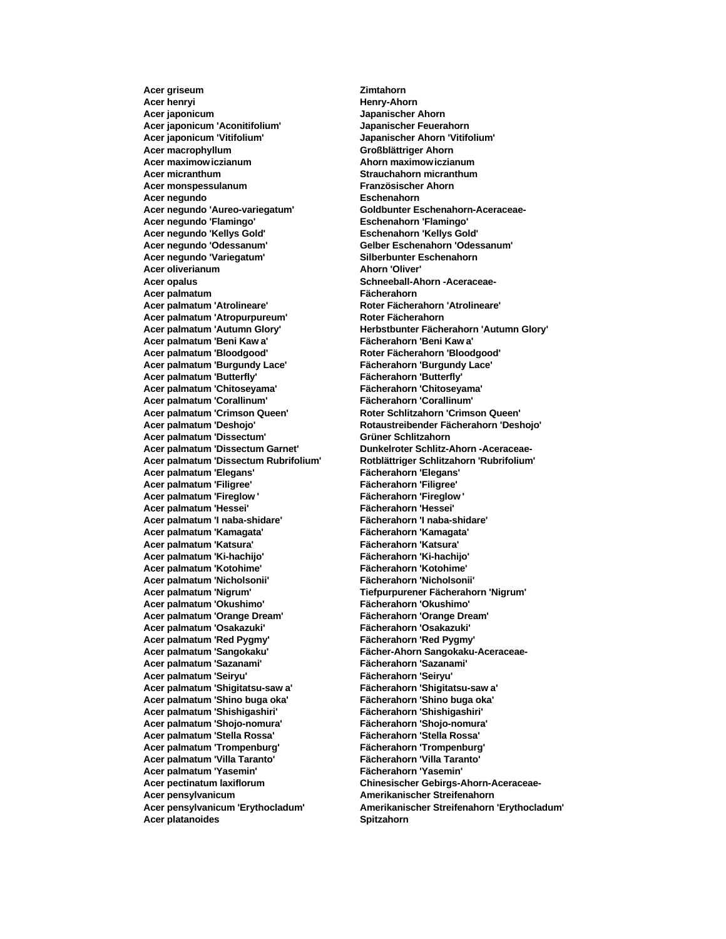**Acer griseum Zimtahorn Acer henryi Henry-Ahorn Acer japonicum Japanischer Ahorn Acer japonicum 'Aconitifolium' Japanischer Feuerahorn Acer japonicum 'Vitifolium' Japanischer Ahorn 'Vitifolium' Acer macrophyllum Großblättriger Ahorn Acer maximowiczianum Ahorn maximowiczianum Acer micranthum Strauchahorn micranthum Acer monspessulanum Französischer Ahorn Acer negundo Eschenahorn Acer negundo 'Aureo-variegatum' Goldbunter Eschenahorn-Aceraceae-Acer negundo 'Flamingo' Eschenahorn 'Flamingo' Acer negundo 'Kellys Gold' Eschenahorn 'Kellys Gold' Acer negundo 'Odessanum' Gelber Eschenahorn 'Odessanum' Acer negundo 'Variegatum' Acer oliverianum Ahorn 'Oliver' Acer opalus Schneeball-Ahorn -Aceraceae-Acer palmatum Fächerahorn Acer palmatum 'Atrolineare' Roter Fächerahorn 'Atrolineare' Acer palmatum 'Atropurpureum' Roter Fächerahorn Acer palmatum 'Beni Kaw a' Fächerahorn 'Beni Kaw a' Acer palmatum 'Bloodgood' Roter Fächerahorn 'Bloodgood' Acer palmatum 'Burgundy Lace' Fächerahorn 'Burgundy Lace' Acer palmatum 'Butterfly' Fächerahorn 'Butterfly' Acer palmatum 'Chitoseyama' Fächerahorn 'Chitoseyama' Acer palmatum 'Corallinum' Fächerahorn 'Corallinum' Acer palmatum 'Crimson Queen' Roter Schlitzahorn 'Crimson Queen' Acer palmatum 'Dissectum' Grüner Schlitzahorn Acer palmatum 'Dissectum Rubrifolium' Rotblättriger Schlitzahorn 'Rubrifolium' Acer palmatum 'Elegans' Fächerahorn 'Elegans' Acer palmatum 'Filigree' Acer palmatum 'Fireglow ' Fächerahorn 'Fireglow ' Acer palmatum 'Hessei' Fächerahorn 'Hessei' Acer palmatum 'I naba-shidare' Fächerahorn 'I naba-shidare' Acer palmatum 'Kamagata' Fächerahorn 'Kamagata' Acer palmatum 'Katsura' Fächerahorn 'Katsura' Acer palmatum 'Ki-hachijo' Fächerahorn 'Ki-hachijo' Acer palmatum 'Kotohime' Fächerahorn 'Kotohime' Acer palmatum 'Nicholsonii' Fächerahorn 'Nicholsonii' Acer palmatum 'Nigrum' Tiefpurpurener Fächerahorn 'Nigrum' Acer palmatum 'Okushimo' Fächerahorn 'Okushimo' Acer palmatum 'Orange Dream' Fächerahorn 'Orange Dream' Acer palmatum 'Osakazuki' Fächerahorn 'Osakazuki' Acer palmatum 'Red Pygmy' Fächerahorn 'Red Pygmy' Acer palmatum 'Sazanami' Fächerahorn 'Sazanami' Acer palmatum 'Seiryu' Fächerahorn 'Seiryu' Acer palmatum 'Shigitatsu-saw a' Fächerahorn 'Shigitatsu-saw a' Acer palmatum 'Shino buga oka' Fächerahorn 'Shino buga oka' Acer palmatum 'Shishigashiri' Fächerahorn 'Shishigashiri' Acer palmatum 'Shojo-nomura' Fächerahorn 'Shojo-nomura' Acer palmatum 'Stella Rossa' Fächerahorn 'Stella Rossa' Acer palmatum 'Trompenburg' Fächerahorn 'Trompenburg' Acer palmatum 'Villa Taranto' Fächerahorn 'Villa Taranto' Acer palmatum 'Yasemin' Fächerahorn 'Yasemin' Acer pensylvanicum Amerikanischer Streifenahorn Acer platanoides Spitzahorn**

**Acer palmatum 'Autumn Glory' Herbstbunter Fächerahorn 'Autumn Glory' Acer palmatum 'Deshojo' Rotaustreibender Fächerahorn 'Deshojo' Dunkelroter Schlitz-Ahorn -Aceraceae-Acer palmatum 'Sangokaku' Fächer-Ahorn Sangokaku-Aceraceae-Acer pectinatum laxiflorum Chinesischer Gebirgs-Ahorn-Aceraceae-Acer pensylvanicum 'Erythocladum' Amerikanischer Streifenahorn 'Erythocladum'**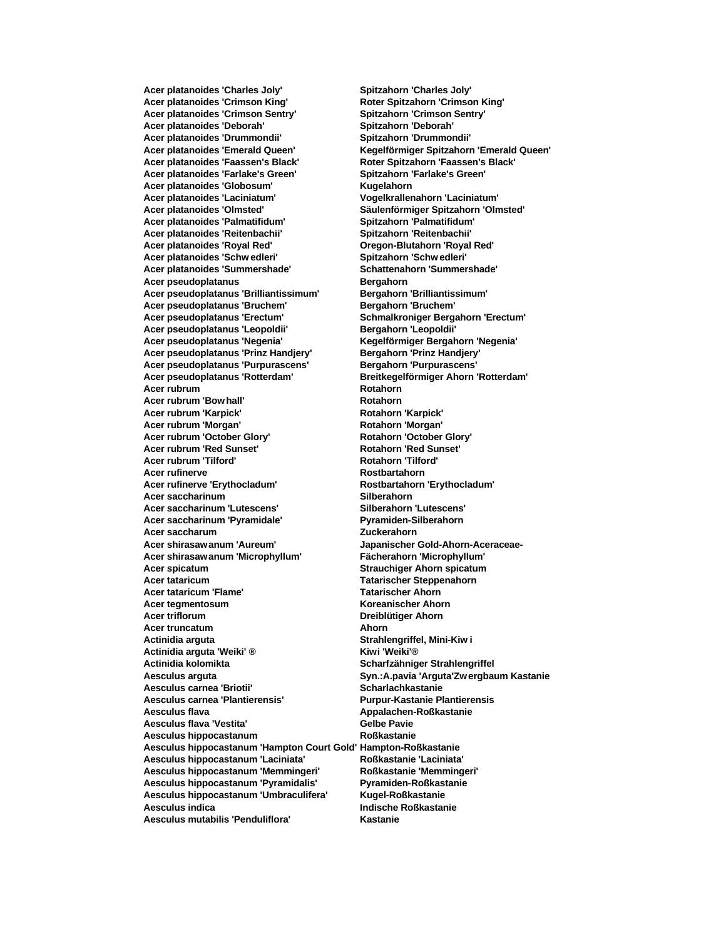**Acer platanoides 'Crimson King' Roter Spitzahorn 'Crimson King' Acer platanoides 'Crimson Sentry' Spitzahorn 'Crimson Sentry' Acer platanoides 'Deborah' Spitzahorn 'Deborah' Acer platanoides 'Drummondii' Spitzahorn 'Drummondii' Acer platanoides 'Faassen's Black' Roter Spitzahorn 'Faassen's Black' Acer platanoides 'Farlake's Green' Spitzahorn 'Farlake's Green' Acer platanoides 'Globosum' Kugelahorn Acer platanoides 'Laciniatum' Vogelkrallenahorn 'Laciniatum' Acer platanoides 'Olmsted' Säulenförmiger Spitzahorn 'Olmsted' Acer platanoides 'Palmatifidum' Spitzahorn 'Palmatifidum' Acer platanoides 'Reitenbachii' Spitzahorn 'Reitenbachii' Acer platanoides 'Royal Red' Oregon-Blutahorn 'Royal Red' Acer platanoides 'Schw edleri' Spitzahorn 'Schw edleri' Acer platanoides 'Summershade' Schattenahorn 'Summershade' Acer pseudoplatanus Bergahorn Acer pseudoplatanus 'Brilliantissimum' Bergahorn 'Brilliantissimum'** Acer pseudoplatanus 'Bruchem' **Bergahorn 'Bruchem' Acer pseudoplatanus 'Erectum' Schmalkroniger Bergahorn 'Erectum' Acer pseudoplatanus 'Leopoldii' Bergahorn 'Leopoldii' Acer pseudoplatanus 'Negenia' Kegelförmiger Bergahorn 'Negenia' Acer pseudoplatanus 'Prinz Handjery' Bergahorn 'Prinz Handjery' Acer pseudoplatanus 'Purpurascens' Bergahorn 'Purpurascens' Acer pseudoplatanus 'Rotterdam' Breitkegelförmiger Ahorn 'Rotterdam'** Acer rubrum **Rotahorn Rotahorn** Acer rubrum 'Bow hall' Rotahorn **Acer rubrum 'Karpick' Rotahorn 'Karpick' Acer rubrum 'Morgan' Rotahorn 'Morgan' Acer rubrum 'October Glory' Rotahorn 'October Glory' Rotahorn 'October Glory'**<br> **Rotahorn 'Red Sunset' Rotahorn 'Red Sunset' Acer rubrum 'Red Sunset'** Acer rubrum 'Tilford' **Rotahorn** 'Tilford' **Acer rufinerve Rostbartahorn Acer rufinerve 'Erythocladum' Rostbartahorn 'Erythocladum' Acer saccharinum Silberahorn Acer saccharinum 'Lutescens' Silberahorn 'Lutescens'** Acer saccharinum 'Pyramidale' Pyramiden-Silberahorn **Acer saccharum Zuckerahorn Acer shirasawanum 'Aureum' Japanischer Gold-Ahorn-Aceraceae-Acer shirasawanum 'Microphyllum' Fächerahorn 'Microphyllum' Acer spicatum Strauchiger Ahorn spicatum Acer tataricum Tatarischer Steppenahorn Acer tataricum 'Flame' Tatarischer Ahorn Acer tegmentosum Koreanischer Ahorn Acer triflorum Dreiblütiger Ahorn Acer truncatum Ahorn Actinidia arguta Strahlengriffel, Mini-Kiw i Actinidia arguta 'Weiki' ® Kiwi 'Weiki'® Actinidia kolomikta Scharfzähniger Strahlengriffel Aesculus arguta Syn.:A.pavia 'Arguta'Zw ergbaum Kastanie** Aesculus carnea 'Briotii' **Network and Scharlachkastanie Aesculus carnea 'Plantierensis' Purpur-Kastanie Plantierensis Aesculus flava Appalachen-Roßkastanie** Aesculus flava 'Vestita' **Gelbe Pavie Gelbe Pavie Aesculus hippocastanum Roßkastanie Aesculus hippocastanum 'Hampton Court Gold' Hampton-Roßkastanie Aesculus hippocastanum 'Laciniata' Roßkastanie 'Laciniata' Aesculus hippocastanum 'Memmingeri' Roßkastanie 'Memmingeri' Aesculus hippocastanum 'Pyramidalis' Pyramiden-Roßkastanie Aesculus hippocastanum 'Umbraculifera' Kugel-Roßkastanie Aesculus indica Indische Roßkastanie Aesculus mutabilis 'Penduliflora' Kastanie**

**Acer platanoides 'Charles Joly' Spitzahorn 'Charles Joly' Acer platanoides 'Emerald Queen' Kegelförmiger Spitzahorn 'Emerald Queen'**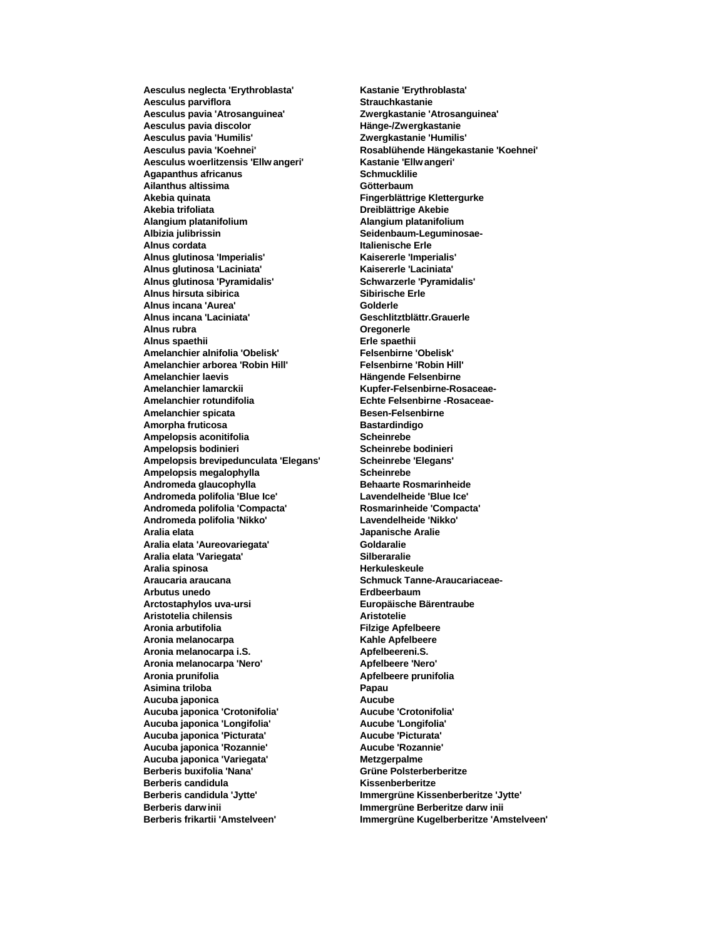Aesculus parviflora **by a strauch as a strauchkastanie Aesculus pavia 'Atrosanguinea' Zwergkastanie 'Atrosanguinea' Aesculus pavia discolor Hänge-/Zwergkastanie Aesculus pavia 'Humilis' Zwergkastanie 'Humilis' Aesculus woerlitzensis 'Ellw angeri' Kastanie 'Ellw angeri' Agapanthus africanus Schmucklilie Ailanthus altissima Götterbaum Akebia quinata Fingerblättrige Klettergurke Akebia trifoliata Dreiblättrige Akebie Alangium platanifolium Alangium platanifolium Alnus cordata Italienische Erle Alnus glutinosa 'Imperialis' Kaisererle 'Imperialis' Alnus glutinosa 'Laciniata' Kaisererle 'Laciniata' Alnus glutinosa 'Pyramidalis' Schwarzerle 'Pyramidalis' Alnus hirsuta sibirica Sibirische Erle Alnus incana 'Aurea' Golderle Alnus incana 'Laciniata' Geschlitztblättr.Grauerle Alnus rubra Oregonerle Alnus spaethii Erle spaethii Amelanchier alnifolia 'Obelisk' Felsenbirne 'Obelisk' Amelanchier arborea 'Robin Hill' Felsenbirne 'Robin Hill' Amelanchier laevis Hängende Felsenbirne Amelanchier lamarckii Kupfer-Felsenbirne-Rosaceae-**Amelanchier rotundifolia **beider and Echte Felsenbirne -Rosaceae-**Amelanchier spicata **Besen-Felsenbirne** Amorpha fruticosa **Bastardindigo Ampelopsis aconitifolia Scheinrebe**<br> **Ampelopsis bodinieri Scheinrebe** bodinieri **Ampelopsis bodinieri Scheinrebe bodinieri Ampelopsis brevipedunculata 'Elegans' Scheinrebe 'Elegans'** Ampelopsis megalophylla **Scheinrebe Andromeda glaucophylla Behaarte Rosmarinheide Andromeda polifolia 'Blue Ice' Lavendelheide 'Blue Ice' Andromeda polifolia 'Compacta' Rosmarinheide 'Compacta' Andromeda polifolia 'Nikko' Lavendelheide 'Nikko' Aralia elata Japanische Aralie Aralia elata 'Aureovariegata' Goldaralie Aralia elata 'Variegata' Silberaralie Aralia spinosa Araucaria araucana Schmuck Tanne-Araucariaceae-Arbutus unedo Erdbeerbaum Arctostaphylos uva-ursi Europäische Bärentraube Aristotelia chilensis Aristotelie Aronia arbutifolia Filzige Apfelbeere Aronia melanocarpa Kahle Apfelbeere Aronia melanocarpa i.S. Apfelbeereni.S. Aronia melanocarpa 'Nero' Apfelbeere 'Nero' Aronia prunifolia Apfelbeere prunifolia Asimina triloba Papau Aucuba japonica Aucube Aucuba japonica 'Crotonifolia' Aucube 'Crotonifolia' Aucuba japonica 'Longifolia' Aucube 'Longifolia' Aucuba japonica 'Picturata' Aucube 'Picturata' Aucuba japonica 'Rozannie' Aucube 'Rozannie' Aucuba japonica 'Variegata' Metzgerpalme Berberis buxifolia 'Nana' Grüne Polsterberberitze Berberis candidula Kissenberberitze Berberis candidula 'Jytte' Immergrüne Kissenberberitze 'Jytte' Berberis darw inii Immergrüne Berberitze darw inii Berberis frikartii 'Amstelveen' Immergrüne Kugelberberitze 'Amstelveen'**

**Aesculus neglecta 'Erythroblasta' Kastanie 'Erythroblasta' Aesculus pavia 'Koehnei' Rosablühende Hängekastanie 'Koehnei' Albizia julibrissin Seidenbaum-Leguminosae-**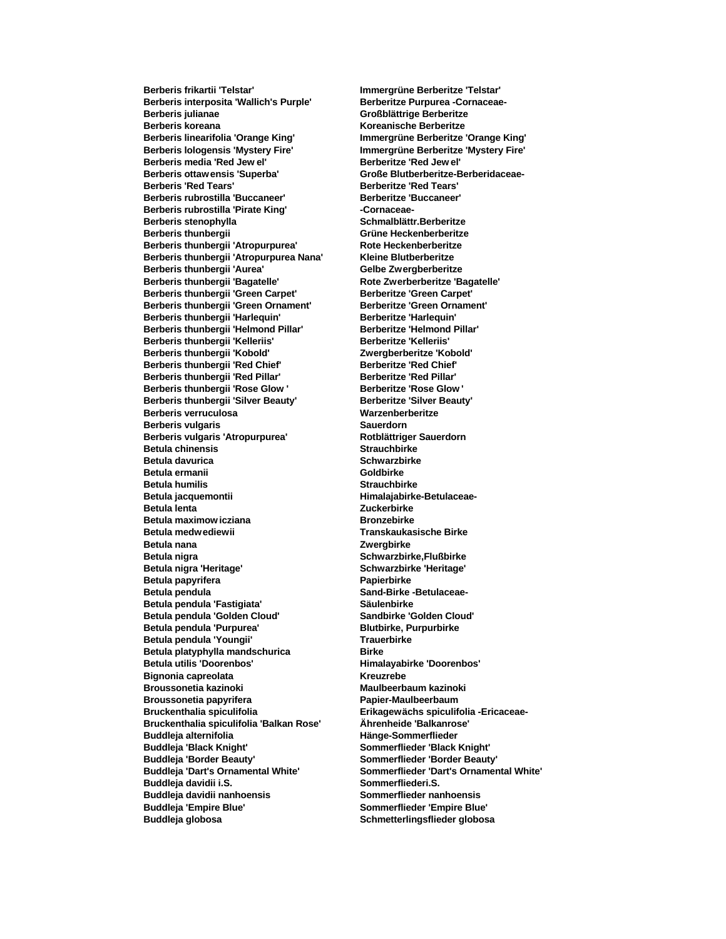**Berberis interposita 'Wallich's Purple' Berberitze Purpurea -Cornaceae-Berberis koreana Koreanische Berberitze Berberis linearifolia 'Orange King' Immergrüne Berberitze 'Orange King' Berberis media 'Red Jew el' Berberitze 'Red Jew el' Berberis ottaw ensis 'Superba' Große Blutberberitze-Berberidaceae-Berberis 'Red Tears' Berberitze 'Red Tears' Berberis rubrostilla 'Buccaneer' Berberitze 'Buccaneer'** Berberis rubrostilla 'Pirate King' **cornaceae-Berberis stenophylla Schmalblättr.Berberitze Berberis thunbergii Grüne Heckenberberitze Berberis thunbergii 'Atropurpurea'** Rote Heckenberberitze<br> **Refact Berberis thunbergii 'Atropurpurea Nana'** Kleine Blutberberitze **Berberis thunbergii 'Atropurpurea Nana' Berberis thunbergii 'Aurea' Gelbe Zwergberberitze Berberis thunbergii 'Bagatelle' Rote Zwerberberitze 'Bagatelle' Berberis thunbergii 'Green Carpet' Berberitze 'Green Carpet' Berberis thunbergii 'Green Ornament' Berberitze 'Green Ornament' Berberis thunbergii 'Harlequin' Berberitze 'Harlequin' Berberis thunbergii 'Helmond Pillar' Berberitze 'Helmond Pillar' Berberis thunbergii 'Kelleriis' Berberitze 'Kelleriis' Berberis thunbergii 'Kobold' Zwergberberitze 'Kobold' Berberis thunbergii 'Red Chief' Berberitze 'Red Chief' Berberis thunbergii 'Red Pillar' Berberitze 'Red Pillar' Berberis thunbergii 'Rose Glow ' Berberitze 'Rose Glow ' Berberis thunbergii 'Silver Beauty' Berberitze 'Silver Beauty' Berberis verruculosa Warzenberberitze Berberis vulgaris Sauerdorn Berberis vulgaris 'Atropurpurea' Rotblättriger**<br> **Rotblättriger** Strauchbirke **Betula chinensis Betula davurica Schwarzbirke Betula ermanii Goldbirke Betula humilis Strauchbirke** Betula jacquemontii **Michael Alexander Himalajabirke-Betulaceae-Betula lenta Zuckerbirke Betula maximow icziana Bronzebirke Betula medwediewii Transkaukasische Birke Betula nana Zwergbirke Betula nigra Schwarzbirke,Flußbirke Betula nigra 'Heritage' Schwarzbirke 'Heritage' Betula papyrifera Papierbirke Betula pendula Sand-Birke -Betulaceae-Betula pendula 'Fastigiata' Säulenbirke Betula pendula 'Golden Cloud' Sandbirke 'Golden Cloud' Betula pendula 'Purpurea' Blutbirke, Purpurbirke Betula pendula 'Youngii' Trauerbirke Betula platyphylla mandschurica Birke Betula utilis 'Doorenbos' Himalayabirke 'Doorenbos' Bignonia capreolata Kreuzrebe Broussonetia kazinoki Maulbeerbaum kazinoki Broussonetia papyrifera Papier-Maulbeerbaum Bruckenthalia spiculifolia Erikagewächs spiculifolia -Ericaceae-Bruckenthalia spiculifolia 'Balkan Rose' Ährenheide 'Balkanrose' Buddleja alternifolia Hänge-Sommerflieder Buddleja 'Black Knight' Sommerflieder 'Black Knight' Buddleja 'Border Beauty' Sommerflieder 'Border Beauty' Buddleja 'Dart's Ornamental White' Sommerflieder 'Dart's Ornamental White' Buddleja davidii i.S. Sommerfliederi.S. Buddleja davidii nanhoensis Sommerflieder nanhoensis Buddleja 'Empire Blue' Sommerflieder 'Empire Blue' Buddleja globosa Schmetterlingsflieder globosa**

**Berberis frikartii 'Telstar' Immergrüne Berberitze 'Telstar' Berberis julianae Großblättrige Berberitze Berberis lologensis 'Mystery Fire' Immergrüne Berberitze 'Mystery Fire'**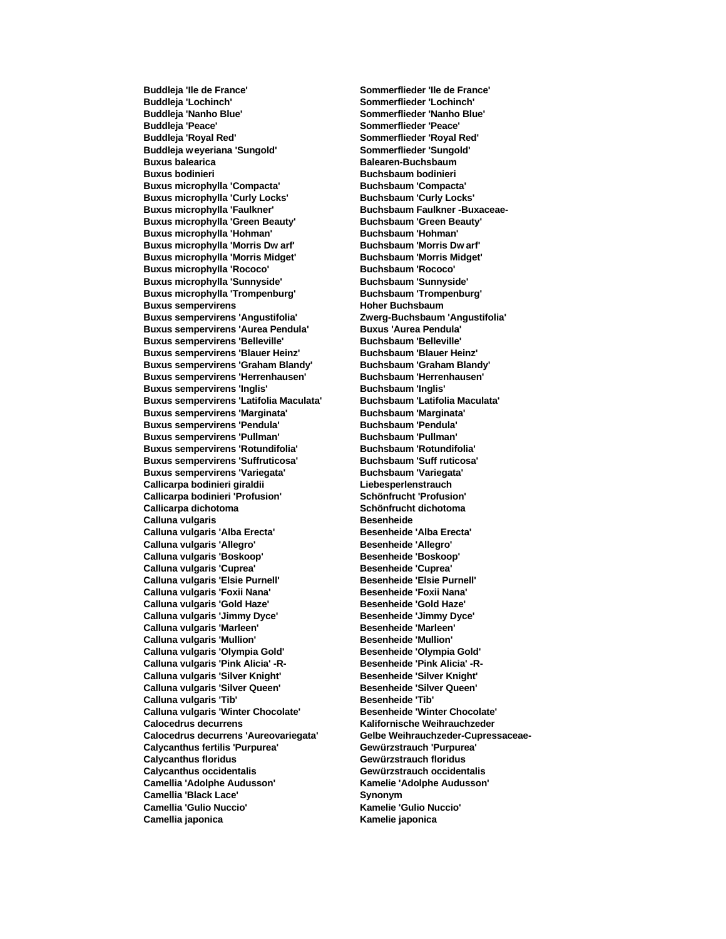**Buddleja 'Lochinch' Sommerflieder 'Lochinch' Buddleja 'Nanho Blue' Sommerflieder 'Nanho Blue' Buddleja 'Peace' Sommerflieder 'Peace' Buddleja 'Royal Red' Sommerflieder 'Royal Red' Buddleja weyeriana 'Sungold' Sommerflieder 'Sungold' Buxus balearica Balearen-Buchsbaum Buxus bodinieri Buchsbaum bodinieri Buxus microphylla 'Compacta' Buchsbaum 'Compacta' Buxus microphylla 'Curly Locks' Buchsbaum 'Curly Locks'** Buxus microphylla 'Faulkner' Buchsbaum Faulkner -Buxaceae-**Buxus microphylla 'Green Beauty' Buchsbaum 'Green Beauty' Buxus microphylla 'Hohman' Buchsbaum 'Hohman' Buxus microphylla 'Morris Dw arf' Buchsbaum 'Morris Dw arf' Buxus microphylla 'Morris Midget' Buchsbaum 'Morris Midget' Buxus microphylla 'Rococo' Buchsbaum 'Rococo' Buxus microphylla 'Sunnyside' Buchsbaum 'Sunnyside' Buxus microphylla 'Trompenburg' Buchsbaum 'Trompenburg' Buxus sempervirens Hoher Buchsbaum Buxus sempervirens 'Angustifolia' Zwerg-Buchsbaum 'Angustifolia' Buxus sempervirens 'Aurea Pendula' Buxus 'Aurea Pendula' Buxus sempervirens 'Belleville' Buchsbaum 'Belleville' Buxus sempervirens 'Blauer Heinz' Buchsbaum 'Blauer Heinz' Buxus sempervirens 'Graham Blandy' Buchsbaum 'Graham Blandy' Buxus sempervirens 'Herrenhausen' Buxus sempervirens 'Inglis' Buchsbaum 'Inglis' Buxus sempervirens 'Latifolia Maculata' Buchsbaum 'Latifolia Maculata' Buxus sempervirens 'Marginata' Buchsbaum 'Marginata' Buxus sempervirens 'Pendula' Buchsbaum 'Pendula' Buxus sempervirens 'Pullman' Buchsbaum 'Pullman' Buxus sempervirens 'Rotundifolia' Buxus sempervirens 'Suffruticosa' Buchsbaum 'Suff ruticosa' Buxus sempervirens 'Variegata' Buchsbaum 'Variegata' Callicarpa bodinieri giraldii Liebesperlenstrauch Callicarpa bodinieri 'Profusion' Schönfrucht 'Profusion' Calluna vulgaris Besenheide** Calluna vulgaris 'Alba Erecta' **Besenheide 'Alba Erecta'** Calluna vulgaris 'Allegro' **Besenheide 'Allegro'** Calluna vulgaris 'Boskoop' Besenheide 'Boskoop' **Calluna vulgaris 'Cuprea' Besenheide 'Cuprea'** Calluna vulgaris 'Elsie Purnell' **Besenheide 'Elsie Purnell'** Calluna vulgaris 'Foxii Nana' **Besenheide 'Foxii Nana'** Calluna vulgaris 'Gold Haze' **Besenheide 'Gold Haze' Calluna vulgaris 'Jimmy Dyce' Besenheide 'Jimmy Dyce' Calluna vulgaris 'Marleen' Besenheide 'Marleen' Calluna vulgaris 'Mullion' Calluna vulgaris 'Olympia Gold' Besenheide 'Olympia Gold'** Calluna vulgaris 'Pink Alicia' -R-<br>
Besenheide 'Pink Alicia' -R-**Calluna vulgaris 'Silver Knight' Besenheide 'Silver Knight'** Calluna vulgaris 'Silver Queen' **Besenheide 'Silver Queen' Calluna vulgaris 'Tib' Besenheide 'Tib' Calluna vulgaris 'Winter Chocolate' Besenheide 'Winter Chocolate' Calocedrus decurrens Kalifornische Weihrauchzeder Calocedrus decurrens 'Aureovariegata' Gelbe Weihrauchzeder-Cupressaceae-Calycanthus fertilis 'Purpurea' Gewürzstrauch 'Purpurea' Calycanthus floridus Gewürzstrauch floridus Calycanthus occidentalis Gewürzstrauch occidentalis Camellia 'Adolphe Audusson' Kamelie 'Adolphe Audusson' Camellia 'Black Lace' Synonym Camellia 'Gulio Nuccio' Kamelie 'Gulio Nuccio' Camellia japonica Kamelie japonica**

**Buddleja 'Ile de France' Sommerflieder 'Ile de France' Callicarpa dichotoma Schönfrucht dichotoma**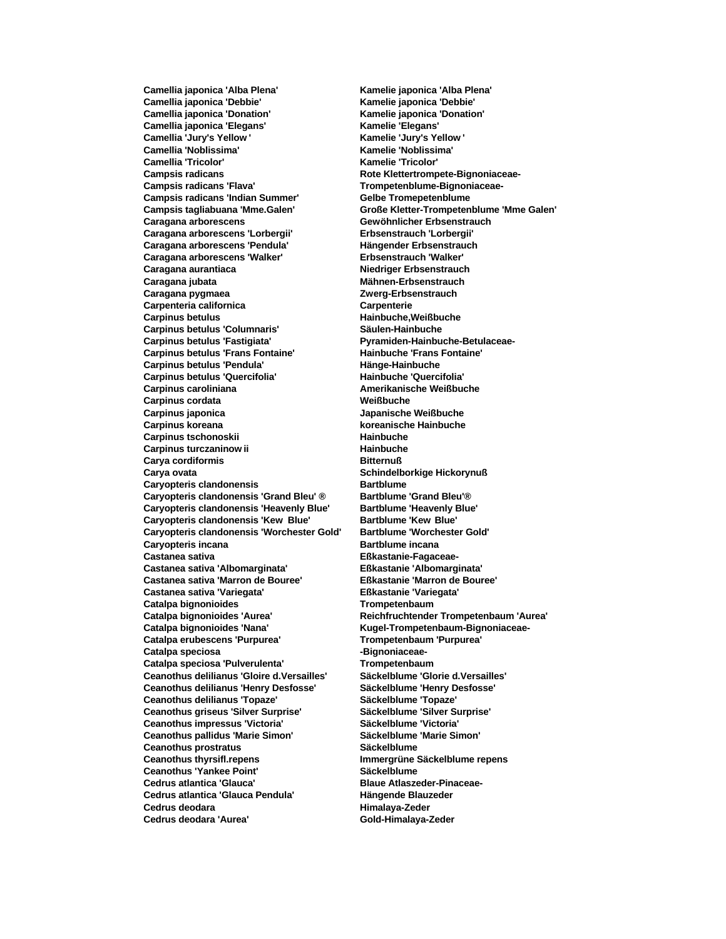**Camellia japonica 'Debbie' Kamelie japonica 'Debbie' Camellia japonica 'Donation' Kamelie japonica 'Donation' Camellia japonica 'Elegans' Kamelie 'Elegans' Camellia 'Jury's Yellow ' Kamelie 'Jury's Yellow ' Camellia 'Noblissima' Kamelie 'Noblissima' Camellia 'Tricolor' Kamelie 'Tricolor'** Campsis radicans **Campsis radicans Rote Klettertrompete-Bignoniaceae-Campsis radicans 'Flava' Trompetenblume-Bignoniaceae-Campsis radicans 'Indian Summer' Gelbe Tromepetenblume Caragana arborescens Gewöhnlicher Erbsenstrauch Caragana arborescens 'Lorbergii' Erbsenstrauch 'Lorbergii' Caragana arborescens 'Pendula' Hängender Erbsenstrauch Caragana arborescens 'Walker' Erbsenstrauch 'Walker' Caragana aurantiaca Niedriger Erbsenstrauch Caragana jubata Mähnen-Erbsenstrauch Caragana pygmaea Zwerg-Erbsenstrauch Carpenteria californica Carpenterie Carpinus betulus Hainbuche,Weißbuche Carpinus betulus 'Columnaris' Säulen-Hainbuche Carpinus betulus 'Fastigiata' Pyramiden-Hainbuche-Betulaceae-Carpinus betulus 'Frans Fontaine' Hainbuche 'Frans Fontaine' Carpinus betulus 'Pendula' Hänge-Hainbuche Carpinus betulus 'Quercifolia' Hainbuche 'Quercifolia' Carpinus caroliniana Amerikanische Weißbuche Carpinus cordata Weißbuche Carpinus japonica Japanische Weißbuche Carpinus koreana koreanische Hainbuche Carpinus tschonoskii Hainbuche**<br> **Carpinus turczaninow ii Hainbuche**<br> **Hainbuche Carpinus turczaninow ii Carya cordiformis Bitternuß Carya ovata Schindelborkige Hickorynuß Caryopteris clandonensis Bartblume Caryopteris clandonensis 'Grand Bleu' ® Bartblume 'Grand Bleu'® Caryopteris clandonensis 'Heavenly Blue' Caryopteris clandonensis 'Kew Blue' Bartblume 'Kew Blue' Caryopteris clandonensis 'Worchester Gold' Bartblume 'Worchester Gold' Caryopteris incana Bartblume incana**<br> **Castanea sativa Bartblume incana Castanea sativa 'Albomarginata' Eßkastanie 'Albomarginata' Castanea sativa 'Marron de Bouree' Castanea sativa 'Variegata' Eßkastanie 'Variegata' Catalpa bignonioides Trompetenbaum Catalpa bignonioides 'Aurea' Reichfruchtender Trompetenbaum 'Aurea' Catalpa bignonioides 'Nana' Kugel-Trompetenbaum-Bignoniaceae-Catalpa erubescens 'Purpurea' Trompetenbaum 'Purpurea' Catalpa speciosa -Bignoniaceae-**Catalpa speciosa 'Pulverulenta' Trompetenbaum **Ceanothus delilianus 'Gloire d.Versailles' Säckelblume 'Glorie d.Versailles' Ceanothus delilianus 'Henry Desfosse' Säckelblume 'Henry Desfosse' Ceanothus delilianus 'Topaze' Säckelblume 'Topaze' Ceanothus griseus 'Silver Surprise' Säckelblume 'Silver Surprise' Ceanothus impressus 'Victoria' Ceanothus pallidus 'Marie Simon' Säckelblume 'Marie Simon' Ceanothus prostratus Säckelblume Ceanothus thyrsifl.repens Immergrüne Säckelblume repens Ceanothus 'Yankee Point' Säckelblume Cedrus atlantica 'Glauca' Blaue Atlaszeder-Pinaceae-Cedrus atlantica 'Glauca Pendula' Hängende Blauzeder Cedrus deodara Himalaya-Zeder Cedrus deodara 'Aurea' Gold-Himalaya-Zeder**

**Camellia japonica 'Alba Plena' Kamelie japonica 'Alba Plena' Campsis tagliabuana 'Mme.Galen' Große Kletter-Trompetenblume 'Mme Galen'** Eßkastanie-Fagaceae-<br>Eßkastanie 'Albomarginata'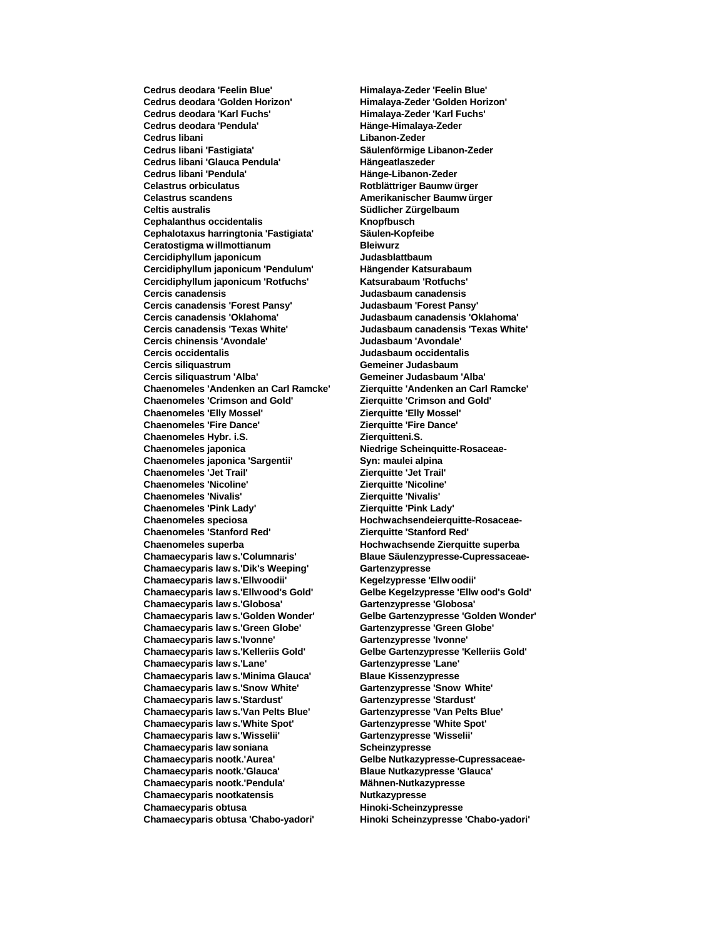**Cedrus deodara 'Golden Horizon' Himalaya-Zeder 'Golden Horizon' Cedrus deodara 'Karl Fuchs' Himalaya-Zeder 'Karl Fuchs' Cedrus deodara 'Pendula' Hänge-Himalaya-Zeder Cedrus libani Libanon-Zeder Cedrus libani 'Glauca Pendula' Hängeatlaszeder Cedrus libani 'Pendula' Hänge-Libanon-Zeder Celastrus orbiculatus Rotblättriger Baumw ürger Celastrus scandens Amerikanischer Baumw ürger Celtis australis Südlicher Zürgelbaum Cephalanthus occidentalis**<br> **Cephalotaxus harringtonia 'Fastigiata'** Säulen-Kopfeibe **Cephalotaxus harringtonia 'Fastigiata' Ceratostigma w illmottianum Bleiwurz Cercidiphyllum japonicum Cercidiphyllum japonicum 'Pendulum' Hängender Katsurabaum Cercidiphyllum japonicum 'Rotfuchs' Katsurabaum 'Rotfuchs' Cercis canadensis Judasbaum canadensis Cercis canadensis 'Forest Pansy' Judasbaum 'Forest Pansy' Cercis canadensis 'Oklahoma' Judasbaum canadensis 'Oklahoma' Cercis canadensis 'Texas White' Judasbaum canadensis 'Texas White' Cercis chinensis 'Avondale' Judasbaum 'Avondale' Cercis occidentalis Judasbaum occidentalis Cercis siliquastrum Gemeiner Judasbaum Cercis siliquastrum 'Alba' Gemeiner Judasbaum 'Alba' Chaenomeles 'Andenken an Carl Ramcke' Zierquitte 'Andenken an Carl Ramcke' Chaenomeles 'Crimson and Gold' Zierquitte 'Crimson and Gold' Chaenomeles 'Elly Mossel' Zierquitte 'Elly Mossel' Chaenomeles 'Fire Dance' Zierquitte 'Fire Dance' Chaenomeles Hybr. i.S.**<br>**Chaenomeles iaponica Chaenomeles japonica 'Sargentii' Syn: maulei alpina Chaenomeles 'Jet Trail' Zierquitte 'Jet Trail'**  $Chaenomeles 'Nicoline'$ **Chaenomeles 'Nivalis' Zierquitte 'Nivalis' Chaenomeles 'Pink Lady' Chaenomeles speciosa Hochwachsendeierquitte-Rosaceae-Chaenomeles 'Stanford Red' Zierquitte 'Stanford Red' Chaenomeles superba Hochwachsende Zierquitte superba Chamaecyparis law s.'Columnaris' Blaue Säulenzypresse-Cupressaceae-Chamaecyparis law s.'Dik's Weeping' Chamaecyparis law s.'Ellwoodii' Kegelzypresse 'Ellw oodii' Chamaecyparis law s.'Ellwood's Gold' Gelbe Kegelzypresse 'Ellw ood's Gold' Chamaecyparis law s.'Globosa' Gartenzypresse 'Globosa' Chamaecyparis law s.'Golden Wonder' Gelbe Gartenzypresse 'Golden Wonder' Chamaecyparis law s.'Green Globe' Gartenzypresse 'Green Globe' Chamaecyparis law s.'Ivonne' Gartenzypresse 'Ivonne' Chamaecyparis law s.'Kelleriis Gold' Gelbe Gartenzypresse 'Kelleriis Gold' Chamaecyparis law s.'Lane' Gartenzypresse 'Lane' Chamaecyparis law s.'Minima Glauca' Blaue Kissenzypresse Chamaecyparis law s.'Snow White' Gartenzypresse 'Snow White' Chamaecyparis law s.'Stardust' Gartenzypresse 'Stardust' Chamaecyparis law s.'Van Pelts Blue' Gartenzypresse 'Van Pelts Blue' Chamaecyparis law s.'White Spot' Chamaecyparis law s.'Wisselii' Gartenzypresse 'Wisselii' Chamaecyparis law soniana Scheinzypresse Chamaecyparis nootk.'Aurea' Gelbe Nutkazypresse-Cupressaceae-Chamaecyparis nootk.'Glauca' Blaue Nutkazypresse 'Glauca' Chamaecyparis nootk.'Pendula' Mähnen-Nutkazypresse Chamaecyparis nootkatensis Nutkazypresse Chamaecyparis obtusa Hinoki-Scheinzypresse Chamaecyparis obtusa 'Chabo-yadori' Hinoki Scheinzypresse 'Chabo-yadori'**

**Cedrus deodara 'Feelin Blue' Himalaya-Zeder 'Feelin Blue' Cedrus libani 'Fastigiata' Säulenförmige Libanon-Zeder Chaenomeles japonica Niedrige Scheinquitte-Rosaceae-**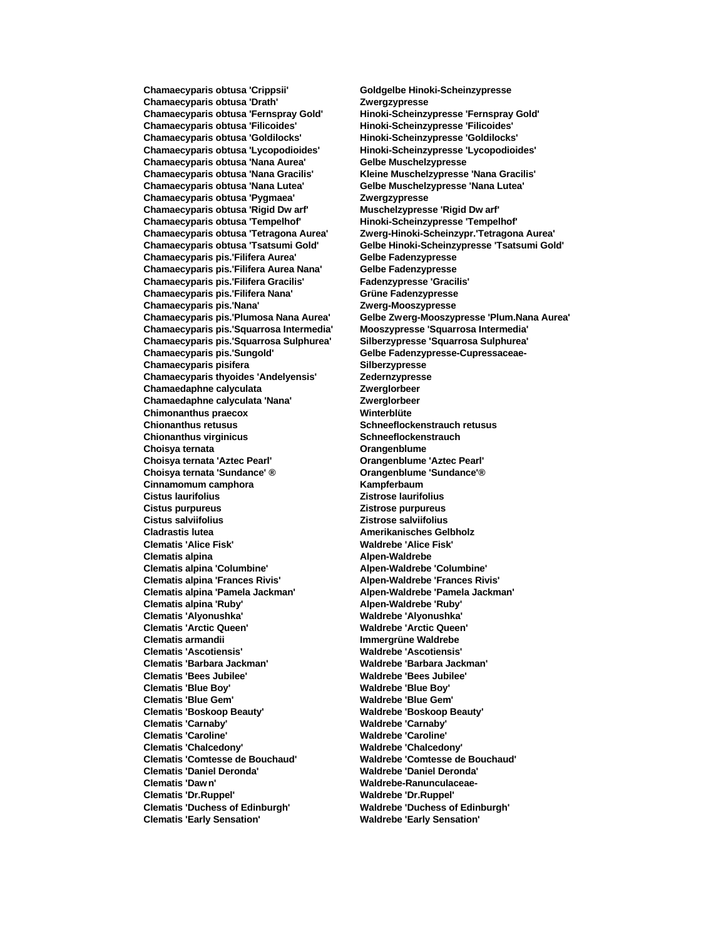**Chamaecyparis obtusa 'Crippsii' Goldgelbe Hinoki-Scheinzypresse Chamaecyparis obtusa 'Drath' Zwergzypresse Chamaecyparis obtusa 'Fernspray Gold' Hinoki-Scheinzypresse 'Fernspray Gold' Chamaecyparis obtusa 'Filicoides' Hinoki-Scheinzypresse 'Filicoides' Chamaecyparis obtusa 'Goldilocks' Hinoki-Scheinzypresse 'Goldilocks' Chamaecyparis obtusa 'Nana Aurea' Gelbe Muschelzypresse Chamaecyparis obtusa 'Nana Gracilis' Kleine Muschelzypresse 'Nana Gracilis' Chamaecyparis obtusa 'Nana Lutea' Gelbe Muschelzypresse 'Nana Lutea' Chamaecyparis obtusa 'Pygmaea' Zwergzypresse Chamaecyparis obtusa 'Rigid Dw arf' Muschelzypresse 'Rigid Dw arf' Chamaecyparis obtusa 'Tempelhof' Hinoki-Scheinzypresse 'Tempelhof' Chamaecyparis pis.'Filifera Aurea' Chamaecyparis pis.'Filifera Aurea Nana' Gelbe Fadenzypresse Chamaecyparis pis.'Filifera Gracilis' Fadenzypresse 'Gracilis' Chamaecyparis pis.'Filifera Nana' Grüne Fadenzypresse Chamaecyparis pis.'Nana' Zwerg-Mooszypresse Chamaecyparis pis.'Squarrosa Intermedia' Mooszypresse 'Squarrosa Intermedia' Chamaecyparis pis.'Squarrosa Sulphurea' Silberzypresse 'Squarrosa Sulphurea' Chamaecyparis pis.'Sungold' Gelbe Fadenzypresse-Cupressaceae-Chamaecyparis pisifera Chamaecyparis pisifera Silberzypresse**<br> **Chamaecyparis thyoides 'Andelyensis' Zedernzypresse Chamaecyparis thyoides 'Andelyensis' Chamaedaphne calyculata Zwerglorbeer Chamaedaphne calyculata 'Nana' Zwerglorbeer Chimonanthus praecox Winterblüte Chionanthus retusus Schneeflockenstrauch retusus Chionanthus virginicus**<br> **Choisva ternata**<br>
Crangenblume **Choisya ternata Choisya ternata 'Aztec Pearl' Orangenblume 'Aztec Pearl' Choisya ternata 'Sundance' ® Orangenblume 'Sundance'® Cinnamomum camphora Kampferbaum Cistus laurifolius Zistrose laurifolius Cistus salviifolius Zistrose salviifolius Cladrastis lutea Amerikanisches Gelbholz Clematis 'Alice Fisk' Waldrebe 'Alice Fisk' Clematis alpina Alpen-Waldrebe Clematis alpina 'Frances Rivis' Alpen-Waldrebe 'Frances Rivis' Clematis alpina 'Pamela Jackman' Alpen-Waldrebe 'Pamela Jackman' Clematis alpina 'Ruby' Alpen-Waldrebe 'Ruby' Clematis 'Alyonushka' Waldrebe 'Alyonushka' Clematis 'Arctic Queen' Waldrebe 'Arctic Queen' Clematis 'Ascotiensis' Waldrebe 'Ascotiensis' Clematis 'Barbara Jackman' Waldrebe 'Barbara Jackman' Clematis 'Bees Jubilee' Waldrebe 'Bees Jubilee' Clematis 'Blue Boy' Waldrebe 'Blue Boy' Clematis 'Blue Gem' Waldrebe 'Blue Gem' Clematis 'Carnaby' Waldrebe 'Carnaby' Clematis 'Caroline' Waldrebe 'Caroline' Clematis 'Chalcedony' Waldrebe 'Chalcedony' Clematis 'Comtesse de Bouchaud' Clematis 'Daniel Deronda' Waldrebe 'Daniel Deronda' Clematis 'Dr.Ruppel' Waldrebe 'Dr.Ruppel' Clematis 'Duchess of Edinburgh' Waldrebe 'Duchess of Edinburgh' Clematis 'Early Sensation' Waldrebe 'Early Sensation'**

**Chamaecyparis obtusa 'Lycopodioides' Hinoki-Scheinzypresse 'Lycopodioides' Chamaecyparis obtusa 'Tetragona Aurea' Zwerg-Hinoki-Scheinzypr.'Tetragona Aurea' Chamaecyparis obtusa 'Tsatsumi Gold' Gelbe Hinoki-Scheinzypresse 'Tsatsumi Gold' Chamaecyparis pis.'Plumosa Nana Aurea' Gelbe Zwerg-Mooszypresse 'Plum.Nana Aurea' Cistus purpureus Zistrose purpureus Clematis alpina 'Columbine' Alpen-Waldrebe 'Columbine' Clematis armandii Immergrüne Waldrebe Clematis 'Boskoop Beauty' Waldrebe 'Boskoop Beauty' Clematis 'Daw n' Waldrebe-Ranunculaceae-**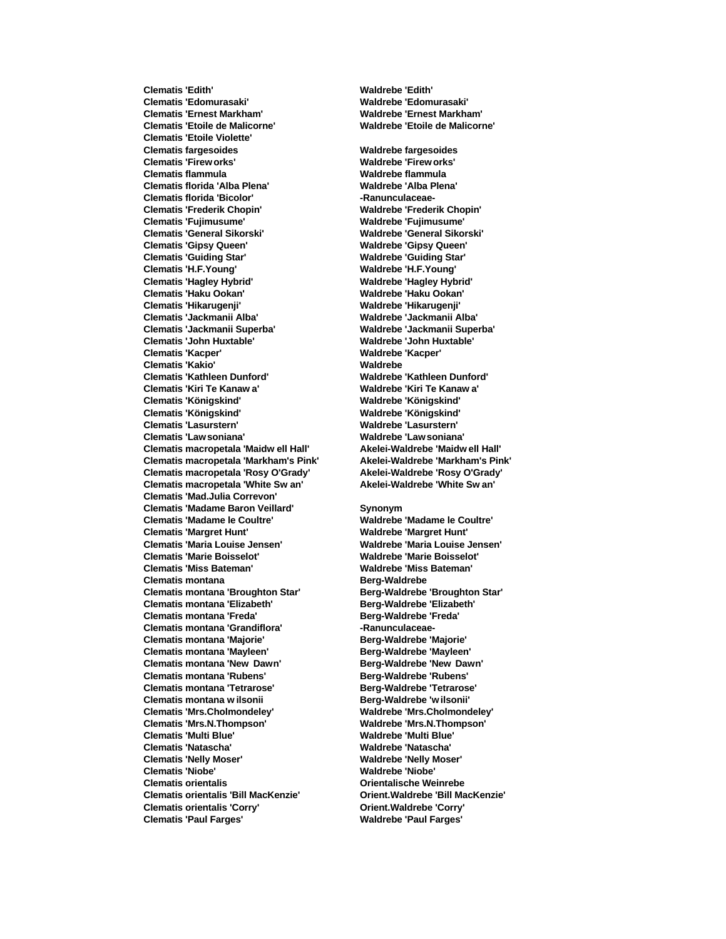**Clematis 'Edomurasaki' Waldrebe 'Edomurasaki' Clematis 'Ernest Markham' Waldrebe 'Ernest Markham' Clematis 'Etoile de Malicorne' Waldrebe 'Etoile de Malicorne' Clematis 'Etoile Violette' Clematis fargesoides Waldrebe fargesoides Clematis 'Firew orks' Waldrebe 'Firew orks' Clematis flammula Waldrebe flammula Clematis florida 'Alba Plena' Waldrebe 'Alba Plena' Clematis florida 'Bicolor' -Ranunculaceae-Clematis 'Frederik Chopin' Waldrebe 'Frederik Chopin' Clematis 'Fujimusume' Waldrebe 'Fujimusume' Clematis 'General Sikorski' Waldrebe 'General Sikorski' Clematis 'Gipsy Queen' Waldrebe 'Gipsy Queen' Clematis 'H.F.Young' Waldrebe 'H.F.Young' Clematis 'Hagley Hybrid' Waldrebe 'Hagley Hybrid' Clematis 'Haku Ookan' Waldrebe 'Haku Ookan' Clematis 'Hikarugenji' Waldrebe 'Hikarugenji' Clematis 'Jackmanii Alba' Waldrebe 'Jackmanii Alba' Clematis 'Jackmanii Superba' Waldrebe 'Jackmanii Superba' Clematis 'John Huxtable' Waldrebe 'John Huxtable' Clematis 'Kacper' Waldrebe 'Kacper' Clematis 'Kakio' Waldrebe Clematis 'Kathleen Dunford' Waldrebe 'Kathleen Dunford' Clematis 'Kiri Te Kanaw a' Waldrebe 'Kiri Te Kanaw a' Clematis 'Königskind' Waldrebe 'Königskind' Clematis 'Königskind' Waldrebe 'Königskind' Clematis 'Lasurstern' Waldrebe 'Lasurstern' Clematis 'Law soniana' Waldrebe 'Law soniana' Clematis macropetala 'Maidw ell Hall' Akelei-Waldrebe 'Maidw ell Hall' Clematis macropetala 'Markham's Pink' Akelei-Waldrebe 'Markham's Pink' Clematis macropetala 'Rosy O'Grady' Akelei-Waldrebe 'Rosy O'Grady' Clematis macropetala 'White Sw an' Akelei-Waldrebe 'White Sw an' Clematis 'Mad.Julia Correvon' Clematis 'Madame Baron Veillard' Synonym Clematis 'Madame le Coultre' Waldrebe 'Madame le Coultre' Clematis 'Margret Hunt' Waldrebe 'Margret Hunt' Clematis 'Maria Louise Jensen' Waldrebe 'Maria Louise Jensen' Clematis 'Marie Boisselot'**<br>**Clematis 'Miss Bateman' Clematis montana Berg-Waldrebe Clematis montana 'Broughton Star' Clematis montana 'Elizabeth' Berg-Waldrebe 'Elizabeth' Clematis montana 'Freda' Berg-Waldrebe 'Freda' Clematis montana 'Grandiflora' -Ranunculaceae-Clematis montana 'Majorie' Berg-Waldrebe 'Majorie' Clematis montana 'Mayleen' Berg-Waldrebe 'Mayleen' Clematis montana 'New Dawn' Berg-Waldrebe 'New Dawn' Clematis montana 'Rubens' Berg-Waldrebe 'Rubens' Clematis montana 'Tetrarose' Berg-Waldrebe 'Tetrarose' Clematis montana w ilsonii Berg-Waldrebe 'w ilsonii' Clematis 'Mrs.Cholmondeley' Waldrebe 'Mrs.Cholmondeley' Clematis 'Mrs.N.Thompson' Waldrebe 'Mrs.N.Thompson' Clematis 'Multi Blue' Waldrebe 'Multi Blue' Clematis 'Natascha' Waldrebe 'Natascha' Clematis 'Nelly Moser' Waldrebe 'Nelly Moser' Clematis 'Niobe' Waldrebe 'Niobe' Clematis orientalis Orientalische Weinrebe Clematis orientalis 'Bill MacKenzie' Orient.Waldrebe 'Bill MacKenzie' Clematis orientalis 'Corry' Orient.Waldrebe 'Corry' Clematis 'Paul Farges' Waldrebe 'Paul Farges'**

**Clematis 'Edith' Waldrebe 'Edith'**

**Clematis 'Guiding Star' Waldrebe 'Guiding Star'**

**Clematis 'Miss Bateman' Waldrebe 'Miss Bateman'**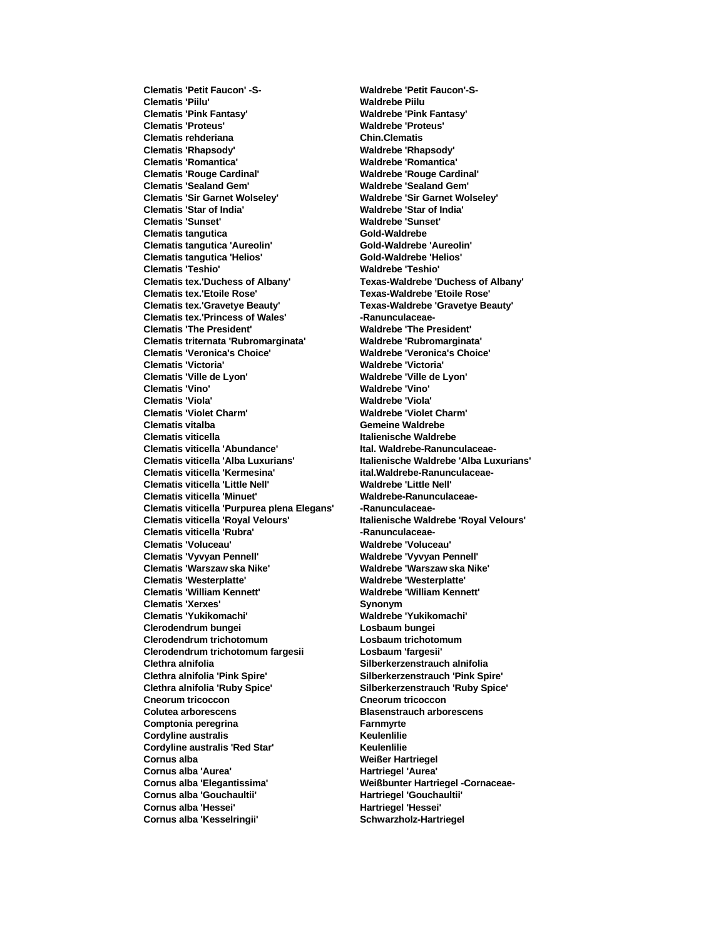**Clematis 'Piilu' Waldrebe Piilu Clematis 'Pink Fantasy' Waldrebe 'Pink Fantasy' Clematis 'Proteus' Waldrebe 'Proteus' Clematis rehderiana Chin.Clematis Clematis 'Rhapsody' Waldrebe 'Rhapsody' Clematis 'Romantica' Waldrebe 'Romantica' Clematis 'Rouge Cardinal' Waldrebe 'Rouge Cardinal' Clematis 'Sealand Gem' Waldrebe 'Sealand Gem' Clematis 'Sir Garnet Wolseley' Waldrebe 'Sir Garnet Wolseley' Clematis 'Star of India' Waldrebe 'Star of India' Clematis 'Sunset' Waldrebe 'Sunset' Clematis tangutica Gold-Waldrebe Clematis tangutica 'Aureolin' Gold-Waldrebe 'Aureolin'**  $C$ lematis tangutica 'Helios' **Clematis 'Teshio' Waldrebe 'Teshio' Clematis tex.'Duchess of Albany' Texas-Waldrebe 'Duchess of Albany' Clematis tex.'Etoile Rose' Texas-Waldrebe 'Etoile Rose' Clematis tex.'Gravetye Beauty' Texas-Waldrebe 'Gravetye Beauty' Clematis tex.'Princess of Wales' -Ranunculaceae-Clematis 'The President' Waldrebe 'The President' Clematis triternata 'Rubromarginata' Waldrebe 'Rubromarginata' Clematis 'Veronica's Choice' Waldrebe 'Veronica's Choice' Clematis 'Victoria' Waldrebe 'Victoria' Clematis 'Ville de Lyon' Waldrebe 'Ville de Lyon' Clematis 'Vino' Waldrebe 'Vino' Clematis 'Viola' Waldrebe 'Viola' Clematis 'Violet Charm' Waldrebe 'Violet Charm' Clematis vitalba Gemeine Waldrebe Clematis viticella Italienische Waldrebe Clematis viticella 'Alba Luxurians' Italienische Waldrebe 'Alba Luxurians' Clematis viticella 'Kermesina' ital.Waldrebe-Ranunculaceae-Clematis viticella 'Little Nell' Waldrebe 'Little Nell'** Clematis viticella 'Minuet' Waldrebe-Ranunculaceae-**Clematis viticella 'Purpurea plena Elegans' -Ranunculaceae-Clematis viticella 'Royal Velours' Italienische Waldrebe 'Royal Velours' Clematis viticella 'Rubra' -Ranunculaceae-Clematis 'Voluceau' Waldrebe 'Voluceau' Clematis 'Warszaw ska Nike' Clematis 'Westerplatte' Waldrebe 'Westerplatte' Clematis 'Xerxes' Synonym Clematis 'Yukikomachi' Waldrebe 'Yukikomachi' Clerodendrum bungei Losbaum bungei Clerodendrum trichotomum Losbaum trichotomum Clerodendrum trichotomum fargesii Losbaum 'fargesii' Clethra alnifolia Silberkerzenstrauch alnifolia Clethra alnifolia 'Pink Spire' Silberkerzenstrauch 'Pink Spire' Clethra alnifolia 'Ruby Spice' Silberkerzenstrauch 'Ruby Spice' Cneorum tricoccon Cneorum tricoccon Colutea arborescens Blasenstrauch arborescens Comptonia peregrina Farnmyrte Cordyline australis Keulenlilie Cordyline australis 'Red Star' Keulenlilie Cornus alba Weißer Hartriegel Cornus alba 'Aurea' Hartriegel 'Aurea' Cornus alba 'Elegantissima' Weißbunter Hartriegel -Cornaceae-Cornus alba 'Gouchaultii' Hartriegel 'Gouchaultii' Cornus alba 'Hessei' Hartriegel 'Hessei'** Cornus alba 'Kesselringii' **Schwarzholz-Hartriegel** 

**Clematis 'Petit Faucon' -S- Waldrebe 'Petit Faucon'-S-Clematis viticella 'Abundance' Ital. Waldrebe-Ranunculaceae-Clematis 'Vyvyan Pennell' Waldrebe 'Vyvyan Pennell' Clematis 'William Kennett' Waldrebe 'William Kennett'**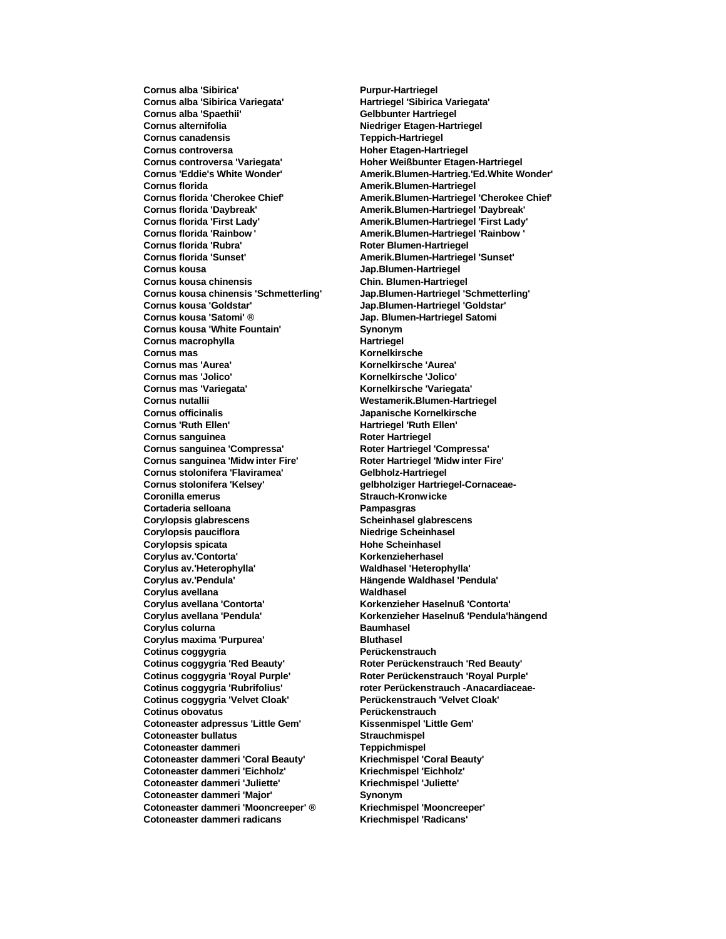**Cornus alba 'Sibirica' Purpur-Hartriegel Cornus alba 'Sibirica Variegata' Hartriegel 'Sibirica Variegata'** Cornus alba 'Spaethii' **Gelbbunter Hartriegel Cornus alternifolia Niedriger Etagen-Hartriegel Cornus canadensis Teppich-Hartriegel** Cornus controversa **Hoher Etagen-Hartriegel Cornus controversa 'Variegata' Hoher Weißbunter Etagen-Hartriegel Cornus florida Amerik.Blumen-Hartriegel Cornus florida 'Daybreak' Amerik.Blumen-Hartriegel 'Daybreak' Cornus florida 'First Lady' Amerik.Blumen-Hartriegel 'First Lady' Cornus florida 'Rainbow ' Amerik.Blumen-Hartriegel 'Rainbow ' Cornus florida 'Rubra' Roter Blumen-Hartriegel**<br> **Cornus florida 'Sunset'** Amerik. Blumen-Hartriege **Cornus kousa Jap.Blumen-Hartriegel Cornus kousa chinensis Chin. Blumen-Hartriegel Cornus kousa chinensis 'Schmetterling' Jap.Blumen-Hartriegel 'Schmetterling' Cornus kousa 'Goldstar' Jap.Blumen-Hartriegel 'Goldstar' Cornus kousa 'Satomi' ® Jap. Blumen-Hartriegel Satomi Cornus kousa 'White Fountain'** Synonym **Cornus macrophylla Hartriegel Cornus mas Kornelkirsche Cornus mas 'Aurea'**<br>**Cornus mas 'Jolico' Cornus mas 'Variegata' Kornelkirsche 'Variegata' Cornus nutallii Westamerik.Blumen-Hartriegel Cornus officinalis Japanische Kornelkirsche Cornus 'Ruth Ellen' Hartriegel 'Ruth Ellen' Cornus sanguinea Hartriegel 'Ruth Ellen' Roter Hartriegel Cornus sanguinea**<br>**Cornus sanguinea 'Compressa' Cornus sanguinea 'Midw inter Fire' Roter Hartriegel 'Midw inter Fire' Cornus stolonifera 'Flaviramea' Gelbholz-Hartriegel Cornus stolonifera 'Kelsey' gelbholziger Hartriegel-Cornaceae-Coronilla emerus Strauch-Kronw icke Cortaderia selloana Pampasgras Corylopsis glabrescens Scheinhasel glabrescens Corylopsis pauciflora Niedrige Scheinhasel Corylopsis spicata Hohe Scheinhasel Corylus av.'Contorta' Korkenzieherhasel Corylus av.'Heterophylla' Waldhasel 'Heterophylla' Corylus avellana Waldhasel Corylus avellana 'Contorta' Korkenzieher Haselnuß 'Contorta' Corylus colurna Baumhasel Corylus maxima 'Purpurea' Bluthasel Cotinus coggygria Perückenstrauch Cotinus coggygria 'Red Beauty' Roter Perückenstrauch 'Red Beauty' Cotinus coggygria 'Royal Purple' Roter Perückenstrauch 'Royal Purple' Cotinus coggygria 'Rubrifolius' roter Perückenstrauch -Anacardiaceae-Cotinus coggygria 'Velvet Cloak' Perückenstrauch 'Velvet Cloak' Cotinus obovatus Perückenstrauch Cotoneaster adpressus 'Little Gem' Kissenmispel 'Little Gem' Cotoneaster bullatus Strauchmispel Cotoneaster dammeri Teppichmispel Cotoneaster dammeri 'Coral Beauty' Kriechmispel 'Coral Beauty' Cotoneaster dammeri 'Eichholz' Kriechmispel 'Eichholz' Cotoneaster dammeri 'Juliette' Kriechmispel 'Juliette' Cotoneaster dammeri 'Major' Synonym Cotoneaster dammeri 'Mooncreeper' ® Kriechmispel 'Mooncreeper' Cotoneaster dammeri radicans Kriechmispel 'Radicans'**

**Cornus 'Eddie's White Wonder' Amerik.Blumen-Hartrieg.'Ed.White Wonder' Cornus florida 'Cherokee Chief' Amerik.Blumen-Hartriegel 'Cherokee Chief' Cornus florida 'Sunset' Amerik.Blumen-Hartriegel 'Sunset' Cornus mas 'Jolico' Kornelkirsche 'Jolico' Cornus sanguinea 'Compressa' Roter Hartriegel 'Compressa' Corylus av.'Pendula' Hängende Waldhasel 'Pendula' Corylus avellana 'Pendula' Korkenzieher Haselnuß 'Pendula'hängend**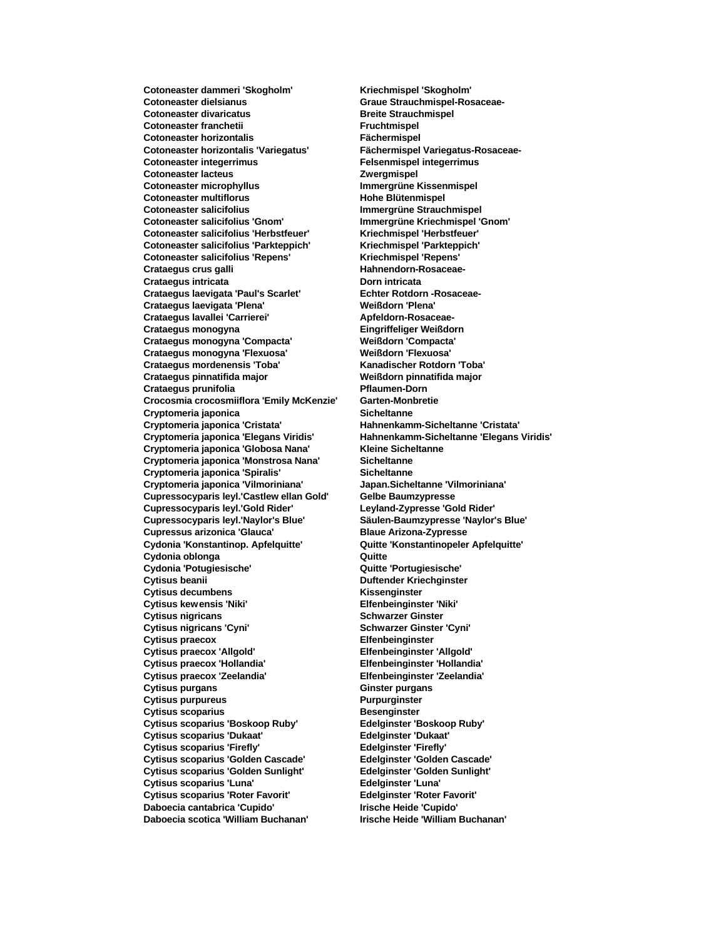**Cotoneaster dammeri 'Skogholm' Kriechmispel 'Skogholm' Cotoneaster dielsianus Graue Strauchmispel-Rosaceae-Cotoneaster divaricatus Breite Strauchmispel Cotoneaster franchetii Fruchtmispel Cotoneaster horizontalis Fächermispel Cotoneaster integerrimus Felsenmispel integerrimus Cotoneaster lacteus Zwergmispel Cotoneaster microphyllus Immergrüne Kissenmispel Cotoneaster multiflorus Hohe Blütenmispel Cotoneaster salicifolius Immergrüne Strauchmispel Cotoneaster salicifolius 'Gnom' Immergrüne Kriechmispel 'Gnom' Cotoneaster salicifolius 'Herbstfeuer' Kriechmispel 'Herbstfeuer' Cotoneaster salicifolius 'Parkteppich' Kriechmispel 'Parkteppich'**  $Cotoneaster$  salicifolius 'Repens' Crataegus crus galli **Hahnendorn-Rosaceae-Crataegus intricata Dorn intricata** Crataegus laevigata 'Paul's Scarlet' **Echter Rotdorn -Rosaceae-Crataegus laevigata 'Plena' Weißdorn 'Plena' Crataegus lavallei 'Carrierei' Crataegus monogyna Eingriffeliger Weißdorn Crataegus monogyna 'Compacta' Weißdorn 'Compacta' Crataegus monogyna 'Flexuosa' Weißdorn 'Flexuosa' Crataegus mordenensis 'Toba' Kanadischer Rotdorn 'Toba' Crataegus pinnatifida major Weißdorn pinnatifida major Crataegus prunifolia Pflaumen-Dorn Crocosmia crocosmiiflora 'Emily McKenzie' Garten-Monbretie Cryptomeria japonica Sicheltanne Cryptomeria japonica 'Cristata' Hahnenkamm-Sicheltanne 'Cristata' Cryptomeria japonica 'Globosa Nana' Cryptomeria japonica 'Monstrosa Nana' Sicheltanne Cryptomeria japonica 'Spiralis' Sicheltanne Cryptomeria japonica 'Vilmoriniana' Japan.Sicheltanne 'Vilmoriniana' Cupressocyparis leyl.'Castlew ellan Gold' Gelbe Baumzypresse Cupressocyparis leyl.'Gold Rider' Cupressocyparis leyl.'Naylor's Blue' Säulen-Baumzypresse 'Naylor's Blue' Cupressus arizonica 'Glauca' Blaue Arizona-Zypresse Cydonia 'Konstantinop. Apfelquitte' Quitte 'Konstantinopeler Apfelquitte' Cydonia oblonga Quitte Cydonia 'Potugiesische' Quitte 'Portugiesische' Cytisus decumbens Kissenginster Cytisus kewensis 'Niki' Elfenbeinginster 'Niki' Cytisus nigricans Cyni**<br> **Cytisus nigricans 'Cyni' Schwarzer Ginster**<br> **Schwarzer Ginster Cytisus praecox**<br> **Cytisus praecox 'Allgold' Cytisus praecox 'Hollandia' Elfenbeinginster 'Hollandia' Cytisus praecox 'Zeelandia' Elfenbeinginster 'Zeelandia' Cytisus purgans Ginster purgans Cytisus purpureus Purpurginster Cytisus scoparius**<br> **Cytisus scoparius 'Boskoop Ruby'** Besenginster 'Boskoop Ruby' **Cytisus scoparius 'Boskoop Ruby' Cytisus scoparius 'Dukaat' Edelginster 'Dukaat' Cytisus scoparius 'Firefly' Edelginster 'Firefly' Cytisus scoparius 'Golden Cascade' Edelginster 'Golden Cascade' Cytisus scoparius 'Golden Sunlight' Edelginster 'Golden Sunlight' Cytisus scoparius 'Luna' Cytisus scoparius 'Roter Favorit' Edelginster 'Roter Favorit' Daboecia cantabrica 'Cupido' Irische Heide 'Cupido' Daboecia scotica 'William Buchanan' Irische Heide 'William Buchanan'**

**Cotoneaster horizontalis 'Variegatus' Fächermispel Variegatus-Rosaceae-Cryptomeria japonica 'Elegans Viridis' Hahnenkamm-Sicheltanne 'Elegans Viridis' Cytisus beanii Duftender Kriechginster Cytisus nigricans 'Cyni' Schwarzer Ginster 'Cyni' Cytisus praecox 'Allgold' Elfenbeinginster 'Allgold'**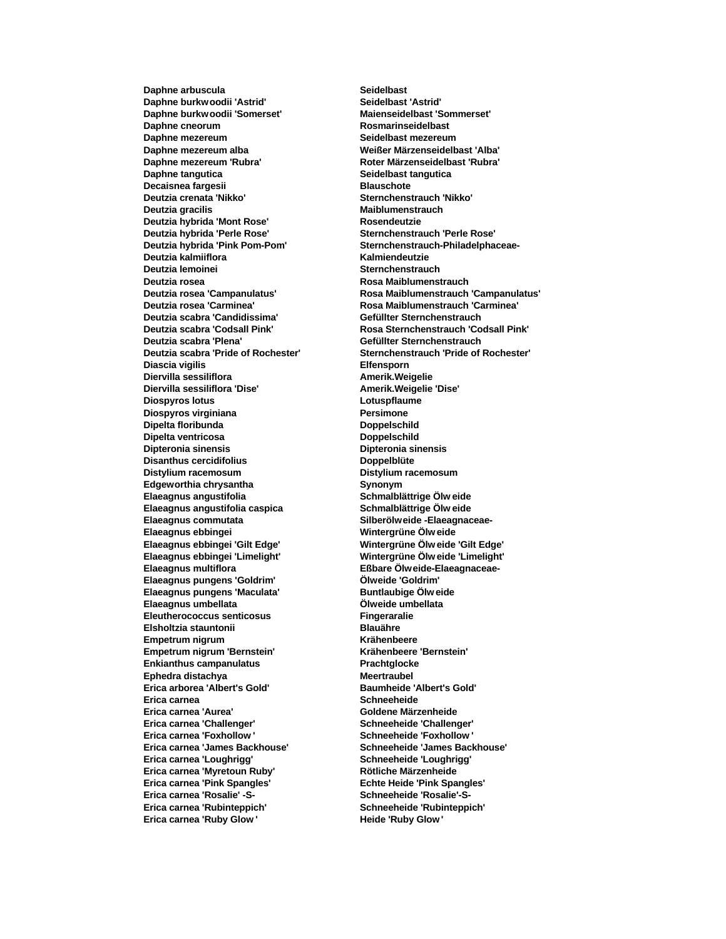**Daphne arbuscula Seidelbast Daphne burkwoodii 'Astrid' Seidelbast 'Astrid' Daphne burkwoodii 'Somerset' Maienseidelbast 'Sommerset' Daphne cneorum Rosmarinseidelbast Daphne mezereum Seidelbast mezereum Daphne mezereum alba Weißer Märzenseidelbast 'Alba' Daphne mezereum 'Rubra' Roter Märzenseidelbast 'Rubra' Daphne tangutica Seidelbast tangutica Decaisnea fargesii Blauschote Deutzia crenata 'Nikko' Sternchenstrauch 'Nikko' Deutzia gracilis Maiblumenstrauch Deutzia hybrida 'Mont Rose' Rosendeutzie Deutzia hybrida 'Perle Rose' Sternchenstrauch 'Perle Rose' Deutzia kalmiiflora Kalmiendeutzie Deutzia lemoinei Sternchenstrauch Deutzia rosea Rosa Maiblumenstrauch Deutzia rosea 'Carminea' Rosa Maiblumenstrauch 'Carminea' Deutzia scabra 'Candidissima' Gefüllter Sternchenstrauch Deutzia scabra 'Plena' Gefüllter Sternchenstrauch Diascia vigilis Elfensporn Diervilla sessiliflora Diervilla sessiliflora 'Dise' Amerik.Weigelie 'Dise' Diospyros lotus Lotuspflaume Diospyros virginiana Persimone Dipelta floribunda Doppelschild Dipelta ventricosa Dipelta ventricosa Dipelschild**<br> **Dipteronia sinensis Diperionia Simple School Disanthus cercidifolius Doppelblüte Distylium racemosum Distylium racemosum Edgeworthia chrysantha Synonym Elaeagnus angustifolia Schmalblättrige Ölw eide Elaeagnus angustifolia caspica<br>Elaeagnus commutata Elaeagnus ebbingei Wintergrüne Ölw eide Elaeagnus ebbingei 'Gilt Edge' Wintergrüne Ölw eide 'Gilt Edge' Elaeagnus multiflora Eßbare Ölweide-Elaeagnaceae-Elaeagnus pungens 'Goldrim' Elaeagnus pungens 'Maculata' Buntlaubige Ölw eide Elaeagnus umbellata Ölweide umbellata Eleutherococcus senticosus Fingeraralie Elsholtzia stauntonii Blauähre Empetrum nigrum Krähenbeere Empetrum nigrum 'Bernstein' Krähenbeere 'Bernstein' Enkianthus campanulatus Prachtglocke Ephedra distachya Meertraubel Erica arborea 'Albert's Gold' Baumheide 'Albert's Gold' Erica carnea Schneeheide Erica carnea 'Aurea' Goldene Märzenheide Erica carnea 'Challenger' Schneeheide 'Challenger' Erica carnea 'Foxhollow ' Schneeheide 'Foxhollow ' Erica carnea 'James Backhouse' Schneeheide 'James Backhouse' Erica carnea 'Loughrigg' Schneeheide 'Loughrigg' Erica carnea 'Myretoun Ruby' Rötliche Märzenheide Erica carnea 'Pink Spangles' Echte Heide 'Pink Spangles' Erica carnea 'Rosalie' -S- Schneeheide 'Rosalie'-S-Erica carnea 'Rubinteppich' Schneeheide 'Rubinteppich' Erica carnea 'Ruby Glow' Heide 'Ruby Glow'** 

**Deutzia hybrida 'Pink Pom-Pom' Sternchenstrauch-Philadelphaceae-Deutzia rosea 'Campanulatus' Rosa Maiblumenstrauch 'Campanulatus' Deutzia scabra 'Codsall Pink' Rosa Sternchenstrauch 'Codsall Pink' Deutzia scabra 'Pride of Rochester' Sternchenstrauch 'Pride of Rochester' Dipteronia sinensis Dipteronia sinensis Elaeagnus commutata Silberölweide -Elaeagnaceae-Elaeagnus ebbingei 'Limelight' Wintergrüne Ölw eide 'Limelight'**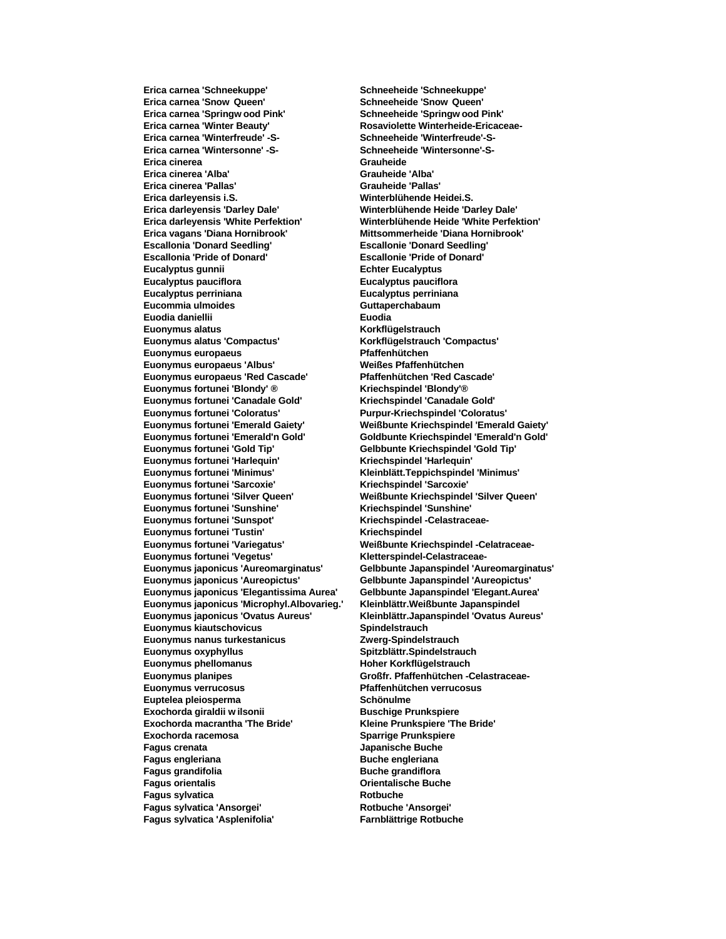**Erica carnea 'Snow Queen' Schneeheide 'Snow Queen' Erica carnea 'Springw ood Pink' Schneeheide 'Springw ood Pink' Erica carnea 'Winterfreude' -S- Schneeheide 'Winterfreude'-S-Erica carnea 'Wintersonne' -S-Erica cinerea Grauheide Erica cinerea 'Alba' Grauheide 'Alba' Erica cinerea 'Pallas' Grauheide 'Pallas' Erica darleyensis i.S. Winterblühende Heidei.S. Erica darleyensis 'Darley Dale' Winterblühende Heide 'Darley Dale' Erica darleyensis 'White Perfektion' Winterblühende Heide 'White Perfektion' Escallonia 'Donard Seedling' Escallonie 'Donard Seedling' Escallonia 'Pride of Donard' Escallonie 'Pride of Donard' Eucalyptus gunnii Eucalyptus Echter Eucalyptus Eucalyptus pauciflora Eucalyptus pauciflora Eucalyptus perriniana Eucalyptus perriniana Eucommia ulmoides Guttaperchabaum Euodia daniellii Euodia Euonymus alatus Korkflügelstrauch Euonymus alatus 'Compactus' Korkflügelstrauch 'Compactus' Euonymus europaeus Pfaffenhütchen Euonymus europaeus 'Albus' Euonymus europaeus 'Red Cascade' Pfaffenhütchen 'Red Cascade' Euonymus fortunei 'Blondy' ® Kriechspindel 'Blondy'® Euonymus fortunei 'Canadale Gold' Kriechspindel 'Canadale Gold' Euonymus fortunei 'Coloratus' Purpur-Kriechspindel 'Coloratus' Euonymus fortunei 'Emerald Gaiety' Weißbunte Kriechspindel 'Emerald Gaiety' Euonymus fortunei 'Harlequin' Kriechspindel 'Harlequin' Euonymus fortunei 'Minimus' Kleinblätt.Teppichspindel 'Minimus' Euonymus fortunei 'Sarcoxie' Kriechspindel 'Sarcoxie' Euonymus fortunei 'Silver Queen' Weißbunte Kriechspindel 'Silver Queen' Euonymus fortunei 'Sunshine'** Euonymus fortunei 'Sunspot' **Kriechspindel** -Celastraceae-**Euonymus fortunei 'Tustin' Kriechspindel**<br> **Euonymus fortunei 'Variegatus'** Weißbunte Kri **Euonymus fortunei 'Vegetus'<br>Euonymus japonicus 'Aureomarginatus' Euonymus japonicus 'Aureopictus' Gelbbunte Japanspindel 'Aureopictus' Euonymus japonicus 'Elegantissima Aurea' Gelbbunte Japanspindel 'Elegant.Aurea' Euonymus japonicus 'Microphyl.Albovarieg.' Kleinblättr.Weißbunte Japanspindel Euonymus japonicus 'Ovatus Aureus' Kleinblättr.Japanspindel 'Ovatus Aureus' Euonymus kiautschovicus Spindelstrauch Euonymus nanus turkestanicus Euonymus oxyphyllus Spitzblättr.Spindelstrauch Euonymus phellomanus Hoher Korkflügelstrauch Euonymus planipes Großfr. Pfaffenhütchen -Celastraceae-Euonymus verrucosus Pfaffenhütchen verrucosus** Euptelea pleiosperma<br>
Schönulme **Exochorda giraldii w ilsonii Buschige Prunkspiere Exochorda macrantha 'The Bride' Kleine Prunkspiere 'The Bride' Exochorda racemosa Sparrige Prunkspiere Fagus crenata Japanische Buche Fagus engleriana Buche engleriana Fagus grandifolia Buche grandiflora Fagus sylvatica Rotbuche Fagus sylvatica 'Ansorgei' Rotbuche 'Ansorgei' Fagus sylvatica 'Asplenifolia' Farnblättrige Rotbuche**

**Erica carnea 'Schneekuppe' Schneeheide 'Schneekuppe' Erica carnea 'Winter Beauty' Rosaviolette Winterheide-Ericaceae-Erica vagans 'Diana Hornibrook' Mittsommerheide 'Diana Hornibrook' Euonymus fortunei 'Emerald'n Gold' Goldbunte Kriechspindel 'Emerald'n Gold' Euonymus fortunei 'Gold Tip' Gelbbunte Kriechspindel 'Gold Tip'** Weißbunte Kriechspindel -Celatraceae-<br>Kletterspindel-Celastraceae-**Euonymus japonicus 'Aureomarginatus' Gelbbunte Japanspindel 'Aureomarginatus'** *<u>Orientalische Buche</u>*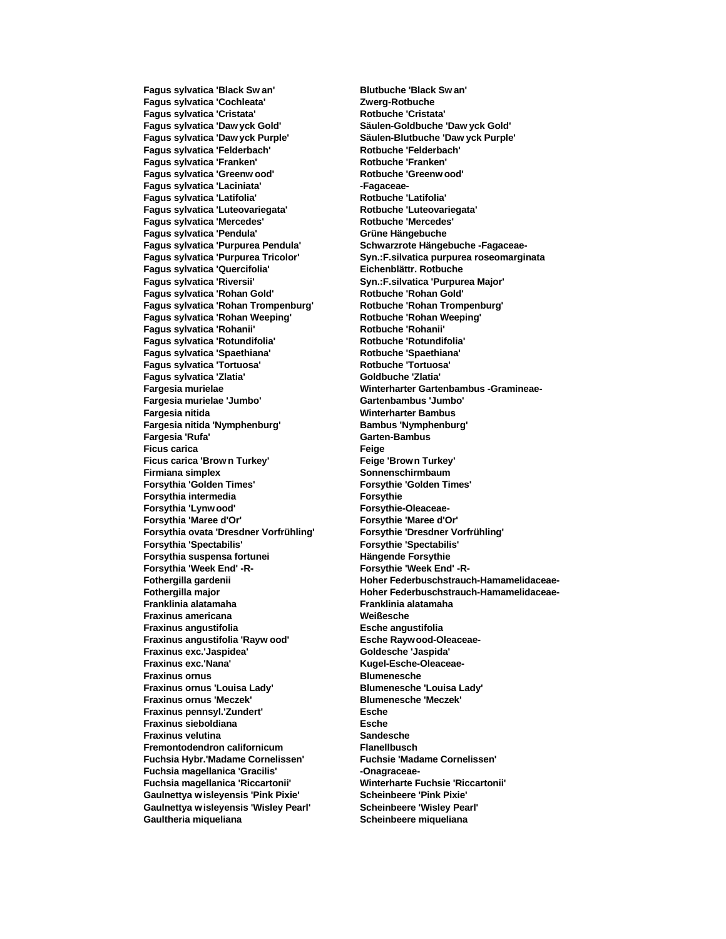**Fagus sylvatica 'Cochleata' Zwerg-Rotbuche Fagus sylvatica 'Cristata' Rotbuche 'Cristata' Fagus sylvatica 'Daw yck Gold' Säulen-Goldbuche 'Daw yck Gold' Fagus sylvatica 'Daw yck Purple' Säulen-Blutbuche 'Daw yck Purple' Fagus sylvatica 'Felderbach' Fagus sylvatica 'Franken' Rotbuche 'Franken' Fagus sylvatica 'Greenw ood' Rotbuche 'Greenw ood' Fagus sylvatica 'Laciniata' -Fagaceae-Fagus sylvatica 'Latifolia' Rotbuche 'Latifolia' Fagus sylvatica 'Luteovariegata' Rotbuche 'Luteovariegata' Fagus sylvatica 'Mercedes' Rotbuche 'Mercedes' Fagus sylvatica 'Pendula' Grüne Hängebuche Fagus sylvatica 'Purpurea Pendula' Schwarzrote Hängebuche -Fagaceae-Fagus sylvatica 'Quercifolia' Eichenblättr. Rotbuche Fagus sylvatica 'Riversii' Syn.:F.silvatica 'Purpurea Major' Fagus sylvatica 'Rohan Gold' Rotbuche 'Rohan Gold' Fagus sylvatica 'Rohan Trompenburg' Rotbuche 'Rohan Trompenburg' Fagus sylvatica 'Rohan Weeping' Fagus sylvatica 'Rohanii' Rotbuche 'Rohanii' Rotbuche 'Rohanii' Fagus sylvatica 'Rotundifolia' Rotbuche 'Rotundifolia' Fagus sylvatica 'Spaethiana' Rotbuche 'Spaethiana' Fagus sylvatica 'Tortuosa' Rotbuche 'Tortuosa' Fagus sylvatica 'Zlatia' Goldbuche 'Zlatia' Fargesia murielae 'Jumbo' Gartenbambus 'Jumbo' Fargesia nitida Winterharter Bambus Fargesia nitida 'Nymphenburg' Bambus 'Nymphenburg' Ficus carica Ficus carica 'Brow n Turkey' Feige 'Brown Turkey' Firmiana simplex Sonnenschirmbaum Forsythia 'Golden Times' Forsythie 'Golden Times' Forsythia intermedia Forsythie Forsythia 'Lynwood' Forsythia 'Maree d'Or' Forsythie 'Maree d'Or' Forsythia ovata 'Dresdner Vorfrühling' Forsythie 'Dresdner Vorfrühling' Forsythia 'Spectabilis' Forsythie 'Spectabilis' Forsythia suspensa fortunei Hängende Forsythie Forsythia 'Week End' -R-Franklinia alatamaha Franklinia alatamaha Fraxinus americana Weißesche Fraxinus angustifolia Esche angustifolia Fraxinus angustifolia 'Rayw ood' Esche Raywood-Oleaceae-Fraxinus exc.'Jaspidea' Goldesche 'Jaspida' Fraxinus exc.'Nana' Kugel-Esche-Oleaceae-Fraxinus ornus Blumenesche Fraxinus ornus 'Louisa Lady' Blumenesche 'Louisa Lady' Fraxinus ornus 'Meczek' Blumenesche 'Meczek' Fraxinus pennsyl.'Zundert' Esche Fraxinus sieboldiana Esche Fraxinus velutina Sandesche Fremontodendron californicum Flanellbusch Fuchsia Hybr.'Madame Cornelissen' Fuchsie 'Madame Cornelissen' Fuchsia magellanica 'Gracilis' -Onagraceae-Fuchsia magellanica 'Riccartonii' Winterharte Fuchsie 'Riccartonii' Gaulnettya wisleyensis 'Pink Pixie' Scheinbeere 'Pink Pixie' Gaulnettya wisleyensis 'Wisley Pearl' Scheinbeere 'Wisley Pearl' Gaultheria miqueliana Scheinbeere miqueliana**

**Fagus sylvatica 'Black Sw an' Blutbuche 'Black Sw an' Svn.:F.silvatica purpurea roseomarginata Fargesia murielae Winterharter Gartenbambus -Gramineae-Fargesia 'Rufa' Garten-Bambus Fothergilla gardenii Hoher Federbuschstrauch-Hamamelidaceae-Hoher Federbuschstrauch-Hamamelidaceae-**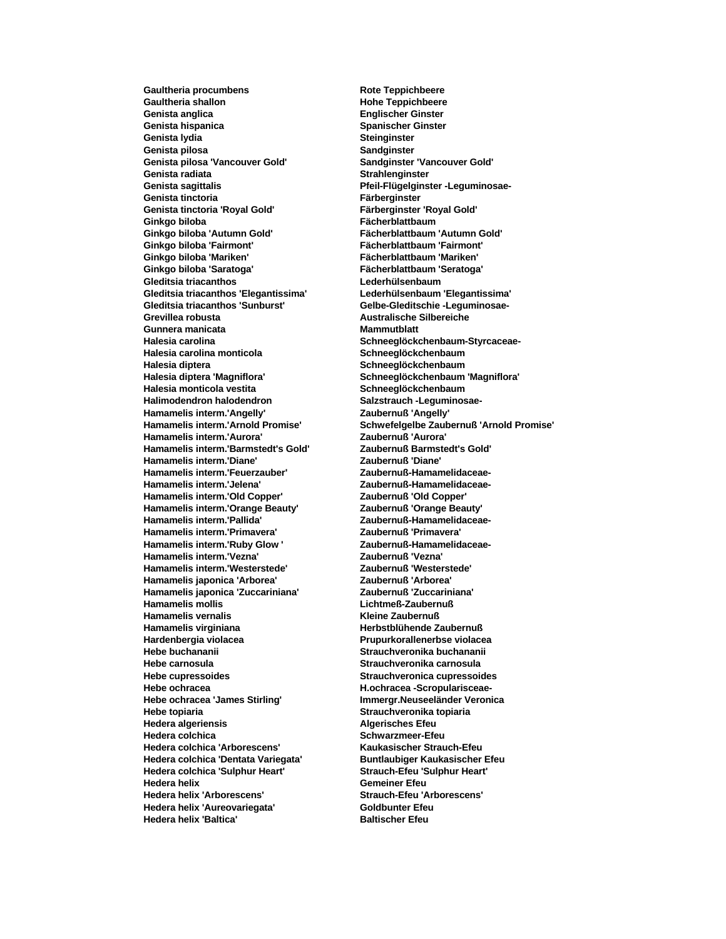Gaultheria procumbens **Rote Teppichbeere** Gaultheria shallon **Manual Exception Except** Hohe Teppichbeere **Genista anglica Englischer Ginster Genista hispanica Spanischer Ginster Genista lydia Steinginster Genista pilosa Sandginster Genista pilosa 'Vancouver Gold' Sandginster 'Vancouver Gold' Genista radiata Strahlenginster Genista sagittalis Pfeil-Flügelginster -Leguminosae-Genista tinctoria Färberginster Genista tinctoria 'Royal Gold' Färberginster 'Royal Gold' Ginkgo biloba Fächerblattbaum Ginkgo biloba 'Autumn Gold' Fächerblattbaum 'Autumn Gold' Ginkgo biloba 'Fairmont' Fächerblattbaum 'Fairmont' Ginkgo biloba 'Saratoga' Fächerblattbaum 'Seratoga' Gleditsia triacanthos Lederhülsenbaum Gleditsia triacanthos 'Elegantissima' Lederhülsenbaum 'Elegantissima' Gleditsia triacanthos 'Sunburst' Gelbe-Gleditschie -Leguminosae-Grevillea robusta Australische Silbereiche Gunnera manicata Mammutblatt Halesia carolina Schneeglöckchenbaum-Styrcaceae-Halesia carolina monticola Schneeglöckchenbaum Halesia diptera Schneeglöckchenbaum Halesia diptera 'Magniflora' Schneeglöckchenbaum 'Magniflora' Halesia monticola vestita Schneeglöckchenbaum Halimodendron halodendron Salzstrauch -Leguminosae-Hamamelis interm.'Angelly' Zaubernuß 'Angelly' Hamamelis interm.'Aurora' Zaubernuß 'Aurora' Hamamelis interm.'Barmstedt's Gold' Hamamelis interm.'Diane' Zaubernuß 'Diane' Hamamelis interm.'Feuerzauber' Zaubernuß-Hamamelidaceae-Hamamelis interm.'Jelena' Zaubernuß-Hamamelidaceae-Hamamelis interm.'Old Copper' Zaubernuß 'Old Copper' Hamamelis interm.'Orange Beauty' Hamamelis interm.'Pallida' Zaubernuß-Hamamelidaceae-Hamamelis interm.'Primavera' Zaubernuß 'Primavera' Hamamelis interm.'Ruby Glow ' Zaubernuß-Hamamelidaceae-Hamamelis interm.'Vezna' Zaubernuß 'Vezna'**  $Hamamelis$  interm.'Westerstede' **Hamamelis japonica 'Arborea' Zaubernuß 'Arborea' Hamamelis japonica 'Zuccariniana' Zaubernuß 'Zuccariniana' Hamamelis mollis Lichtmeß-Zaubernuß Hamamelis vernalis Kleine Zaubernuß** Hamamelis virginiana **Herbstblühende Zaubernuß Hardenbergia violacea Prupurkorallenerbse violacea Hebe buchananii Strauchveronika buchananii Hebe carnosula Strauchveronika carnosula Hebe cupressoides Strauchveronica cupressoides Hebe ochracea H.ochracea -Scropularisceae-Hebe ochracea 'James Stirling' Immergr.Neuseeländer Veronica Hebe topiaria Strauchveronika topiaria Hedera algeriensis Algerisches Efeu Hedera colchica Schwarzmeer-Efeu Hedera colchica 'Arborescens' Kaukasischer Strauch-Efeu Hedera colchica 'Dentata Variegata' Buntlaubiger Kaukasischer Efeu Hedera colchica 'Sulphur Heart' Strauch-Efeu 'Sulphur Heart' Hedera helix Gemeiner Efeu Hedera helix 'Arborescens' Strauch-Efeu 'Arborescens' Hedera helix 'Aureovariegata' Goldbunter Efeu Hedera helix 'Baltica' Baltischer Efeu** 

**Ginkgo biloba 'Mariken' Fächerblattbaum 'Mariken' Hamamelis interm.'Arnold Promise' Schwefelgelbe Zaubernuß 'Arnold Promise'**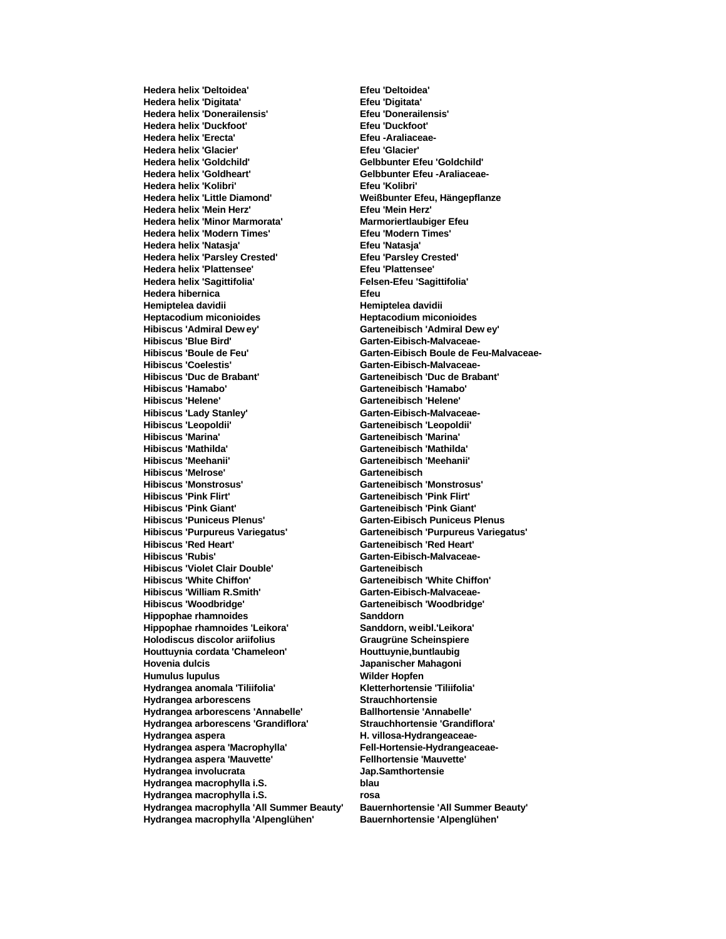**Hedera helix 'Deltoidea' Efeu 'Deltoidea' Hedera helix 'Digitata' Efeu 'Digitata' Hedera helix 'Donerailensis' Efeu 'Donerailensis' Hedera helix 'Duckfoot' Efeu 'Duckfoot' Hedera helix 'Erecta' Efeu -Araliaceae-Hedera helix 'Glacier' Efeu 'Glacier' Hedera helix 'Goldchild' Gelbbunter Efeu 'Goldchild' Hedera helix 'Goldheart' Gelbbunter Efeu -Araliaceae-Hedera helix 'Kolibri' Efeu 'Kolibri' Hedera helix 'Little Diamond' Weißbunter Efeu, Hängepflanze Hedera helix 'Mein Herz' Efeu 'Mein Herz' Hedera helix 'Minor Marmorata' Marmoriertlaubiger Efeu Hedera helix 'Modern Times' Efeu 'Modern Times' Hedera helix 'Natasja' Efeu 'Natasja' Hedera helix 'Parsley Crested' Hedera helix 'Plattensee' Efeu 'Plattensee' Hedera helix 'Sagittifolia' Felsen-Efeu 'Sagittifolia' Hedera hibernica Efeu Hemiptelea davidii Hemiptelea davidii Heptacodium miconioides Heptacodium miconioides Hibiscus 'Admiral Dew ey' Garteneibisch 'Admiral Dew ey' Hibiscus 'Blue Bird' Garten-Eibisch-Malvaceae-Hibiscus 'Coelestis' Garten-Eibisch-Malvaceae-Hibiscus 'Duc de Brabant' Garteneibisch 'Duc de Brabant' Hibiscus 'Hamabo' Garteneibisch 'Hamabo' Hibiscus 'Helene' Garteneibisch 'Helene' Hibiscus 'Lady Stanley' Garten-Eibisch-Malvaceae-Hibiscus 'Leopoldii' Garteneibisch 'Leopoldii' Hibiscus 'Marina' Garteneibisch 'Marina' Hibiscus 'Meehanii' Garteneibisch 'Meehanii' Hibiscus 'Melrose' Garteneibisch Hibiscus 'Monstrosus' Garteneibisch 'Monstrosus' Hibiscus 'Pink Flirt' Garteneibisch 'Pink Flirt' Hibiscus 'Puniceus Plenus' Garten-Eibisch Puniceus Plenus Hibiscus 'Purpureus Variegatus' Garteneibisch 'Purpureus Variegatus' Hibiscus 'Red Heart' Garteneibisch 'Red Heart' Hibiscus 'Violet Clair Double' Garteneibisch Hibiscus 'White Chiffon' Garteneibisch 'White Chiffon' Hibiscus 'William R.Smith' Garten-Eibisch-Malvaceae-Hibiscus 'Woodbridge' Garteneibisch 'Woodbridge' Hippophae rhamnoides Sanddorn Hippophae rhamnoides 'Leikora' Sanddorn, weibl.'Leikora' Holodiscus discolor ariifolius Graugrüne Scheinspiere Houttuynia cordata 'Chameleon' Houttuynie,buntlaubig Hovenia dulcis Japanischer Mahagoni Humulus lupulus Wilder Hopfen Hydrangea anomala 'Tiliifolia' Kletterhortensie 'Tiliifolia' Hydrangea arborescens Hydrangea arborescens 'Annabelle' Ballhortensie 'Annabelle' Hydrangea arborescens 'Grandiflora' Strauchhortensie 'Grandiflora' Hydrangea aspera H. villosa-Hydrangeaceae-Hydrangea aspera 'Macrophylla' Fell-Hortensie-Hydrangeaceae-Hydrangea aspera 'Mauvette' Fellhortensie 'Mauvette' Hydrangea involucrata Jap.Samthortensie Hydrangea macrophylla i.S. blau Hydrangea macrophylla i.S. rosa Hydrangea macrophylla 'All Summer Beauty' Bauernhortensie 'All Summer Beauty' Hydrangea macrophylla 'Alpenglühen' Bauernhortensie 'Alpenglühen'**

**Hibiscus 'Boule de Feu' Garten-Eibisch Boule de Feu-Malvaceae-Hibiscus 'Mathilda' Garteneibisch 'Mathilda' Hibiscus 'Pink Giant' Garteneibisch 'Pink Giant' Hibiscus 'Rubis' Garten-Eibisch-Malvaceae-**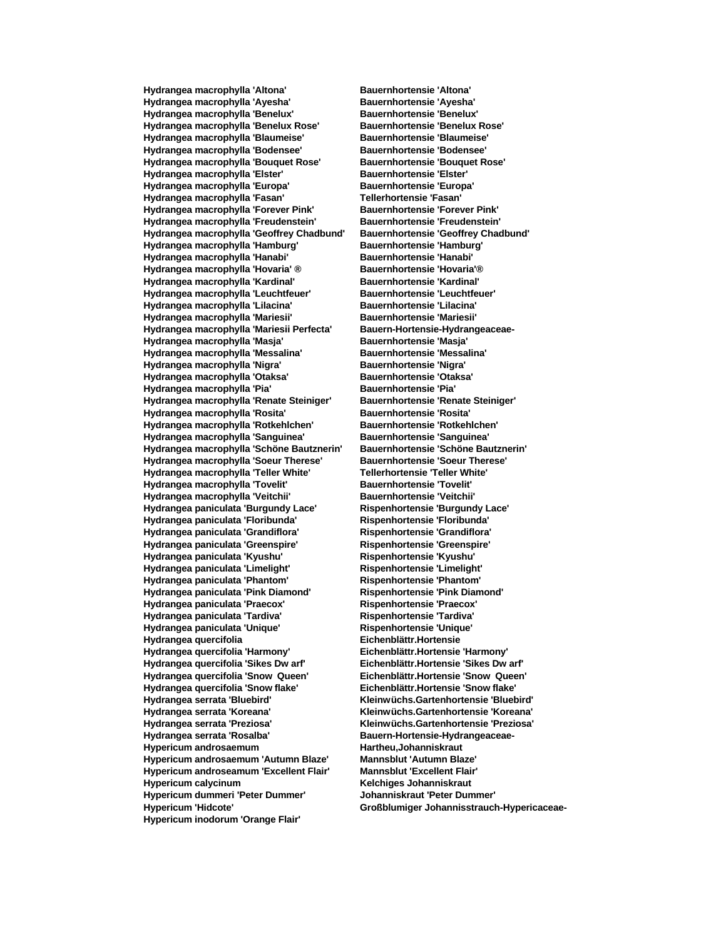**Hydrangea macrophylla 'Altona' Bauernhortensie 'Altona' Hydrangea macrophylla 'Ayesha' Bauernhortensie 'Ayesha' Hydrangea macrophylla 'Benelux' Bauernhortensie 'Benelux' Hydrangea macrophylla 'Benelux Rose' Bauernhortensie 'Benelux Rose' Hydrangea macrophylla 'Blaumeise' Bauernhortensie 'Blaumeise' Hydrangea macrophylla 'Bodensee' Bauernhortensie 'Bodensee' Hydrangea macrophylla 'Bouquet Rose' Bauernhortensie 'Bouquet Rose' Hydrangea macrophylla 'Elster' Bauernhortensie 'Elster' Hydrangea macrophylla 'Europa' Bauernhortensie 'Europa' Hydrangea macrophylla 'Fasan' Tellerhortensie 'Fasan' Hydrangea macrophylla 'Forever Pink' Bauernhortensie 'Forever Pink' Hydrangea macrophylla 'Freudenstein' Bauernhortensie 'Freudenstein' Hydrangea macrophylla 'Geoffrey Chadbund' Bauernhortensie 'Geoffrey Chadbund' Hydrangea macrophylla 'Hamburg' Bauernhortensie 'Hamburg' Hydrangea macrophylla 'Hanabi' Hydrangea macrophylla 'Hovaria' ® Bauernhortensie 'Hovaria'® Hydrangea macrophylla 'Kardinal' Bauernhortensie 'Kardinal' Hydrangea macrophylla 'Leuchtfeuer' Bauernhortensie 'Leuchtfeuer' Hydrangea macrophylla 'Lilacina' Bauernhortensie 'Lilacina' Hydrangea macrophylla 'Mariesii' Bauernhortensie 'Mariesii' Hydrangea macrophylla 'Mariesii Perfecta' Bauern-Hortensie-Hydrangeaceae-Hydrangea macrophylla 'Masja' Bauernhortensie 'Masja' Hydrangea macrophylla 'Messalina' Bauernhortensie 'Messalina' Hydrangea macrophylla 'Nigra' Bauernhortensie 'Nigra' Hydrangea macrophylla 'Otaksa' Bauernhortensie 'Otaksa' Hydrangea macrophylla 'Pia' Bauernhortensie 'Pia' Hydrangea macrophylla 'Renate Steiniger' Bauernhortensie 'Renate Steiniger' Hydrangea macrophylla 'Rosita' Bauernhortensie 'Rosita' Hydrangea macrophylla 'Rotkehlchen' Bauernhortensie 'Rotkehlchen' Hydrangea macrophylla 'Sanguinea' Bauernhortensie 'Sanguinea' Hydrangea macrophylla 'Schöne Bautznerin' Hydrangea macrophylla 'Soeur Therese' Bauernhortensie 'Soeur Therese' Hydrangea macrophylla 'Teller White' Tellerhortensie 'Teller White' Hydrangea macrophylla 'Tovelit' Bauernhortensie 'Tovelit' Hydrangea macrophylla 'Veitchii' Bauernhortensie 'Veitchii' Hydrangea paniculata 'Burgundy Lace' Rispenhortensie 'Burgundy Lace' Hydrangea paniculata 'Floribunda' Rispenhortensie 'Floribunda' Hydrangea paniculata 'Grandiflora' Rispenhortensie 'Grandiflora' Hydrangea paniculata 'Greenspire' Rispenhortensie 'Greenspire' Hydrangea paniculata 'Kyushu' Rispenhortensie 'Kyushu' Hydrangea paniculata 'Limelight' Rispenhortensie 'Limelight' Hydrangea paniculata 'Phantom' Rispenhortensie 'Phantom' Hydrangea paniculata 'Pink Diamond' Rispenhortensie 'Pink Diamond' Hydrangea paniculata 'Praecox' Rispenhortensie 'Praecox' Hydrangea paniculata 'Tardiva' Rispenhortensie 'Tardiva' Hydrangea paniculata 'Unique' Rispenhortensie 'Unique' Hydrangea quercifolia Eichenblättr.Hortensie Hydrangea quercifolia 'Harmony' Eichenblättr.Hortensie 'Harmony' Hydrangea quercifolia 'Sikes Dw arf' Eichenblättr.Hortensie 'Sikes Dw arf' Hydrangea quercifolia 'Snow Queen' Eichenblättr.Hortensie 'Snow Queen' Hydrangea quercifolia 'Snow flake' Eichenblättr.Hortensie 'Snow flake' Hydrangea serrata 'Bluebird' Kleinwüchs.Gartenhortensie 'Bluebird' Hydrangea serrata 'Koreana' Kleinwüchs.Gartenhortensie 'Koreana' Hydrangea serrata 'Preziosa' Kleinwüchs.Gartenhortensie 'Preziosa' Hydrangea serrata 'Rosalba' Bauern-Hortensie-Hydrangeaceae-Hypericum androsaemum Hartheu,Johanniskraut Hypericum androsaemum 'Autumn Blaze' Mannsblut 'Autumn Blaze' Hypericum androseamum 'Excellent Flair' Mannsblut 'Excellent Flair' Hypericum calycinum Kelchiges Johanniskraut Hypericum dummeri 'Peter Dummer' Johanniskraut 'Peter Dummer' Hypericum 'Hidcote' Großblumiger Johannisstrauch-Hypericaceae-Hypericum inodorum 'Orange Flair'**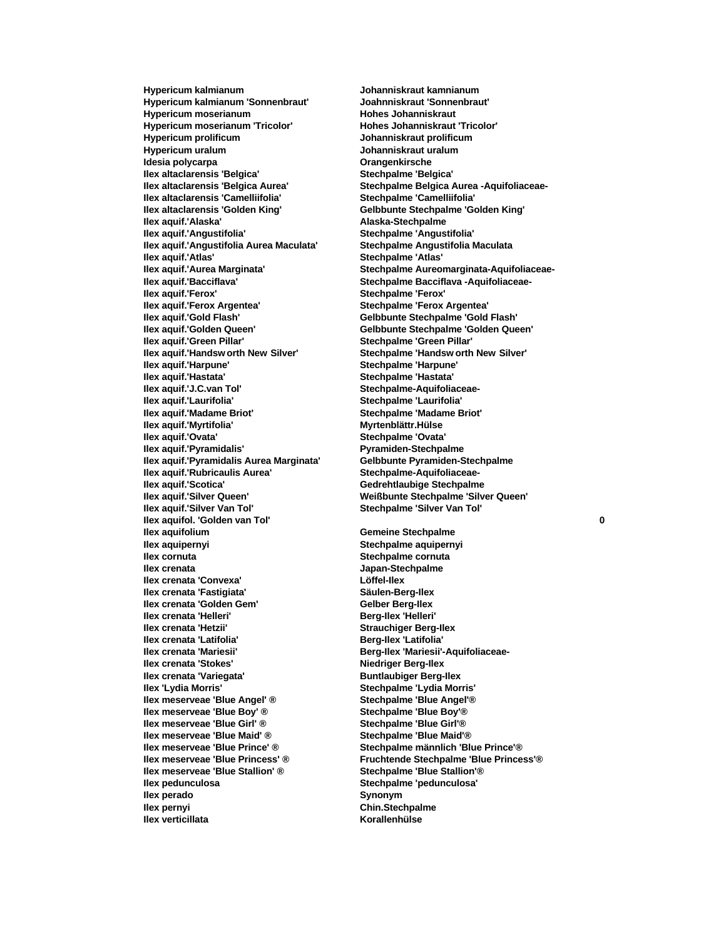**Hypericum kalmianum 'Sonnenbraut' Joahnniskraut 'Sonnenbraut' Hypericum moserianum Hohes Johanniskraut Hypericum moserianum 'Tricolor' Hohes Johanniskraut 'Tricolor' Hypericum prolificum Johanniskraut prolificum Hypericum uralum Johanniskraut uralum Idesia polycarpa Orangenkirsche Ilex altaclarensis 'Belgica' Stechpalme 'Belgica' Ilex altaclarensis 'Camelliifolia' Stechpalme 'Camelliifolia' Ilex altaclarensis 'Golden King' Gelbbunte Stechpalme 'Golden King' Ilex aquif.'Alaska' Alaska-Stechpalme Ilex aquif.'Angustifolia Aurea Maculata' Stechpalme Angustifolia Maculata Ilex aquif.'Atlas' Stechpalme 'Atlas' Ilex aquif.'Bacciflava' Stechpalme Bacciflava -Aquifoliaceae-Ilex aquif.'Ferox' Stechpalme 'Ferox' Ilex aquif.'Ferox Argentea' Stechpalme 'Ferox Argentea' Ilex aquif.'Gold Flash' Gelbbunte Stechpalme 'Gold Flash' Ilex aquif.'Golden Queen' Gelbbunte Stechpalme 'Golden Queen' Ilex aquif.'Green Pillar' Stechpalme 'Green Pillar' Ilex aquif.'Handsw orth New Silver' Stechpalme 'Handsw orth New Silver' Ilex aquif.'Harpune' Stechpalme 'Harpune' Ilex aquif.'Hastata' Stechpalme 'Hastata' Ilex aquif.'J.C.van Tol' Stechpalme-Aquifoliaceae-Ilex aquif.'Laurifolia' Stechpalme 'Laurifolia' Ilex aquif.'Madame Briot' Stechpalme 'Madame Briot' Ilex aquif.'Myrtifolia' Myrtenblättr.Hülse Ilex aquif.'Pyramidalis' Ilex aquif.'Pyramidalis Aurea Marginata' Gelbbunte Pyramiden-Stechpalme Ilex aquif.'Rubricaulis Aurea' Stechpalme-Aquifoliaceae-Ilex aquif.'Silver Queen' Weißbunte Stechpalme 'Silver Queen' Ilex aquifol. 'Golden van Tol' 0 Ilex aquifolium Ilex aquifolium Gemeine Stechpalme Ilex aquipernyi Stechpalme aquipernyi Ilex crenata Japan-Stechpalme Ilex crenata 'Convexa' Löffel-Ilex Ilex crenata 'Fastigiata' Ilex crenata 'Golden Gem' Gelber Berg-Ilex Ilex crenata 'Helleri' Berg-Ilex 'Helleri' Ilex crenata 'Hetzii' Strauchiger Berg-Ilex Ilex crenata 'Latifolia' Berg-Ilex 'Latifolia' Ilex crenata 'Mariesii' Berg-Ilex 'Mariesii'-Aquifoliaceae-Ilex crenata 'Stokes' Niedriger Berg-Ilex Ilex crenata 'Variegata' Buntlaubiger Berg-Ilex Ilex 'Lydia Morris' Stechpalme 'Lydia Morris' Ilex meserveae 'Blue Angel' ® Ilex meserveae 'Blue Boy' ® Stechpalme 'Blue Boy' ® Ilex meserveae 'Blue Girl' ® Stechpalme 'Blue Girl'** ® **Ilex meserveae 'Blue Girl' ® Ilex meserveae 'Blue Maid' ® Stechpalme 'Blue Maid'® Ilex meserveae 'Blue Prince' ® Stechpalme männlich 'Blue Prince'® Ilex meserveae 'Blue Princess' ® Fruchtende Stechpalme 'Blue Princess'® Ilex meserveae 'Blue Stallion' ® Stechpalme 'Blue Stallion'® Ilex pedunculosa Stechpalme 'pedunculosa' Ilex perado Synonym Ilex pernyi Chin.Stechpalme Ilex verticillata Korallenhülse** 

**Hypericum kalmianum Johanniskraut kamnianum Ilex altaclarensis 'Belgica Aurea' Stechpalme Belgica Aurea -Aquifoliaceae-Ilex aquif.'Angustifolia' Stechpalme 'Angustifolia' Ilex aquif.'Aurea Marginata' Stechpalme Aureomarginata-Aquifoliaceae-Ilex angles in Stechpalme 'Ovata' Pyramiden-Stechpalme Gedrehtlaubige Stechpalme Ilex aquif.'Silver Van Tol' Stechpalme 'Silver Van Tol'**

**Stechpalme cornuta**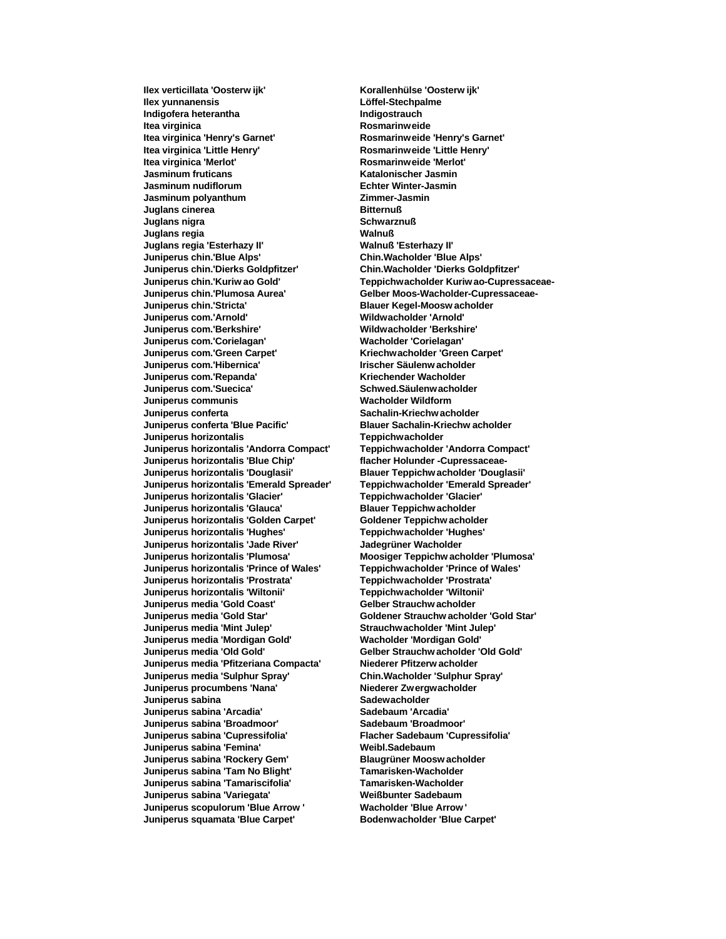**Ilex yunnanensis Löffel-Stechpalme Indigofera heterantha Indigostrauch Itea virginica Rosmarinweide Itea virginica 'Henry's Garnet' Rosmarinweide 'Henry's Garnet' Itea virginica 'Merlot' Rosmarinweide 'Merlot' Jasminum fruticans Katalonischer Jasmin Jasminum nudiflorum Echter Winter-Jasmin Jasminum polyanthum Zimmer-Jasmin Juglans cinerea Bitternuß Juglans nigra Schwarznuß Juglans regia Walnuß Juglans regia 'Esterhazy II'<br>Juniperus chin.'Blue Alps' Juniperus chin.'Dierks Goldpfitzer' Chin.Wacholder 'Dierks Goldpfitzer' Juniperus chin.'Plumosa Aurea' Gelber Moos-Wacholder-Cupressaceae-Juniperus chin.'Stricta' Blauer Kegel-Moosw acholder Juniperus com.'Arnold' Wildwacholder 'Arnold' Juniperus com.'Berkshire' Wildwacholder 'Berkshire' Juniperus com.'Corielagan' Wacholder 'Corielagan' Juniperus com.'Green Carpet' Kriechwacholder 'Green Carpet' Juniperus com.'Hibernica' Irischer Säulenw acholder Juniperus com.'Repanda' Kriechender Wacholder Juniperus com.'Suecica' Schwed.Säulenwacholder Juniperus communis Wacholder Wildform Juniperus conferta Sachalin-Kriechw acholder Juniperus conferta 'Blue Pacific' Blauer Sachalin-Kriechw acholder Juniperus horizontalis Teppichwacholder Juniperus horizontalis 'Andorra Compact' Juniperus horizontalis 'Blue Chip' flacher Holunder -Cupressaceae-Juniperus horizontalis 'Douglasii' Blauer Teppichw acholder 'Douglasii' Juniperus horizontalis 'Emerald Spreader' Teppichwacholder 'Emerald Spreader' Juniperus horizontalis 'Glacier' Teppichwacholder 'Glacier' Juniperus horizontalis 'Glauca' Juniperus horizontalis 'Golden Carpet' Goldener Teppichw acholder Juniperus horizontalis 'Hughes' Teppichwacholder 'Hughes' Juniperus horizontalis 'Jade River' Jadegrüner Wacholder Juniperus horizontalis 'Prince of Wales' Juniperus horizontalis 'Prostrata' Teppichwacholder 'Prostrata' Juniperus horizontalis 'Wiltonii' Teppichwacholder 'Wiltonii' Juniperus media 'Gold Coast' Gelber Strauchw acholder Juniperus media 'Gold Star' Goldener Strauchw acholder 'Gold Star' Juniperus media 'Mint Julep' Strauchwacholder 'Mint Julep' Juniperus media 'Mordigan Gold' Wacholder 'Mordigan Gold' Juniperus media 'Old Gold' Gelber Strauchw acholder 'Old Gold' Juniperus media 'Pfitzeriana Compacta' Niederer Pfitzerw acholder Juniperus media 'Sulphur Spray' Chin.Wacholder 'Sulphur Spray' Juniperus procumbens 'Nana' Niederer Zwergwacholder Juniperus sabina Sadewacholder Juniperus sabina 'Arcadia' Sadebaum 'Arcadia' Juniperus sabina 'Broadmoor' Sadebaum 'Broadmoor' Juniperus sabina 'Cupressifolia' Flacher Sadebaum 'Cupressifolia' Juniperus sabina 'Femina'** Weibl.Sadebaum **Juniperus sabina 'Rockery Gem' Blaugrüner Moosw acholder Juniperus sabina 'Tam No Blight' Tamarisken-Wacholder Juniperus sabina 'Tamariscifolia' Juniperus sabina 'Variegata' Weißbunter Sadebaum Juniperus scopulorum 'Blue Arrow ' Wacholder 'Blue Arrow ' Juniperus squamata 'Blue Carpet' Bodenwacholder 'Blue Carpet'**

**Ilex verticillata 'Oosterw ijk' Korallenhülse 'Oosterw ijk' Itea virginica 'Little Henry' Rosmarinweide 'Little Henry' Juniperus chin.'Blue Alps' Chin.Wacholder 'Blue Alps' Juniperus chin.'Kuriw ao Gold' Teppichwacholder Kuriw ao-Cupressaceae-Moosiger Teppichw acholder 'Plumosa' Teppichw acholder 'Prince of Wales'**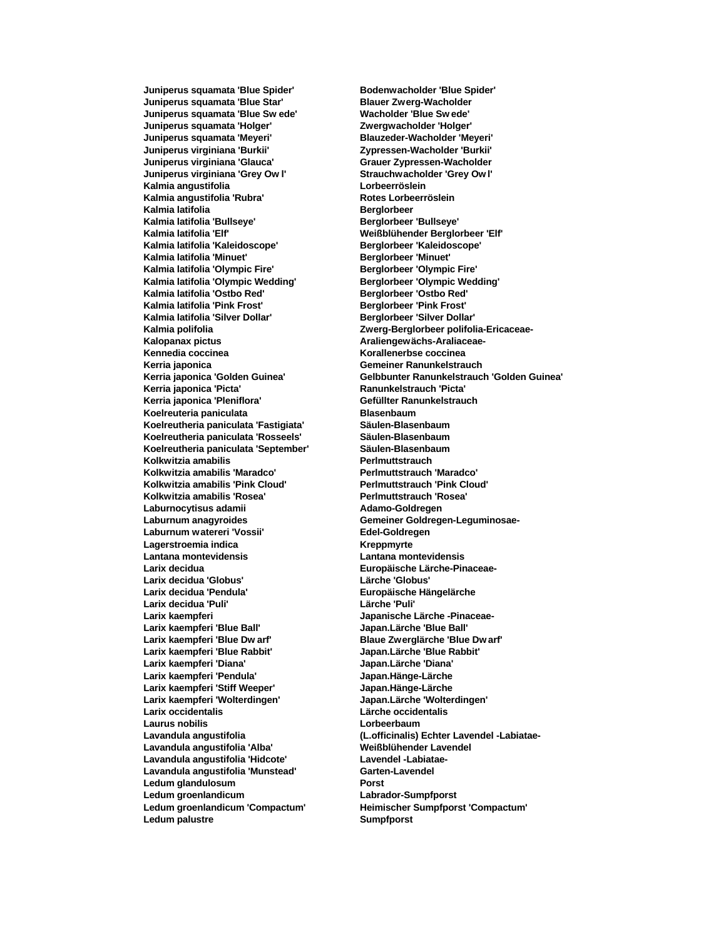**Juniperus squamata 'Blue Star' Blauer Zwerg-Wacholder Juniperus squamata 'Blue Sw ede' Wacholder 'Blue Sw ede' Juniperus squamata 'Holger' Zwergwacholder 'Holger' Juniperus squamata 'Meyeri' Blauzeder-Wacholder 'Meyeri' Juniperus virginiana 'Glauca' Grauer Zypressen-Wacholder Juniperus virginiana 'Grey Ow l' Strauchwacholder 'Grey Ow l' Kalmia angustifolia Lorbeerröslein** Kalmia angustifolia 'Rubra' **Rotes Lorbeerröslein Kalmia latifolia Berglorbeer** Kalmia latifolia 'Bullseye' **Berglorbeer 'Bullseye' Berglorbeer** 'Bullseye' **Kalmia latifolia 'Elf' Weißblühender Berglorbeer 'Elf' Kalmia latifolia 'Kaleidoscope' Berglorbeer 'Kaleidoscope' Kalmia latifolia 'Minuet' Kalmia latifolia 'Olympic Fire' Berglorbeer 'Olympic Fire' Kalmia latifolia 'Olympic Wedding' Berglorbeer 'Olympic Wedding' Kalmia latifolia 'Ostbo Red'** Kalmia latifolia 'Pink Frost' **Berglorbeer** 'Pink Frost' **Kalmia latifolia 'Silver Dollar' Berglorbeer 'Silver Dollar' Kalopanax pictus Araliengewächs-Araliaceae-Kennedia coccinea Korallenerbse coccinea Kerria japonica Gemeiner Ranunkelstrauch** Kerria japonica 'Picta' **Ranunkelstrauch 'Picta'** Ranunkelstrauch 'Picta' Kerria japonica 'Pleniflora' **Gefüllter Ranunkelstrauch Koelreuteria paniculata Blasenbaum Koelreutheria paniculata 'Fastigiata' Säulen-Blasenbaum Koelreutheria paniculata 'Rosseels' Säulen-Blasenbaum Koelreutheria paniculata 'September' Kolkwitzia amabilis Perlmuttstrauch Kolkwitzia amabilis 'Maradco' Perlmuttstrauch 'Maradco' Kolkwitzia amabilis 'Pink Cloud' Perlmuttstrauch 'Pink Cloud'** Kolkwitzia amabilis 'Rosea' Perlmuttstrauch 'Rosea' Laburnocytisus adamii **Adamo-Goldregen Laburnum anagyroides Gemeiner Goldregen-Leguminosae-**Laburnum watereri 'Vossii' **Edel-Goldregen Lagerstroemia indica Kreppmyrte Lantana montevidensis Lantana montevidensis Larix decidua Europäische Lärche-Pinaceae-Larix decidua 'Globus' Lärche 'Globus'** Larix decidua 'Pendula' **Europäische Hängelärche Larix decidua 'Puli' Lärche 'Puli' Larix kaempferi Japanische Lärche -Pinaceae-Larix kaempferi 'Blue Ball' Japan.Lärche 'Blue Ball' Larix kaempferi 'Blue Dw arf' Blaue Zwerglärche 'Blue Dw arf' Larix kaempferi 'Diana' Japan.Lärche 'Diana' Larix kaempferi 'Pendula' Japan.Hänge-Lärche Larix kaempferi 'Stiff Weeper' Japan.Hänge-Lärche Larix kaempferi 'Wolterdingen' Japan.Lärche 'Wolterdingen' Larix occidentalis Lärche occidentalis Laurus nobilis Lorbeerbaum Lavandula angustifolia 'Alba' Weißblühender Lavendel Lavandula angustifolia 'Hidcote' Lavendel -Labiatae-**Lavandula angustifolia 'Munstead' **Garten-Lavendel Ledum glandulosum Porst Ledum groenlandicum Labrador-Sumpfporst** Ledum palustre **Sumpfporst** 

**Juniperus squamata 'Blue Spider' Bodenwacholder 'Blue Spider' Juniperus virginiana 'Burkii' Zypressen-Wacholder 'Burkii' Kalmia polifolia Zwerg-Berglorbeer polifolia-Ericaceae-Kerria japonica 'Golden Guinea' Gelbbunter Ranunkelstrauch 'Golden Guinea' Larix kaempferi 'Blue Rabbit' Japan.Lärche 'Blue Rabbit' Lavandula angustifolia (L.officinalis) Echter Lavendel -Labiatae-Ledum groenlandicum 'Compactum' Heimischer Sumpfporst 'Compactum'**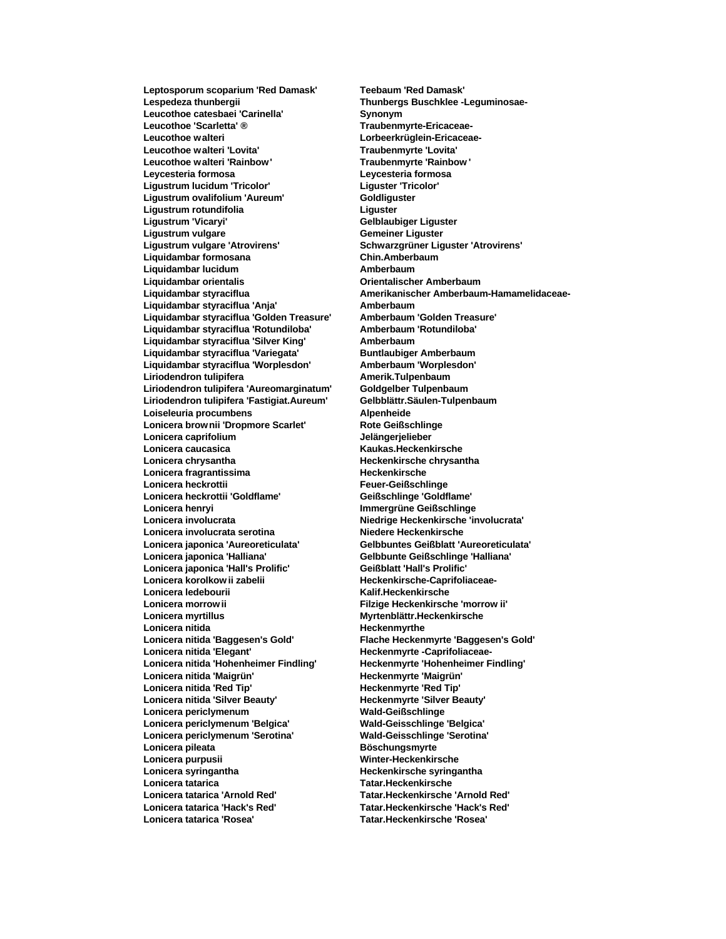**Leptosporum scoparium 'Red Damask' Teebaum 'Red Damask' Lespedeza thunbergii Thunbergs Buschklee -Leguminosae-**Leucothoe catesbaei 'Carinella' **Synonym** Leucothoe 'Scarletta' <sup>®</sup> **Traubenmyrte-Ericaceae-Leucothoe walteri Lorbeerkrüglein-Ericaceae-**Leucothoe walteri 'Lovita' **Leucothoe walteri 'Rainbow ' Traubenmyrte 'Rainbow ' Leycesteria formosa Leycesteria formosa Ligustrum lucidum 'Tricolor' Liguster 'Tricolor' Ligustrum ovalifolium 'Aureum' Goldliguster Ligustrum rotundifolia Liguster Ligustrum 'Vicaryi' Gelblaubiger Liguster Ligustrum vulgare Gemeiner Liguster Liquidambar formosana Liquidambar lucidum Amberbaum Liquidambar orientalis Orientalischer Amberbaum Liquidambar styraciflua 'Anja' Amberbaum Liquidambar styraciflua 'Golden Treasure' Amberbaum 'Golden Treasure' Liquidambar styraciflua 'Rotundiloba' Amberbaum 'Rotundiloba' Liquidambar styraciflua 'Silver King' Amberbaum Liquidambar styraciflua 'Variegata' Buntlaubiger Amberbaum Liquidambar styraciflua 'Worplesdon' Amberbaum 'Worplesdon' Liriodendron tulipifera Amerik.Tulpenbaum Liriodendron tulipifera 'Aureomarginatum' Goldgelber Tulpenbaum Liriodendron tulipifera 'Fastigiat.Aureum' Gelbblättr.Säulen-Tulpenbaum Loiseleuria procumbens Alpenheide Lonicera brow nii 'Dropmore Scarlet' Rote Geißschlinge Lonicera caprifolium Jelängerjelieber Lonicera chrysantha Heckenkirsche chrysantha Lonicera fragrantissima Heckenkirsche Lonicera heckrottii Feuer-Geißschlinge Lonicera heckrottii 'Goldflame' Geißschlinge 'Goldflame' Lonicera henryi Immergrüne Geißschlinge Lonicera involucrata Niedrige Heckenkirsche 'involucrata' Lonicera involucrata serotina Niedere Heckenkirsche Lonicera japonica 'Aureoreticulata' Gelbbuntes Geißblatt 'Aureoreticulata' Lonicera japonica 'Halliana' Gelbbunte Geißschlinge 'Halliana' Lonicera japonica 'Hall's Prolific' Geißblatt 'Hall's Prolific' Lonicera korolkow ii zabelii Heckenkirsche-Caprifoliaceae-Lonicera ledebourii Kalif.Heckenkirsche Lonicera morrow ii Filzige Heckenkirsche 'morrow ii' Lonicera myrtillus Myrtenblättr.Heckenkirsche Lonicera nitida Heckenmyrthe** Lonicera nitida 'Elegant' **Heckenmyrte -Caprifoliaceae-Lonicera nitida 'Hohenheimer Findling' Heckenmyrte 'Hohenheimer Findling' Lonicera nitida 'Maigrün' Heckenmyrte 'Maigrün' Lonicera nitida 'Red Tip' Heckenmyrte 'Red Tip'**<br> **Lonicera nitida 'Silver Beauty' Heckenmyrte 'Silver Beauty'** Lonicera nitida 'Silver Beauty' **Lonicera periclymenum Wald-Geißschlinge** Lonicera periclymenum 'Belgica' **Lonicera periclymenum 'Serotina' Wald-Geisschlinge 'Serotina' Lonicera pileata Böschungsmyrte Lonicera purpusii Winter-Heckenkirsche Lonicera syringantha Heckenkirsche syringantha Lonicera tatarica Tatar.Heckenkirsche Lonicera tatarica 'Arnold Red' Tatar.Heckenkirsche 'Arnold Red' Lonicera tatarica 'Hack's Red' Tatar.Heckenkirsche 'Hack's Red' Lonicera tatarica 'Rosea' Tatar.Heckenkirsche 'Rosea'**

**Ligustrum vulgare 'Atrovirens' Schwarzgrüner Liguster 'Atrovirens' Liquidambar styraciflua Amerikanischer Amberbaum-Hamamelidaceae-Lonicera caucasica Kaukas.Heckenkirsche Lonicera nitida 'Baggesen's Gold' Flache Heckenmyrte 'Baggesen's Gold'**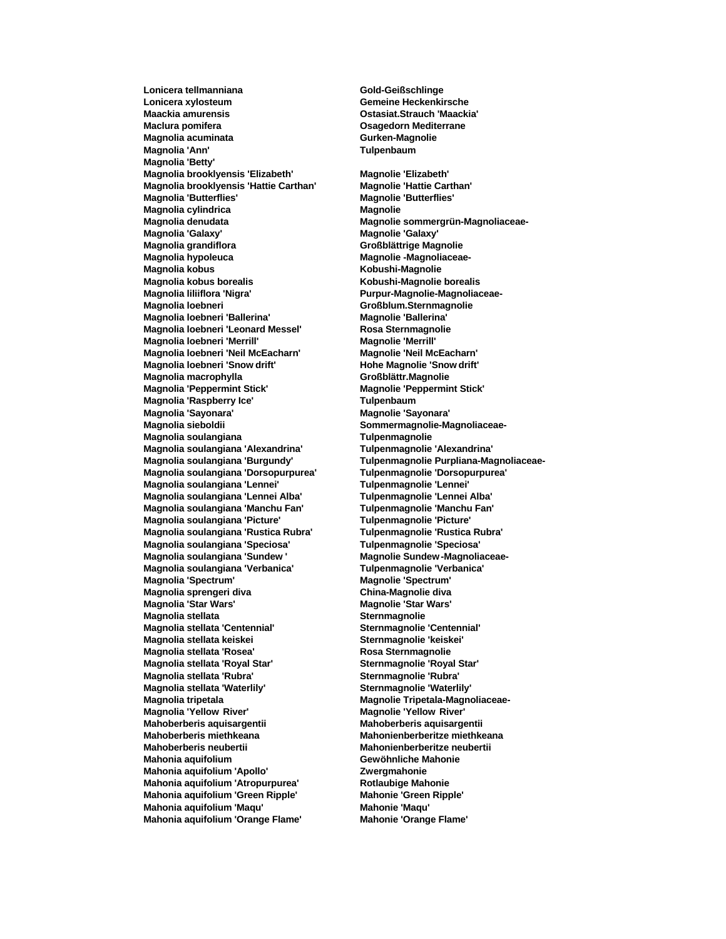**Lonicera tellmanniana Gold-Geißschlinge Lonicera xylosteum Gemeine Heckenkirsche Maclura pomifera Osagedorn Mediterrane Magnolia acuminata Gurken-Magnolie Magnolia 'Ann' Tulpenbaum Magnolia 'Betty' Magnolia brooklyensis 'Elizabeth' Magnolie 'Elizabeth' Magnolia brooklyensis 'Hattie Carthan' Magnolie 'Hattie Carthan' Magnolia 'Butterflies' Magnolie 'Butterflies' Magnolia cylindrica Magnolie Magnolie Magnolia denudata Magnolie sommergrün-Magnoliaceae-Magnolia 'Galaxy' Magnolie 'Galaxy' Magnolia grandiflora Großblättrige Magnolie Magnolia kobus Kobushi-Magnolie Magnolia kobus borealis Kobushi-Magnolie borealis** Magnolia liliiflora 'Nigra' **Nigramber 1988** Purpur-Magnolie-Magnoliaceae-**Magnolia loebneri Großblum.Sternmagnolie Magnolia loebneri 'Ballerina' Magnolie 'Ballerina' Magnolia loebneri 'Leonard Messel' Rosa Sternmagnolie Magnolia loebneri 'Merrill' Magnolie 'Merrill' Magnolia loebneri 'Neil McEacharn' Magnolie 'Neil McEacharn' Magnolia loebneri 'Snow drift' Hohe Magnolie 'Snow drift' Magnolia macrophylla Großblättr.Magnolie Magnolia 'Peppermint Stick' Magnolie 'Peppermint Stick' Magnolia 'Raspberry Ice' Tulpenbaum Magnolia 'Sayonara' Magnolie 'Sayonara' Magnolia sieboldii Sommermagnolie-Magnoliaceae-Magnolia soulangiana Tulpenmagnolie Magnolia soulangiana 'Alexandrina' Magnolia soulangiana 'Burgundy' Tulpenmagnolie Purpliana-Magnoliaceae-Magnolia soulangiana 'Dorsopurpurea' Tulpenmagnolie 'Dorsopurpurea' Magnolia soulangiana 'Lennei' Tulpenmagnolie 'Lennei' Magnolia soulangiana 'Lennei Alba' Tulpenmagnolie 'Lennei Alba' Magnolia soulangiana 'Manchu Fan' Magnolia soulangiana 'Picture' Tulpenmagnolie 'Picture' Magnolia soulangiana 'Rustica Rubra' Tulpenmagnolie 'Rustica Rubra' Magnolia soulangiana 'Speciosa' Tulpenmagnolie 'Speciosa' Magnolia soulangiana 'Verbanica' Tulpenmagnolie 'Verbanica' Magnolia 'Spectrum' Magnolie 'Spectrum' Magnolia sprengeri diva China-Magnolie diva Magnolia 'Star Wars' Magnolie 'Star Wars' Magnolia stellata Sternmagnolie Magnolia stellata 'Centennial' Sternmagnolie 'Centennial' Magnolia stellata keiskei Sternmagnolie 'keiskei' Magnolia stellata 'Rosea' Rosa Sternmagnolie Magnolia stellata 'Royal Star' Sternmagnolie 'Royal Star' Magnolia stellata 'Rubra' Sternmagnolie 'Rubra' Magnolia stellata 'Waterlily' Sternmagnolie 'Waterlily' Magnolia tripetala Magnolie Tripetala-Magnoliaceae-Magnolia 'Yellow River' Magnolie 'Yellow River' Mahoberberis miethkeana Mahonienberberitze miethkeana Mahoberberis neubertii Mahonienberberitze neubertii Mahonia aquifolium Gewöhnliche Mahonie Mahonia aquifolium 'Apollo' Zwergmahonie Mahonia aquifolium 'Atropurpurea' Rotlaubige Mahonie Mahonia aquifolium 'Green Ripple' Mahonie 'Green Ripple' Mahonia aquifolium 'Maqu' Mahonie 'Maqu' Mahonia aquifolium 'Orange Flame' Mahonie 'Orange Flame'**

**Maackia amurensis Ostasiat.Strauch 'Maackia' Magnolie -Magnoliaceae-Magnolie Sundew -Magnoliaceae-<br>Tulpenmagnolie 'Verbanica' Mahoberberis aquisargentii Mahoberberis aquisargentii**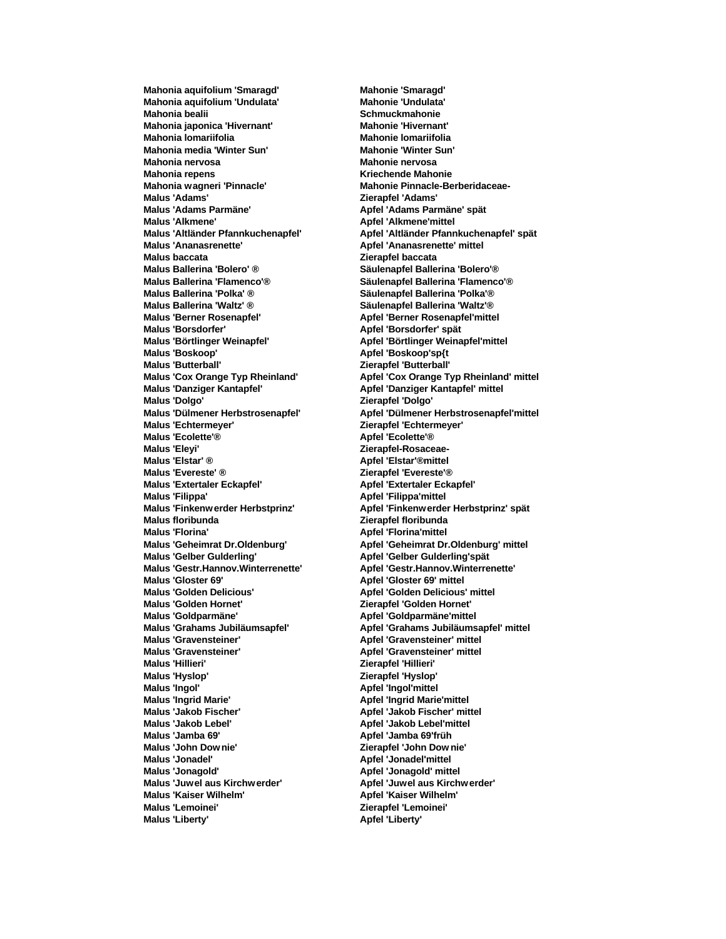**Mahonia aquifolium 'Smaragd' Mahonie 'Smaragd' Mahonia aquifolium 'Undulata' Mahonie 'Undulata' Mahonia bealii Schmuckmahonie Schmuckmahonie Mahonia japonica 'Hivernant' Mahonie 'Hivernant' Mahonia lomariifolia Mahonie lomariifolia Mahonia media 'Winter Sun' Mahonie 'Winter Sun' Mahonia nervosa Mahonie nervosa Mahonia repens Kriechende Mahonie Mahonia wagneri 'Pinnacle' Mahonie Pinnacle-Berberidaceae-Malus 'Adams' Zierapfel 'Adams' Malus 'Adams Parmäne' Apfel 'Adams Parmäne' spät Malus 'Alkmene' Apfel 'Alkmene' mittel Malus 'Ananasrenette' Analysis in the U.S. Apple 1 Ananasrenette' mittel Malus baccata Zierapfel baccata Malus Ballerina 'Bolero' ® Säulenapfel Ballerina 'Bolero'® Malus Ballerina 'Flamenco'® Säulenapfel Ballerina 'Flamenco'® Malus Ballerina 'Polka' ® Säulenapfel Ballerina 'Polka'® Malus Ballerina 'Waltz' ® Säulenapfel Ballerina 'Waltz'® Malus 'Borsdorfer' Apfel 'Borsdorfer' spät Malus 'Börtlinger Weinapfel' Apfel 'Börtlinger Weinapfel'mittel Malus 'Boskoop' Apfel 'Boskoop'sp{t Malus 'Butterball' Zierapfel 'Butterball' Malus 'Danziger Kantapfel' Apfel 'Danziger Kantapfel' mittel Malus 'Dolgo' Zierapfel 'Dolgo' Malus 'Echtermeyer' Zierapfel 'Echtermeyer' Malus 'Ecolette'® Apfel 'Ecolette'® Malus 'Elstar' ® Apfel 'Elstar'®mittel Malus 'Evereste' ® Zierapfel 'Evereste'® Malus 'Extertaler Eckapfel' Apfel 'Extertaler Eckapfel' Malus 'Filippa' Apfel 'Filippa'mittel Malus floribunda Zierapfel floribunda Malus 'Florina' Apfel 'Florina'mittel Malus 'Gelber Gulderling' Apfel 'Gelber Gulderling'spät Malus 'Gestr.Hannov.Winterrenette' Apfel 'Gestr.Hannov.Winterrenette' Malus 'Gloster 69' Apfel 'Gloster 69' mittel Malus 'Golden Delicious' Apfel 'Golden Delicious' mittel Malus 'Golden Hornet' Zierapfel 'Golden Hornet' Malus 'Goldparmäne' Apfel 'Goldparmäne'mittel Malus 'Gravensteiner' Apfel 'Gravensteiner' mittel Malus 'Gravensteiner' Apfel 'Gravensteiner' mittel Malus 'Hillieri' Zierapfel 'Hillieri' Malus 'Hyslop' Zierapfel 'Hyslop' Malus 'Ingol' Apfel 'Ingol'mittel Malus 'Ingrid Marie' Apfel 'Ingrid Marie'mittel Malus 'Jakob Fischer' Apfel 'Jakob Fischer' mittel Malus 'Jakob Lebel' Apfel 'Jakob Lebel'mittel Malus 'Jamba 69' Apfel 'Jamba 69'früh Malus 'John Dow nie' Zierapfel 'John Dow nie' Malus 'Jonadel' Apfel 'Jonadel' mittel Malus 'Jonagold' Apfel 'Jonagold' mittel Malus 'Juwel aus Kirchw erder' Apfel 'Juwel aus Kirchw erder' Malus 'Kaiser Wilhelm' Apfel 'Kaiser Wilhelm' Malus 'Lemoinei' Zierapfel 'Lemoinei' Malus 'Liberty' Apfel 'Liberty' Apfel 'Liberty'** 

**Malus 'Altländer Pfannkuchenapfel' Apfel 'Altländer Pfannkuchenapfel' spät Malus 'Berner Rosenapfel' Apfel 'Berner Rosenapfel'mittel Malus 'Cox Orange Typ Rheinland' Apfel 'Cox Orange Typ Rheinland' mittel Malus 'Dülmener Herbstrosenapfel' Apfel 'Dülmener Herbstrosenapfel'mittel Malus 'Eleyi' Zierapfel-Rosaceae-Malus 'Finkenw erder Herbstprinz' Apfel 'Finkenwerder Herbstprinz' spät Malus 'Geheimrat Dr.Oldenburg' Apfel 'Geheimrat Dr.Oldenburg' mittel Malus 'Grahams Jubiläumsapfel' Apfel 'Grahams Jubiläumsapfel' mittel**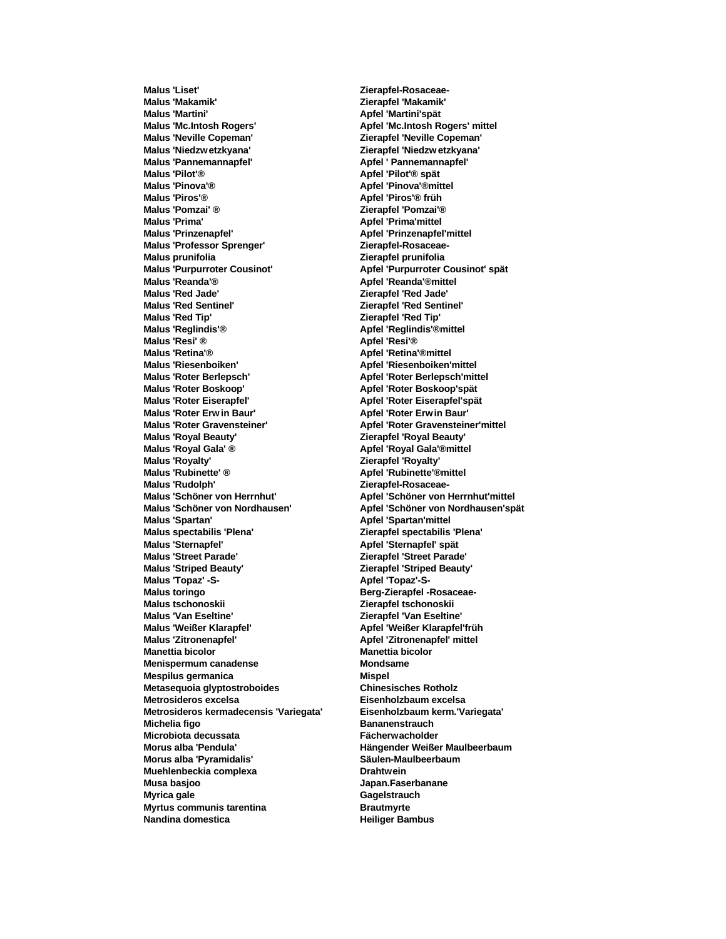**Malus 'Liset' Zierapfel-Rosaceae-Malus 'Makamik' Zierapfel 'Makamik' Malus 'Martini' Apfel 'Martini'spät Malus 'Mc.Intosh Rogers' Apfel 'Mc.Intosh Rogers' mittel Malus 'Neville Copeman' Zierapfel 'Neville Copeman' Malus 'Niedzw etzkyana' Zierapfel 'Niedzw etzkyana' Malus 'Pannemannapfel' Apfel ' Pannemannapfel' Malus 'Pilot'® Apfel 'Pilot'® spät Malus 'Pinova'® Apfel 'Pinova'®mittel Malus 'Piros'® Apfel 'Piros'® früh Malus 'Pomzai' ® Zierapfel 'Pomzai'® Malus 'Prima' Apfel 'Prima'mittel Malus 'Prinzenapfel' Apfel 'Prinzenapfel'mittel Malus 'Professor Sprenger' Zierapfel-Rosaceae-Malus prunifolia Zierapfel prunifolia Malus 'Purpurroter Cousinot' Apfel 'Purpurroter Cousinot' spät Malus 'Reanda'® Apfel 'Reanda'®mittel Malus 'Red Sentinel' Zierapfel 'Red Sentinel' Malus 'Red Tip' Zierapfel 'Red Tip' Malus 'Reglindis'® Apfel 'Reglindis'®mittel Malus 'Resi' ® Apfel 'Resi'® Malus 'Retina'® Apfel 'Retina'®mittel Malus 'Riesenboiken' Apfel 'Riesenboiken'mittel Malus 'Roter Boskoop' Apfel 'Roter Boskoop'spät Malus 'Roter Eiserapfel' Apfel 'Roter Eiserapfel'spät Malus 'Roter Erw in Baur' Apfel 'Roter Erw in Baur' Malus 'Roter Gravensteiner' Apfel 'Roter Gravensteiner'mittel Malus 'Royal Beauty' Zierapfel 'Royal Beauty' Malus 'Royalty' Zierapfel 'Royalty' Malus 'Rubinette' ® Apfel 'Rubinette'®mittel Malus 'Rudolph' Zierapfel-Rosaceae-Malus 'Schöner von Nordhausen' Apfel 'Schöner von Nordhausen'spät Malus 'Spartan' Apfel 'Spartan'mittel Malus spectabilis 'Plena' Zierapfel spectabilis 'Plena' Malus 'Sternapfel' Apfel 'Sternapfel' spät Malus 'Striped Beauty' Zierapfel 'Striped Beauty'** Malus 'Topaz' -S-<br> **Apfel 'Topaz'-S-Malus toringo Berg-Zierapfel -Rosaceae-Malus tschonoskii Zierapfel tschonoskii Malus 'Van Eseltine' Zierapfel 'Van Eseltine' Malus 'Weißer Klarapfel' Apfel 'Weißer Klarapfel'früh Malus 'Zitronenapfel' Apfel 'Zitronenapfel' mittel Manettia bicolor Manettia bicolor Menispermum canadense Mondsame Mespilus germanica Mispel Metasequoia glyptostroboides Chinesisches Rotholz Metrosideros excelsa Eisenholzbaum excelsa Metrosideros kermadecensis 'Variegata' Eisenholzbaum kerm.'Variegata' Michelia figo Bananenstrauch Microbiota decussata Fächerwacholder Morus alba 'Pendula' Hängender Weißer Maulbeerbaum Morus alba 'Pyramidalis' Säulen-Maulbeerbaum Muehlenbeckia complexa Drahtwein Musa basjoo Japan.Faserbanane Myrica gale Gagelstrauch Myrtus communis tarentina Brautmyrte Nandina domestica Heiliger Bambus** 

**Malus 'Red Jade' Zierapfel 'Red Jade' Malus 'Roter Berlepsch' Apfel 'Roter Berlepsch'mittel Malus 'Royal Gala' ® Apfel 'Royal Gala'®mittel Malus 'Schöner von Herrnhut' Apfel 'Schöner von Herrnhut'mittel Malus 'Street Parade' Zierapfel 'Street Parade'**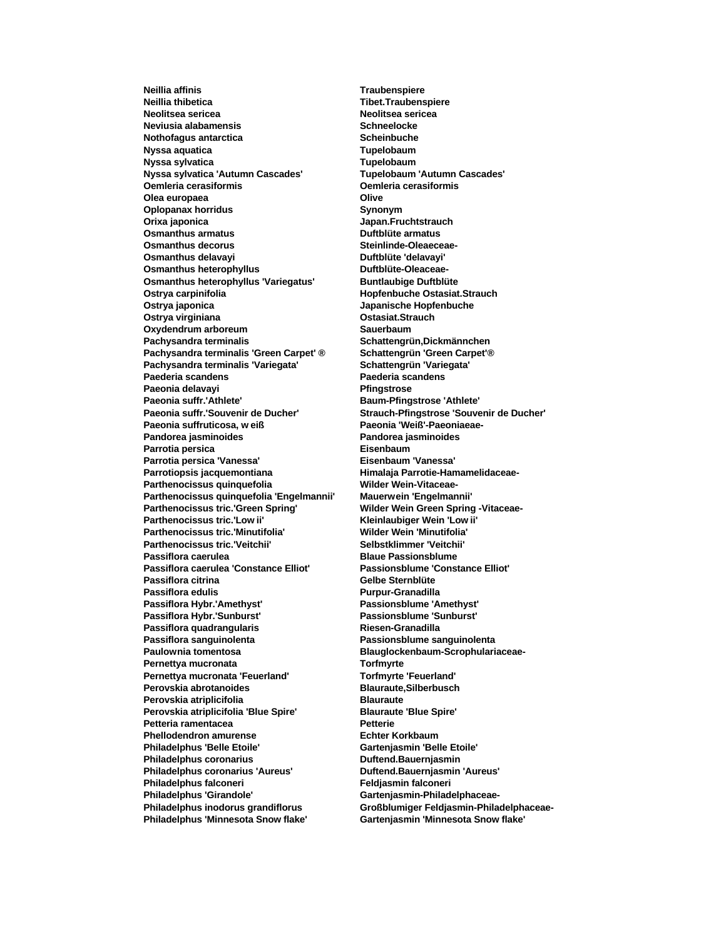**Neillia affinis Traubenspiere Neillia thibetica Tibet.Traubenspiere Neolitsea sericea Neolitsea sericea Neviusia alabamensis Schneelocke Nothofagus antarctica Scheinbuche Nyssa aquatica Tupelobaum Nyssa sylvatica Tupelobaum Nyssa sylvatica 'Autumn Cascades' Tupelobaum 'Autumn Cascades' Oemleria cerasiformis Oemleria cerasiformis Olea europaea Olive Oplopanax horridus Synonym Orixa japonica Japan.Fruchtstrauch Osmanthus armatus Duftblüte armatus Osmanthus decorus Steinlinde-Oleaeceae-Osmanthus delavavi** Osmanthus heterophyllus **Duftblüte-Oleaceae-Osmanthus heterophyllus 'Variegatus' Buntlaubige Duftblüte Ostrya carpinifolia Hopfenbuche Ostasiat.Strauch Ostrya japonica Japanische Hopfenbuche Ostrya virginiana Ostasiat.Strauch Oxydendrum arboreum Sauerbaum Pachysandra terminalis Schattengrün,Dickmännchen Pachysandra terminalis 'Green Carpet' ® Schattengrün 'Green Carpet'® Pachysandra terminalis 'Variegata' Schattengrün 'Variegata' Paeonia delavayi Pfingstrose Paeonia suffr.'Athlete' Baum-Pfingstrose 'Athlete' Paeonia suffr.'Souvenir de Ducher' Strauch-Pfingstrose 'Souvenir de Ducher' Paeonia suffruticosa, w eiß Paeonia 'Weiß'-Paeoniaeae-Pandorea jasminoides Pandorea jasminoides Parrotia persica Parrotia persica 'Vanessa' Eisenbaum 'Vanessa' Parrotiopsis jacquemontiana Himalaja Parrotie-Hamamelidaceae-**Parthenocissus quinquefolia Wilder Wein-Vitaceae-**Parthenocissus quinquefolia 'Engelmannii' Mauerwein 'Engelmannii' Parthenocissus tric.'Low ii' Kleinlaubiger Wein 'Low ii' Parthenocissus tric.'Minutifolia' Wilder Wein 'Minutifolia' Parthenocissus tric.'Veitchii' Selbstklimmer 'Veitchii' Passiflora caerulea Blaue Passionsblume Passiflora caerulea 'Constance Elliot' Passiflora citrina Gelbe Sternblüte Passiflora edulis Purpur-Granadilla Passiflora Hybr.'Amethyst' Passionsblume 'Amethyst' Passiflora Hybr.'Sunburst' Passionsblume 'Sunburst' Passiflora quadrangularis Riesen-Granadilla Passiflora sanguinolenta Passionsblume sanguinolenta Paulownia tomentosa Blauglockenbaum-Scrophulariaceae-Pernettya mucronata Torfmyrte Pernettya mucronata 'Feuerland' Torfmyrte 'Feuerland' Perovskia abrotanoides Blauraute,Silberbusch Perovskia atriplicifolia Blauraute Perovskia atriplicifolia 'Blue Spire' Blauraute 'Blue Spire'** Petteria ramentacea **Petterie Phellodendron amurense Echter Korkbaum Philadelphus 'Belle Etoile' Gartenjasmin 'Belle Etoile' Philadelphus coronarius Duftend.Bauernjasmin Philadelphus coronarius 'Aureus' Duftend.Bauernjasmin 'Aureus' Philadelphus falconeri Feldjasmin falconeri** Philadelphus 'Girandole' **Gartenjasmin-Philadelphaceae-Philadelphus inodorus grandiflorus Großblumiger Feldjasmin-Philadelphaceae-Philadelphus 'Minnesota Snow flake' Gartenjasmin 'Minnesota Snow flake'**

**Paederia scandens Paederia scandens Parthenocissus tric.'Green Spring' Wilder Wein Green Spring -Vitaceae-**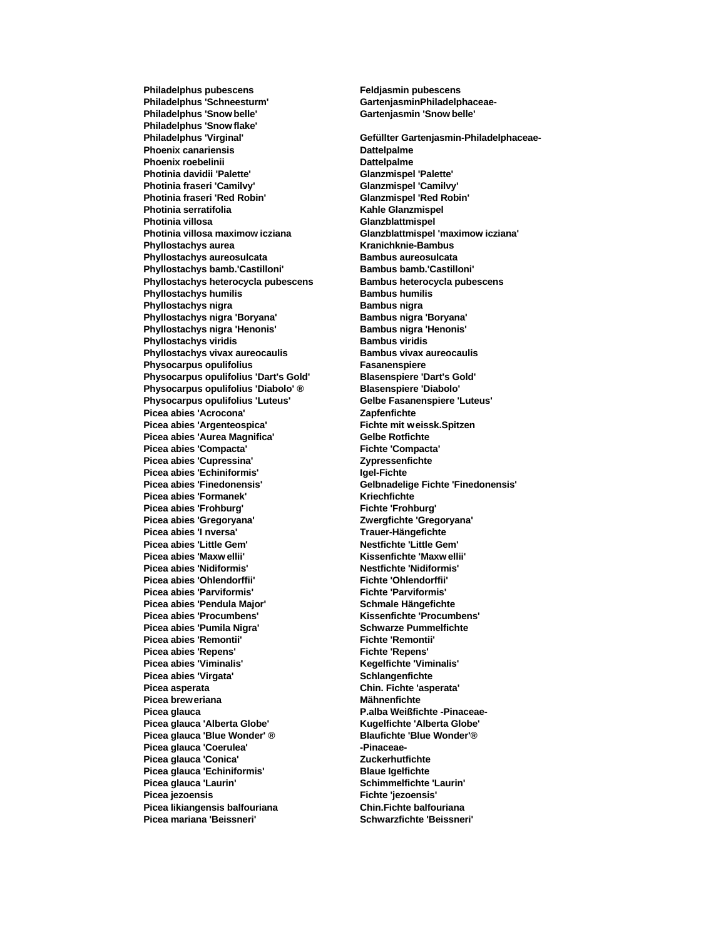Philadelphus 'Schneesturm' GartenjasminPhiladelphaceae-**Philadelphus 'Snow belle' Gartenjasmin 'Snow belle' Philadelphus 'Snow flake' Phoenix canariensis Dattelpalme Phoenix roebelinii Dattelpalme Photinia davidii 'Palette' Glanzmispel 'Palette' Photinia fraseri 'Camilvy' Glanzmispel 'Camilvy' Photinia fraseri 'Red Robin' Glanzmispel 'Red Robin' Photinia serratifolia Kahle Glanzmispel Photinia villosa Glanzblattmispel Photinia villosa maximow icziana Glanzblattmispel 'maximow icziana' Phyllostachys aurea Kranichknie-Bambus Phyllostachys aureosulcata Bambus aureosulcata Phyllostachys bamb.'Castilloni' Bambus bamb.'Castilloni' Phyllostachys heterocycla pubescens Bambus heterocycla pubescens Phyllostachys humilis Bambus humilis Phyllostachys nigra Bambus nigra Bambus nigra** Phyllostachys nigra 'Boryana' **Bambus nigra 'Boryana' Bambus nigra 'Boryana' Phyllostachys nigra 'Henonis' Bambus nigra 'Henonis' Phyllostachys viridis Bambus viridis Phyllostachys vivax aureocaulis Bambus vivax aureocaulis Physocarpus opulifolius Fasanenspiere Physocarpus opulifolius 'Dart's Gold' Blasenspiere 'Dart's Gold' Physocarpus opulifolius 'Diabolo' ® Blasenspiere 'Diabolo' Physocarpus opulifolius 'Luteus' Gelbe Fasanenspiere 'Luteus'** Picea abies 'Acrocona' **Zapfenfichte Picea abies 'Argenteospica' Fichte mit weissk.Spitzen Picea abies 'Aurea Magnifica' Gelbe Rotfichte**<br> **Picea abies 'Compacta' Gelbe Rottichte Compacta'**  $Pic$ ea abies 'Compacta' Picea abies 'Cupressina' **Zypressenfichte Picea abies 'Echiniformis' Igel-Fichte Picea abies 'Finedonensis' Gelbnadelige Fichte 'Finedonensis' Picea abies 'Formanek' Kriechfichte**<br> **Picea abies 'Frohburg' Kriechte 'Frohburg' Kriechte 'Frohburg'**  $Pic$ ea abies 'Frohburg' **Picea abies 'Gregoryana' Zwergfichte 'Gregoryana'** Picea abies 'I nversa' **Trauer-Hängefichte Picea abies 'Little Gem' Nestfichte 'Little Gem' Picea abies 'Nidiformis' Picea abies 'Ohlendorffii' Fichte 'Ohlendorffii' Picea abies 'Parviformis' Fichte 'Parviformis'** Picea abies 'Pendula Major' **Schmale Hängefichte Picea abies 'Procumbens' Kissenfichte 'Procumbens' Picea abies 'Pumila Nigra' Schwarze Pummelfichte Picea abies 'Remontii' Picea abies 'Repens' Fichte 'Repens' Picea abies 'Viminalis' Kegelfichte 'Viminalis'** Picea abies 'Virgata' **Schlangenfichte** Schlangenfichte **Picea asperata Chin. Fichte 'asperata' Picea breweriana Mähnenfichte Picea glauca P.alba Weißfichte -Pinaceae-Picea glauca 'Alberta Globe' Kugelfichte 'Alberta Globe' Picea glauca 'Blue Wonder' ® Blaufichte 'Blue Wonder'®** Picea glauca 'Coerulea' **Access 19 and 19 and 19 and 19 and 19 and 19 and 19 and 19 and 19 and 19 and 19 and 19 and 19 and 19 and 19 and 19 and 19 and 19 and 19 and 19 and 19 and 19 and 19 and 19 and 19 and 19 and 19 and 1 Picea glauca 'Conica' Zuckerhutfichte** Picea glauca 'Echiniformis' Blaue Igelfichte Picea glauca 'Laurin' **Schimmelfichte 'Laurin'** Schimmelfichte 'Laurin' **Picea jezoensis Fichte 'jezoensis' Picea likiangensis balfouriana Chin.Fichte balfouriana Picea mariana 'Beissneri' Schwarzfichte 'Beissneri'**

**Philadelphus pubescens Feldjasmin pubescens Philadelphus 'Virginal' Gefüllter Gartenjasmin-Philadelphaceae-Picea abies 'Maxw ellii' Kissenfichte 'Maxw ellii'**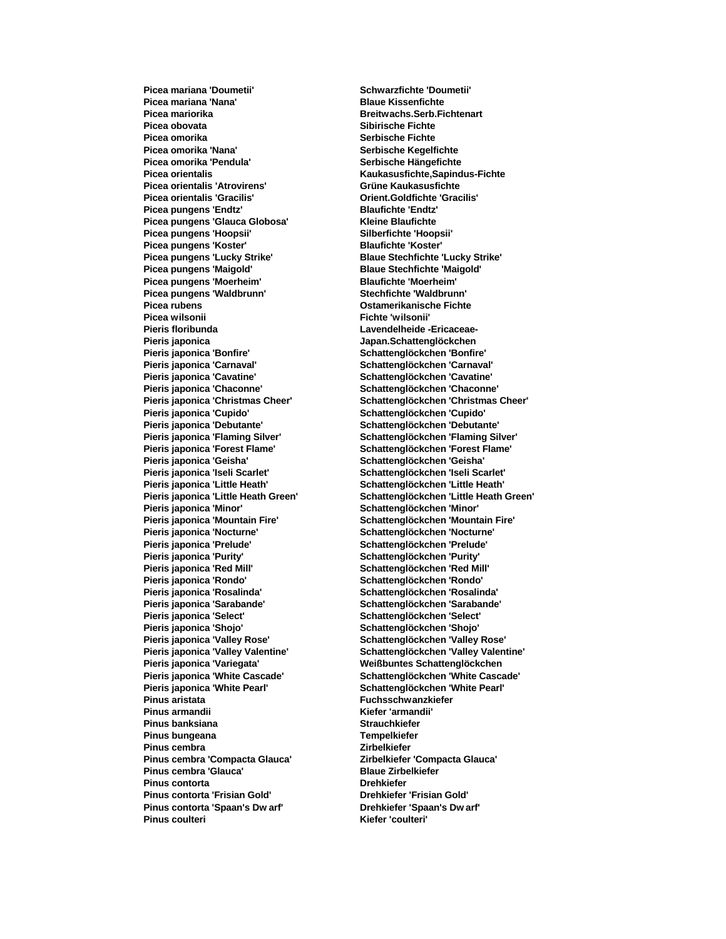**Picea mariana 'Nana' Blaue Kissenfichte Picea mariorika Breitwachs.Serb.Fichtenart Picea obovata Sibirische Fichte Picea omorika**<br> **Picea omorika 'Nana'**<br> **Serbische Kegelf** Picea omorika 'Pendula' **Serbische Hängefichte Picea orientalis Kaukasusfichte,Sapindus-Fichte Picea orientalis 'Atrovirens' Grüne Kaukasusfichte Picea orientalis 'Gracilis' Orient.Goldfichte 'Gracilis' Picea pungens 'Endtz' Blaufichte 'Endtz' Picea pungens 'Glauca Globosa' Kleine Blaufichte Picea pungens 'Hoopsii' Picea pungens 'Koster' Blaufichte 'Koster' Picea pungens 'Maigold' Blaue Stechfichte 'Maigold' Picea pungens 'Moerheim' Blaufichte 'Moerheim' Picea pungens 'Waldbrunn' Picea rubens Ostamerikanische Fichte Picea wilsonii Fichte 'wilsonii' Pieris floribunda Lavendelheide -Ericaceae-Pieris japonica Japan.Schattenglöckchen Pieris japonica 'Bonfire' Schattenglöckchen 'Bonfire' Pieris japonica 'Carnaval' Schattenglöckchen 'Carnaval' Pieris japonica 'Cavatine' Schattenglöckchen 'Cavatine' Pieris japonica 'Chaconne' Schattenglöckchen 'Chaconne' Pieris japonica 'Cupido' Schattenglöckchen 'Cupido' Pieris japonica 'Debutante' Schattenglöckchen 'Debutante' Pieris japonica 'Flaming Silver' Schattenglöckchen 'Flaming Silver' Pieris japonica 'Geisha' Schattenglöckchen 'Geisha' Pieris japonica 'Iseli Scarlet' Schattenglöckchen 'Iseli Scarlet' Pieris japonica 'Little Heath' Schattenglöckchen 'Little Heath' Pieris japonica 'Mountain Fire' Schattenglöckchen 'Mountain Fire' Pieris japonica 'Nocturne' Schattenglöckchen 'Nocturne' Pieris japonica 'Prelude' Schattenglöckchen 'Prelude' Pieris japonica 'Purity' Schattenglöckchen 'Purity' Pieris japonica 'Rondo' Schattenglöckchen 'Rondo' Pieris japonica 'Sarabande' Schattenglöckchen 'Sarabande' Pieris japonica 'Select' Schattenglöckchen 'Select' Pieris japonica 'Shojo' Schattenglöckchen 'Shojo' Pieris japonica 'Valley Rose' Schattenglöckchen 'Valley Rose' Pieris japonica 'Variegata' Weißbuntes Schattenglöckchen Pieris japonica 'White Pearl' Schattenglöckchen 'White Pearl' Pinus aristata Fuchsschwanzkiefer Pinus armandii Kiefer 'armandii' Pinus banksiana Strauchkiefer Pinus bungeana Tempelkiefer Pinus cembra** *Zirbelkiefer* Pinus cembra 'Compacta Glauca' **Zirbelkiefer 'Compacta Glauca' Pinus cembra 'Glauca' Blaue Zirbelkiefer Pinus contorta Drehkiefer Pinus contorta 'Frisian Gold' Drehkiefer 'Frisian Gold' Pinus contorta 'Spaan's Dw arf' Drehkiefer 'Spaan's Dw arf' Pinus coulteri Kiefer 'coulteri'**

**Picea mariana 'Doumetii' Schwarzfichte 'Doumetii' Serbische Kegelfichte Picea pungens 'Lucky Strike' Blaue Stechfichte 'Lucky Strike' Pieris japonica 'Christmas Cheer' Schattenglöckchen 'Christmas Cheer' Pieris japonica 'Forest Flame' Schattenglöckchen 'Forest Flame' Pieris japonica 'Little Heath Green' Schattenglöckchen 'Little Heath Green' Pieris japonica 'Minor' Schattenglöckchen 'Minor' Pieris japonica 'Red Mill' Schattenglöckchen 'Red Mill' Pieris japonica 'Rosalinda' Schattenglöckchen 'Rosalinda' Pieris japonica 'Valley Valentine' Schattenglöckchen 'Valley Valentine' Pieris japonica 'White Cascade' Schattenglöckchen 'White Cascade'**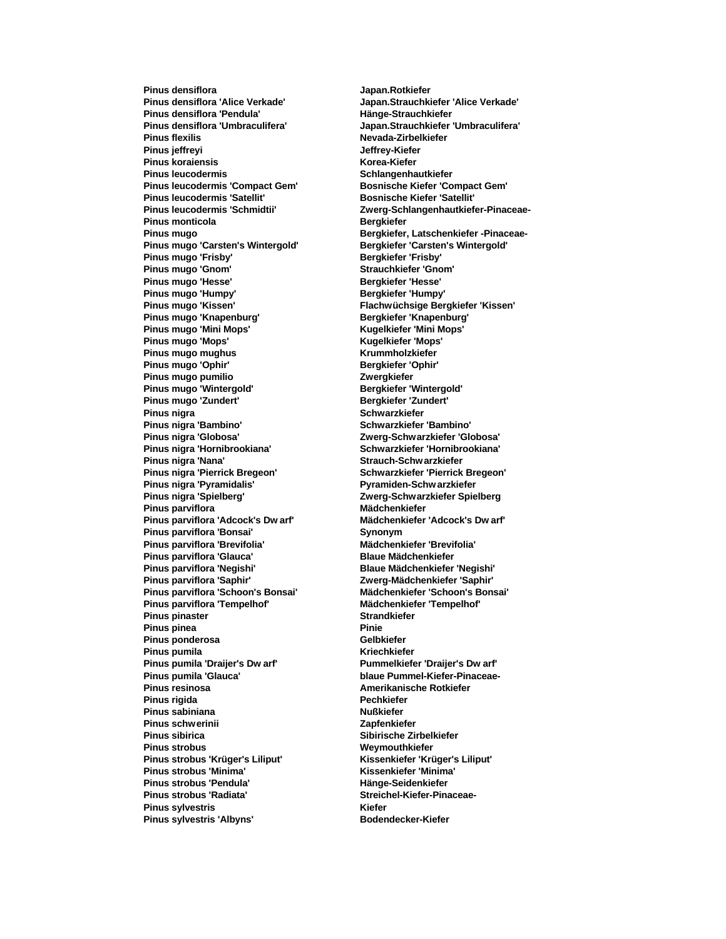**Pinus densiflora Japan.Rotkiefer Pinus densiflora 'Alice Verkade' Japan.Strauchkiefer 'Alice Verkade' Pinus densiflora 'Pendula' Hänge-Strauchkiefer Pinus densiflora 'Umbraculifera' Japan.Strauchkiefer 'Umbraculifera' Pinus flexilis Nevada-Zirbelkiefer Pinus jeffreyi Jeffrey-Kiefer Pinus koraiensis Korea-Kiefer Pinus leucodermis Schlangenhautkiefer Pinus leucodermis 'Compact Gem' Bosnische Kiefer 'Compact Gem' Pinus leucodermis 'Satellit' Bosnische Kiefer 'Satellit' Pinus monticola Bergkiefer Pinus mugo 'Carsten's Wintergold' Bergkiefer 'Carsten's Wintergold' Pinus mugo 'Frisby' Pinus mugo 'Gnom' Strauchkiefer 'Gnom' Pinus mugo 'Hesse' Bergkiefer 'Hesse' Pinus mugo 'Humpy' Pinus mugo 'Kissen' Flachwüchsige Bergkiefer 'Kissen' Pinus mugo 'Knapenburg' Bergkiefer 'Knapenburg' Pinus mugo 'Mini Mops' Kugelkiefer 'Mini Mops' Pinus mugo 'Mops' Kugelkiefer 'Mops' Pinus mugo mughus Krummholzkiefer Pinus mugo 'Ophir' Pinus mugo pumilio Zwergkiefer Pinus mugo 'Wintergold' Bergkiefer 'Wintergold' Pinus mugo 'Zundert' Bergkiefer 'Zundert' Pinus nigra Schwarzkiefer Pinus nigra 'Bambino' Schwarzkiefer 'Bambino' Pinus nigra 'Globosa' Zwerg-Schwarzkiefer 'Globosa' Pinus nigra 'Hornibrookiana' Pinus nigra 'Nana' Strauch-Schwarzkiefer Pinus nigra 'Pierrick Bregeon' Schwarzkiefer 'Pierrick Bregeon' Pinus nigra 'Pyramidalis' Pyramiden-Schw arzkiefer Pinus nigra 'Spielberg' Zwerg-Schwarzkiefer Spielberg Pinus parviflora Pinus parviflora 'Adcock's Dw arf' Mädchenkiefer 'Adcock's Dw arf' Pinus parviflora 'Bonsai' Synonym Pinus parviflora 'Brevifolia' Mädchenkiefer 'Brevifolia' Pinus parviflora 'Glauca'<br>Pinus parviflora 'Negishi' Pinus parviflora 'Saphir' Zwerg-Mädchenkiefer 'Saphir' Pinus parviflora 'Schoon's Bonsai' Mädchenkiefer 'Schoon's Bonsai' Pinus parviflora 'Tempelhof' Mädchenkiefer 'Tempelhof' Pinus pinaster Strandkiefer Pinus pinea Pinie Pinus ponderosa Pinus pumila Kriechkiefer Pinus pumila 'Draijer's Dw arf' Pummelkiefer 'Draijer's Dw arf' Pinus pumila 'Glauca' blaue Pummel-Kiefer-Pinaceae-Pinus resinosa Amerikanische Rotkiefer Pinus rigida Pechkiefer Pinus sabiniana Nußkiefer Pinus schwerinii Zapfenkiefer Pinus sibirica Sibirische Zirbelkiefer Pinus strobus Weymouthkiefer Pinus strobus 'Krüger's Liliput' Kissenkiefer 'Krüger's Liliput' Pinus strobus 'Minima' Kissenkiefer 'Minima' Pinus strobus 'Pendula' Hänge-Seidenkiefer** Pinus strobus 'Radiata' **Streichel-Kiefer-Pinaceae-Pinus sylvestris Kiefer Pinus sylvestris 'Albyns' Bodendecker-Kiefer**

**Pinus leucodermis 'Schmidtii' Zwerg-Schlangenhautkiefer-Pinaceae-Pinus mugo Bergkiefer, Latschenkiefer -Pinaceae-Pinus parviflora 'Negishi' Blaue Mädchenkiefer 'Negishi'**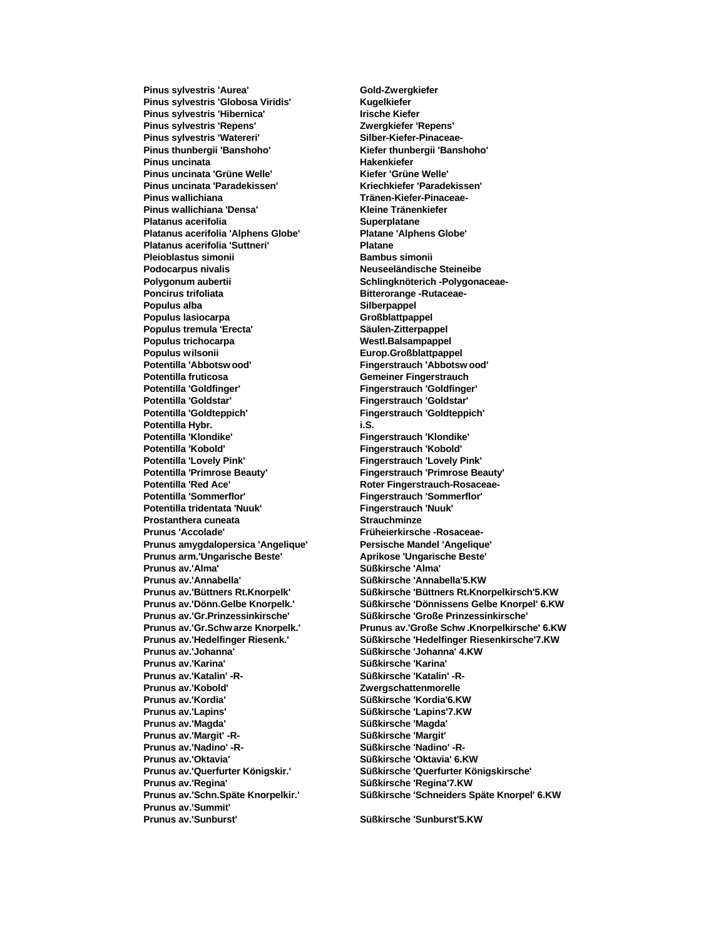**Pinus sylvestris 'Aurea' Gold-Zwergkiefer Pinus sylvestris 'Globosa Viridis' Kugelkiefer Pinus sylvestris 'Hibernica' Irische Kiefer Pinus sylvestris 'Repens' Zwergkiefer 'Repens'** Pinus sylvestris 'Watereri' **Matematic Silber-Kiefer-Pinaceae-**<br>Pinus thunbergii 'Banshoho' **Nigeriya Kiefer thunbergii 'Bans Pinus uncinata Hakenkiefer Pinus uncinata 'Grüne Welle' Kiefer 'Grüne Welle' Pinus uncinata 'Paradekissen' Kriechkiefer 'Paradekissen' Pinus wallichiana Tränen-Kiefer-Pinaceae-Pinus wallichiana 'Densa' Kleine Tränenkiefer Platanus acerifolia Superplatane Platanus acerifolia 'Alphens Globe' Platane 'Alphens Globe' Platanus acerifolia 'Suttneri' Platane Pleioblastus simonii Bambus simonii Podocarpus nivalis Neuseeländische Steineibe Polygonum aubertii Schlingknöterich -Polygonaceae-Poncirus trifoliata Bitterorange -Rutaceae-Populus alba Silberpappel Populus lasiocarpa Großblattpappel Populus tremula 'Erecta' Säulen-Zitterpappel Populus trichocarpa Westl.Balsampappel Populus wilsonii Europ.Großblattpappel Potentilla fruticosa Gemeiner Fingerstrauch Potentilla 'Goldfinger' Fingerstrauch 'Goldfinger' Potentilla 'Goldstar' Fingerstrauch 'Goldstar' Potentilla 'Goldteppich' Fingerstrauch 'Goldteppich' Potentilla Hybr. i.S. Potentilla 'Klondike' Fingerstrauch 'Klondike' Potentilla 'Lovely Pink' Fingerstrauch 'Lovely Pink' Potentilla 'Primrose Beauty' Fingerstrauch 'Primrose Beauty'** Potentilla 'Red Ace' **Roter Fingerstrauch-Rosaceae-Potentilla 'Sommerflor' Fingerstrauch 'Sommerflor' Potentilla tridentata 'Nuuk' Prostanthera cuneata Strauchminze Prunus 'Accolade' Früheierkirsche -Rosaceae-Prunus amygdalopersica 'Angelique' Persische Mandel 'Angelique' Prunus arm.'Ungarische Beste' Aprikose 'Ungarische Beste' Aprikose 'Ungarische 'Alma' Bester Prunus av.'Alma' Prunus av.'Annabella' Süßkirsche 'Annabella'5.KW Prunus av.'Johanna' Süßkirsche 'Johanna' 4.KW Prunus av.'Karina' Süßkirsche 'Karina' Prunus av.'Katalin' -R- Süßkirsche 'Katalin' -R-Prunus av.'Kobold' Zwergschattenmorelle Prunus av.'Kordia' Süßkirsche 'Kordia'6.KW Prunus av.'Lapins' Süßkirsche 'Lapins'7.KW Prunus av.'Magda' Prunus av.'Margit' -R- Süßkirsche 'Margit' Prunus av.'Oktavia' Süßkirsche 'Oktavia' 6.KW Prunus av.'Regina' Süßkirsche 'Regina'7.KW Prunus av.'Summit' Prunus av.'Sunburst' Süßkirsche 'Sunburst'5.KW**

**Pinus thunbergii 'Banshoho' Kiefer thunbergii 'Banshoho' Potentilla 'Abbotsw ood' Fingerstrauch 'Abbotsw ood' Potentilla 'Kobold' Fingerstrauch 'Kobold' Prunus av.'Büttners Rt.Knorpelk' Süßkirsche 'Büttners Rt.Knorpelkirsch'5.KW Prunus av.'Dönn.Gelbe Knorpelk.' Süßkirsche 'Dönnissens Gelbe Knorpel' 6.KW Prunus av.'Gr.Prinzessinkirsche' Süßkirsche 'Große Prinzessinkirsche' Prunus av.'Gr.Schw arze Knorpelk.' Prunus av.'Große Schw .Knorpelkirsche' 6.KW**  $S\ddot{u}$ ßkirsche 'Hedelfinger Riesenkirsche'7.KW **Prunus av.'Nadino' -R- Süßkirsche 'Nadino' -R-Prunus av.'Querfurter Königskir.' Süßkirsche 'Querfurter Königskirsche' Prunus av.'Schn.Späte Knorpelkir.' Süßkirsche 'Schneiders Späte Knorpel' 6.KW**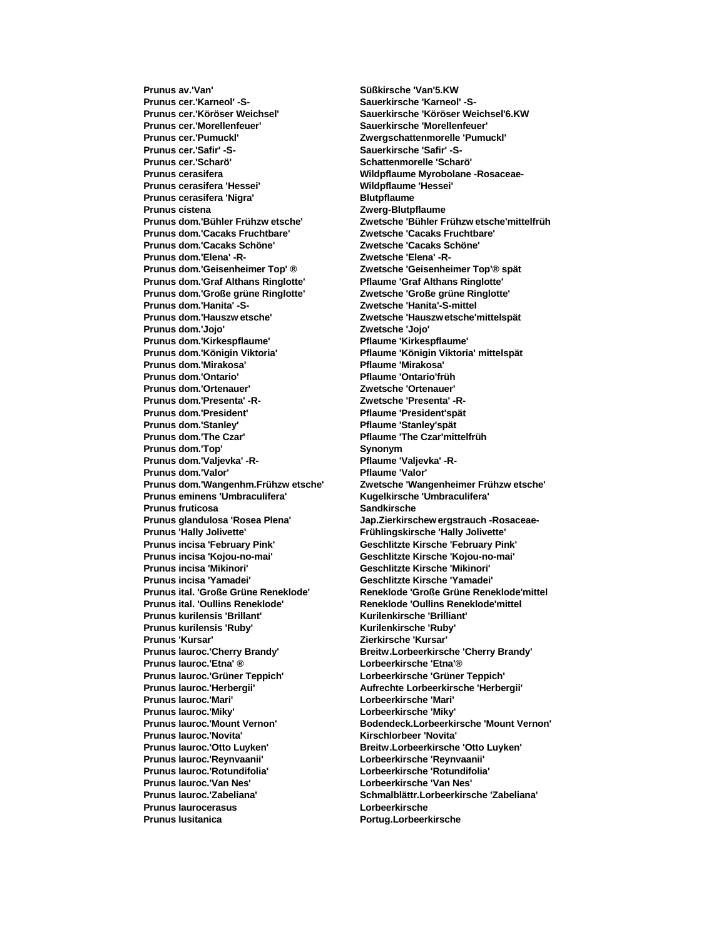**Prunus cer.'Karneol' -S- Sauerkirsche 'Karneol' -S-Prunus cer.'Köröser Weichsel' Sauerkirsche 'Köröser Weichsel'6.KW Prunus cer.'Morellenfeuer' Sauerkirsche 'Morellenfeuer' Prunus cer.'Pumuckl' Zwergschattenmorelle 'Pumuckl' Prunus cer.'Safir' -S- Sauerkirsche 'Safir' -S-Prunus cerasifera Wildpflaume Myrobolane -Rosaceae-Prunus cerasifera 'Hessei' Wildpflaume 'Hessei' Prunus cerasifera 'Nigra' Blutpflaume Prunus cistena Zwerg-Blutpflaume Prunus dom.'Cacaks Fruchtbare' Zwetsche 'Cacaks Fruchtbare' Prunus dom.'Cacaks Schöne' Zwetsche 'Cacaks Schöne' Prunus dom.'Elena' -R-Prunus dom.'Geisenheimer Top' ® Zwetsche 'Geisenheimer Top'® spät Prunus dom.'Graf Althans Ringlotte' Pflaume 'Graf Althans Ringlotte' Prunus dom.'Große grüne Ringlotte' Zwetsche 'Große grüne Ringlotte' Prunus dom.'Hanita' -S- Zwetsche 'Hanita'-S-mittel Prunus dom.'Hauszw etsche' Zwetsche 'Hauszw etsche'mittelspät Prunus dom.'Jojo' Zwetsche 'Jojo' Prunus dom.'Kirkespflaume' Pflaume 'Kirkespflaume' Prunus dom.'Königin Viktoria' Pflaume 'Königin Viktoria' mittelspät Prunus dom.'Mirakosa' Pflaume 'Mirakosa' Prunus dom.'Ontario' Pflaume 'Ontario'früh Prunus dom.'Ortenauer' Zwetsche 'Ortenauer' Prunus dom.'Presenta' -R- Zwetsche 'Presenta' -R-**Prunus dom.'President' President' Pflaume 'President'spät **Prunus dom.'Stanley' Pflaume 'Stanley'spät Prunus dom.'The Czar' Pflaume 'The Czar'mittelfrüh**<br>Prunus dom.'Top' **Prunus dom.'Top' Prunus dom.'Top' Prunus dom.'Top'** Prunus dom.'Valievka' -R-<br> **Pflaume 'Valievka' -R-**Prunus dom.'Valor' **Pflaume** 'Valor' **Prunus eminens 'Umbraculifera' Kugelkirsche 'Umbraculifera' Prunus fruticosa Sandkirsche Prunus 'Hally Jolivette' Frühlingskirsche 'Hally Jolivette' Prunus incisa 'February Pink' Geschlitzte Kirsche 'February Pink' Prunus incisa 'Kojou-no-mai' Geschlitzte Kirsche 'Kojou-no-mai' Prunus incisa 'Yamadei' Geschlitzte Kirsche 'Yamadei' Prunus ital. 'Oullins Reneklode' Reneklode 'Oullins Reneklode'mittel Prunus kurilensis 'Brillant' Kurilenkirsche 'Brilliant' Prunus kurilensis 'Ruby' Kurilenkirsche 'Ruby' Prunus lauroc.'Cherry Brandy' Breitw.Lorbeerkirsche 'Cherry Brandy' Prunus lauroc.'Etna' ® Lorbeerkirsche 'Etna'® Prunus lauroc.'Grüner Teppich' Lorbeerkirsche 'Grüner Teppich' Prunus lauroc.'Herbergii' Aufrechte Lorbeerkirsche 'Herbergii' Prunus lauroc.'Mari' Lorbeerkirsche 'Mari' Prunus lauroc.'Miky' Lorbeerkirsche 'Miky' Prunus lauroc.'Novita' Kirschlorbeer 'Novita' Prunus lauroc.'Otto Luyken' Breitw.Lorbeerkirsche 'Otto Luyken' Prunus lauroc.'Reynvaanii' Lorbeerkirsche 'Reynvaanii' Prunus lauroc.'Rotundifolia' Lorbeerkirsche 'Rotundifolia' Prunus laurocerasus Lorbeerkirsche Prunus lusitanica Portug.Lorbeerkirsche** 

**Prunus av.'Van' Süßkirsche 'Van'5.KW Prunus cer.'Scharö' Schattenmorelle 'Scharö' Prunus dom.'Bühler Frühzw etsche' Zwetsche 'Bühler Frühzw etsche'mittelfrüh Prunus dom.'Wangenhm.Frühzw etsche' Zwetsche 'Wangenheimer Frühzw etsche' Prunus glandulosa 'Rosea Plena' Jap.Zierkirschew ergstrauch -Rosaceae-Prunus incisa 'Mikinori' Geschlitzte Kirsche 'Mikinori' Prunus ital. 'Große Grüne Reneklode' Reneklode 'Große Grüne Reneklode'mittel Prunus 'Kursar' Zierkirsche 'Kursar' Prunus lauroc.'Mount Vernon' Bodendeck.Lorbeerkirsche 'Mount Vernon' Prunus lauroc.'Van Nes' Lorbeerkirsche 'Van Nes' Prunus lauroc.'Zabeliana' Schmalblättr.Lorbeerkirsche 'Zabeliana'**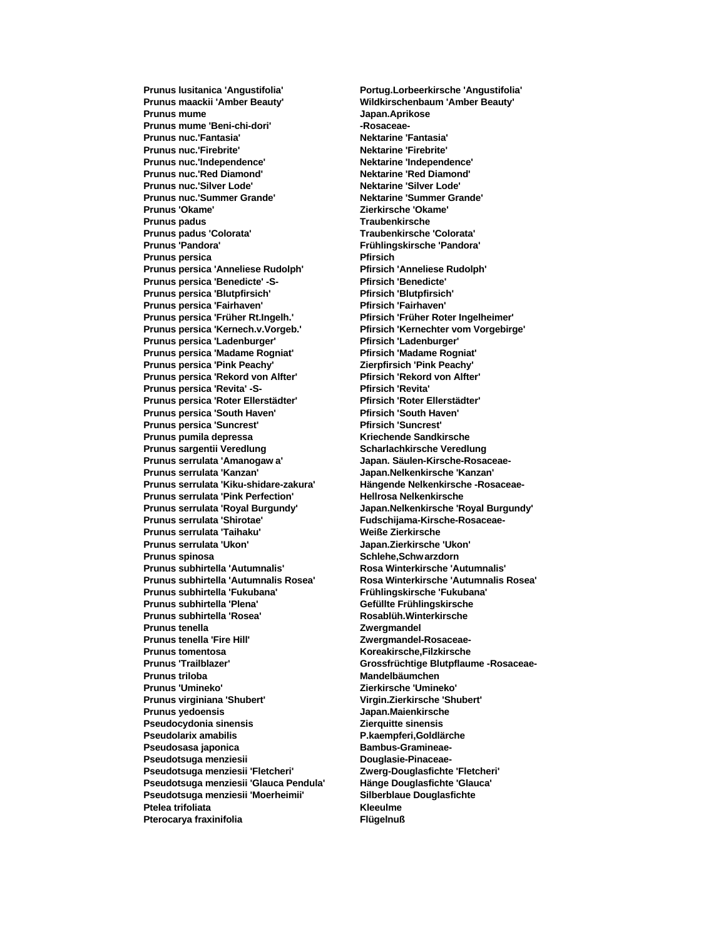**Prunus maackii 'Amber Beauty' Wildkirschenbaum 'Amber Beauty' Prunus mume Japan.Aprikose** Prunus mume 'Beni-chi-dori' **and Rosaceae**-**Prunus nuc.'Fantasia' Nektarine 'Fantasia' Prunus nuc.'Firebrite' Nektarine 'Firebrite' Prunus nuc.'Independence' Nektarine 'Independence' Prunus nuc.'Red Diamond' Nektarine 'Red Diamond' Prunus nuc.'Silver Lode' Nektarine 'Silver Lode' Prunus nuc.'Summer Grande' Nektarine 'Summer Grande' Prunus 'Okame' Zierkirsche 'Okame' Prunus padus Traubenkirsche Prunus padus 'Colorata' Traubenkirsche 'Colorata' Prunus 'Pandora' Frühlingskirsche 'Pandora' Prunus persica Pfirsich Prunus persica 'Anneliese Rudolph' Pfirsich 'Anneliese Rudolph' Prunus persica 'Benedicte' -S- Pfirsich 'Benedicte' Prunus persica 'Blutpfirsich' Pfirsich 'Blutpfirsich' Prunus persica 'Fairhaven' Pfirsich 'Fairhaven' Prunus persica 'Früher Rt.Ingelh.' Pfirsich 'Früher Roter Ingelheimer' Prunus persica 'Kernech.v.Vorgeb.' Pfirsich 'Kernechter vom Vorgebirge'** Prunus persica 'Ladenburger' Pfirsich 'Ladenburger' **Prunus persica 'Madame Rogniat' Pfirsich 'Madame Rogniat' Prunus persica 'Pink Peachy' Zierpfirsich 'Pink Peachy' Prunus persica 'Rekord von Alfter' Pfirsich 'Rekord von Alfter' Prunus persica 'Revita' -S- Pfirsich 'Revita' Prunus persica 'Roter Ellerstädter' Pfirsich 'Roter Ellerstädter' Prunus persica 'South Haven' Pfirsich 'South Haven' Prunus persica 'Suncrest' Prunus pumila depressa Kriechende Sandkirsche Prunus sargentii Veredlung Prunus serrulata 'Amanogaw a' Japan. Säulen-Kirsche-Rosaceae-Prunus serrulata 'Kanzan' Japan.Nelkenkirsche 'Kanzan' Prunus serrulata 'Kiku-shidare-zakura' Hängende Nelkenkirsche -Rosaceae-Prunus serrulata 'Pink Perfection' Hellrosa Nelkenkirsche Prunus serrulata 'Shirotae' Fudschijama-Kirsche-Rosaceae-Prunus serrulata 'Taihaku' Weiße Zierkirsche Prunus serrulata 'Ukon' Japan.Zierkirsche 'Ukon' Prunus spinosa Schlehe,Schwarzdorn Prunus subhirtella 'Autumnalis Rosea' Rosa Winterkirsche 'Autumnalis Rosea' Prunus subhirtella 'Fukubana' Frühlingskirsche 'Fukubana'** Prunus subhirtella 'Plena' **Gefüllte Frühlingskirsche Prunus subhirtella 'Rosea' Rosablüh.Winterkirsche Prunus tenella Zwergmandel Prunus tomentosa Koreakirsche,Filzkirsche Prunus 'Trailblazer' Grossfrüchtige Blutpflaume -Rosaceae-Prunus triloba Mandelbäumchen Prunus 'Umineko' Zierkirsche 'Umineko' Prunus virginiana 'Shubert' Virgin.Zierkirsche 'Shubert' Prunus yedoensis Japan.Maienkirsche Pseudocydonia sinensis Zierquitte sinensis Pseudolarix amabilis P.kaempferi,Goldlärche** Pseudosasa japonica **Bambus-Gramineae-**Pseudotsuga menziesii **Douglasie-Pinaceae-Pseudotsuga menziesii 'Fletcheri' Zwerg-Douglasfichte 'Fletcheri' Pseudotsuga menziesii 'Glauca Pendula' Hänge Douglasfichte 'Glauca' Pseudotsuga menziesii 'Moerheimii' Silberblaue Douglasfichte Ptelea trifoliata Kleeulme Pterocarya fraxinifolia Flügelnuß**

**Prunus lusitanica 'Angustifolia' Portug.Lorbeerkirsche 'Angustifolia' Prunus serrulata 'Royal Burgundy' Japan.Nelkenkirsche 'Royal Burgundy' Prunus subhirtella 'Autumnalis' Rosa Winterkirsche 'Autumnalis'** Zwergmandel-Rosaceae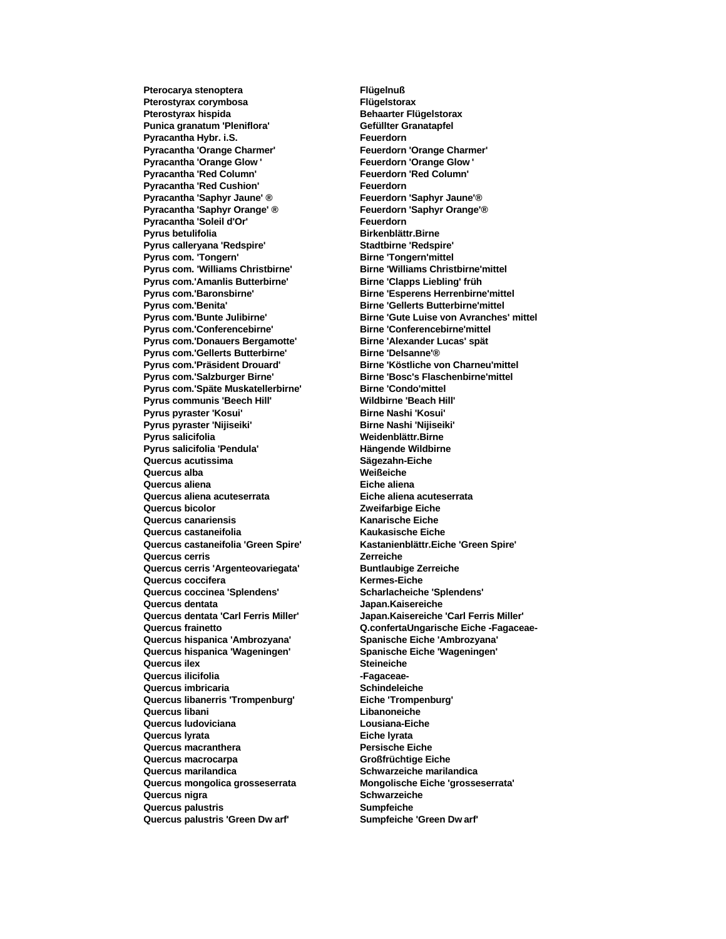**Pterocarya stenoptera Flügelnuß Pterostyrax corymbosa Flügelstorax Pterostyrax hispida Behaarter Flügelstorax** Punica granatum 'Pleniflora' **Gefüllter Granatapfel Pyracantha Hybr. i.S.**<br> **Pyracantha 'Orange Charmer'** Feuerdorn 'Orange Charmer' **Pyracantha 'Orange Charmer' Pyracantha 'Orange Glow ' Feuerdorn 'Orange Glow '** Pyracantha 'Red Column' **Feuerdorn 'Red Column' Pyracantha 'Red Cushion' Feuerdorn Pyracantha 'Saphyr Jaune' ® Feuerdorn 'Saphyr Jaune'® Pyracantha 'Saphyr Orange' ® Feuerdorn 'Saphyr Orange'®** Pyracantha 'Soleil d'Or' Feuerdorn **Pyrus betulifolia Birkenblättr.Birne Pyrus calleryana 'Redspire' Stadtbirne 'Redspire' Pyrus com. 'Tongern' Birne 'Tongern'mittel Pyrus com. 'Williams Christbirne' Birne 'Williams Christbirne'mittel Pyrus com.'Amanlis Butterbirne' Birne 'Clapps Liebling' früh** Pyrus com.'Baronsbirne' **Birne 'Esperens Herrenbirne'mittel** Pyrus com.'Benita' **Birne 'Gellerts Butterbirne'mittel Pyrus com.'Conferencebirne' Birne 'Conferencebirne'mittel Pyrus com.'Donauers Bergamotte' Birne 'Alexander Lucas' spät Pyrus com.'Gellerts Butterbirne' Birne 'Delsanne'® Pyrus com.'Präsident Drouard' Birne 'Köstliche von Charneu'mittel** Pyrus com.'Salzburger Birne' **Birne 'Bosc's Flaschenbirne'mittel** Pyrus com.'Späte Muskatellerbirne' Birne 'Condo'mittel **Pyrus communis 'Beech Hill' Wildbirne 'Beach Hill' Pyrus pyraster 'Kosui' Birne Nashi 'Kosui' Pyrus pyraster 'Nijiseiki' Birne Nashi 'Nijiseiki' Pyrus salicifolia Weidenblättr.Birne Pyrus salicifolia 'Pendula' Quercus acutissima Sägezahn-Eiche Quercus alba Weißeiche Quercus aliena Eiche aliena Quercus aliena acuteserrata Eiche aliena acuteserrata Quercus bicolor Zweifarbige Eiche Quercus canariensis Kanarische Eiche Quercus castaneifolia Kaukasische Eiche Quercus castaneifolia 'Green Spire' Kastanienblättr.Eiche 'Green Spire' Quercus cerris Zerreiche Quercus cerris 'Argenteovariegata' Buntlaubige Zerreiche Quercus coccifera Kermes-Eiche Quercus coccinea 'Splendens' Scharlacheiche 'Splendens' Quercus dentata Japan.Kaisereiche Quercus dentata 'Carl Ferris Miller' Japan.Kaisereiche 'Carl Ferris Miller' Quercus hispanica 'Ambrozyana' Spanische Eiche 'Ambrozyana' Quercus hispanica 'Wageningen' Spanische Eiche 'Wageningen' Quercus ilex Steineiche Quercus ilicifolia -Fagaceae-Quercus imbricaria Schindeleiche Quercus libanerris 'Trompenburg' Eiche 'Trompenburg' Quercus libani Libanoneiche Quercus ludoviciana Lousiana-Eiche Quercus lyrata Eiche lyrata Quercus macranthera Persische Eiche Quercus macrocarpa Großfrüchtige Eiche Quercus marilandica Schwarzeiche marilandica Quercus mongolica grosseserrata Mongolische Eiche 'grosseserrata' Quercus nigra Schwarzeiche Quercus palustris Sumpfeiche Quercus palustris 'Green Dw arf' Sumpfeiche 'Green Dw arf'**

**Pyrus com.'Bunte Julibirne' Birne 'Gute Luise von Avranches' mittel Quercus frainetto Q.confertaUngarische Eiche -Fagaceae-**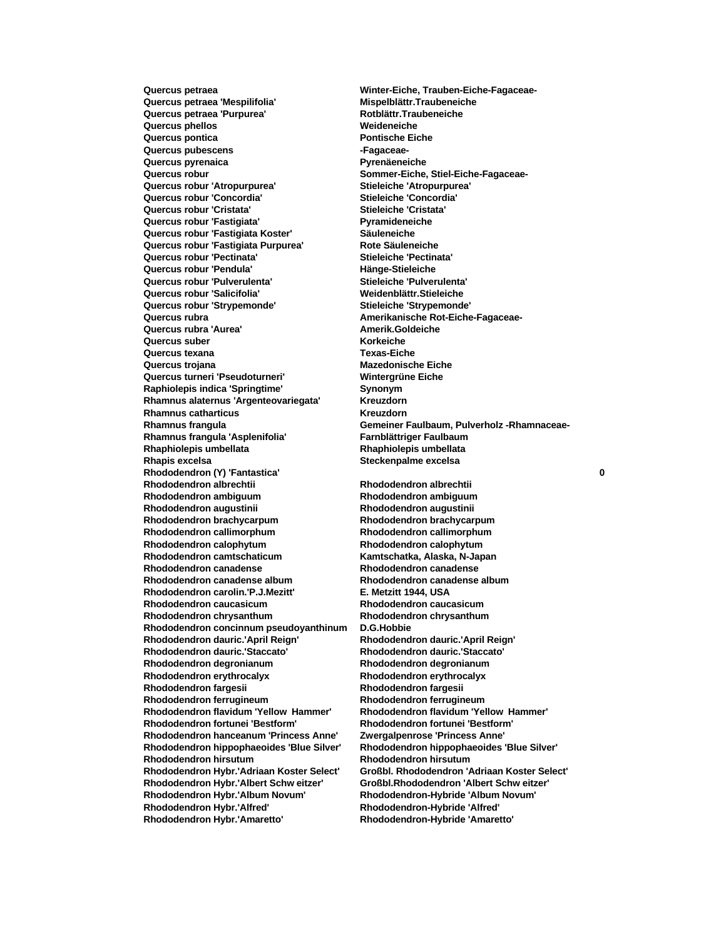**Quercus petraea 'Mespilifolia' Mispelblättr.Traubeneiche Quercus petraea 'Purpurea' Rotblättr.Traubeneiche Quercus phellos Weideneiche Quercus pontica Pontische Eiche Quercus pubescens -Fagaceae-Quercus pyrenaica Pyrenäeneiche Quercus robur Sommer-Eiche, Stiel-Eiche-Fagaceae-Quercus robur 'Atropurpurea' Stieleiche 'Atropurpurea' Quercus robur 'Concordia' Stieleiche 'Concordia' Quercus robur 'Cristata' Stieleiche 'Cristata' Quercus robur 'Fastigiata' Pyramideneiche Quercus robur 'Fastigiata Koster' Säuleneiche Quercus robur 'Fastigiata Purpurea'** Rote Säuleneiche<br> **Quercus robur 'Pectinata'** Stieleiche 'Pectinata' **Quercus robur 'Pectinata' Quercus robur 'Pendula' Hänge-Stieleiche Quercus robur 'Pulverulenta' Stieleiche 'Pulverulenta' Quercus robur 'Salicifolia' Weidenblättr.Stieleiche Quercus robur 'Strypemonde' Stieleiche 'Strypemonde' Quercus rubra Amerikanische Rot-Eiche-Fagaceae-Quercus rubra 'Aurea' Amerik.Goldeiche Quercus suber Korkeiche Quercus texana Texas-Eiche Quercus trojana Mazedonische Eiche Quercus turneri 'Pseudoturneri' Wintergrüne Eiche Raphiolepis indica 'Springtime' Synonym Rhamnus alaternus 'Argenteovariegata' Kreuzdorn Rhamnus catharticus Kreuzdorn Rhamnus frangula 'Asplenifolia' Farnblättriger Faulbaum Rhaphiolepis umbellata Rhaphiolepis umbellata Rhapis excelsa Steckenpalme excelsa Rhododendron (Y) 'Fantastica' 0 Rhododendron albrechtii Rhododendron albrechtii Rhododendron ambiguum Rhododendron ambiguum Rhododendron augustinii Rhododendron augustinii Rhododendron brachycarpum Rhododendron brachycarpum Rhododendron callimorphum Rhododendron callimorphum Rhododendron calophytum Rhododendron calophytum Rhododendron camtschaticum Kamtschatka, Alaska, N-Japan Rhododendron canadense album Rhododendron canadense album Rhododendron carolin.'P.J.Mezitt' E. Metzitt 1944, USA Rhododendron caucasicum Rhododendron caucasicum Rhododendron chrysanthum Rhododendron chrysanthum Rhododendron concinnum pseudoyanthinum D.G.Hobbie Rhododendron dauric.'April Reign' Rhododendron dauric.'April Reign' Rhododendron dauric.'Staccato' Rhododendron dauric.'Staccato' Rhododendron degronianum Rhododendron degronianum Rhododendron erythrocalyx Rhododendron erythrocalyx Rhododendron fargesii Rhododendron fargesii Rhododendron ferrugineum Rhododendron ferrugineum Rhododendron flavidum 'Yellow Hammer' Rhododendron flavidum 'Yellow Hammer' Rhododendron fortunei 'Bestform' Rhododendron fortunei 'Bestform' Rhododendron hanceanum 'Princess Anne' Zwergalpenrose 'Princess Anne' Rhododendron hirsutum Rhododendron hirsutum Rhododendron Hybr.'Albert Schw eitzer' Großbl.Rhododendron 'Albert Schw eitzer' Rhododendron Hybr.'Album Novum' Rhododendron-Hybride 'Album Novum' Rhododendron Hybr.'Alfred' Rhododendron-Hybride 'Alfred' Rhododendron Hybr.'Amaretto' Rhododendron-Hybride 'Amaretto'**

**Quercus petraea Winter-Eiche, Trauben-Eiche-Fagaceae-Rhamnus frangula Gemeiner Faulbaum, Pulverholz -Rhamnaceae-**

**Rhododendron canadense Rhododendron canadense Rhododendron hippophaeoides 'Blue Silver' Rhododendron hippophaeoides 'Blue Silver' Rhododendron Hybr.'Adriaan Koster Select' Großbl. Rhododendron 'Adriaan Koster Select'**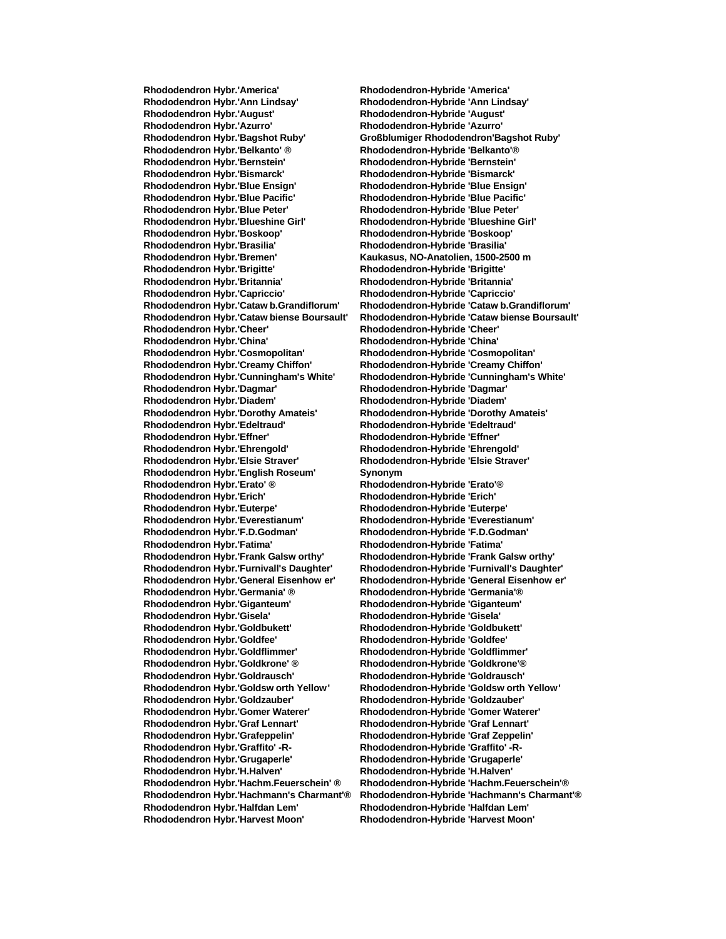**Rhododendron Hybr.'Ann Lindsay' Rhododendron-Hybride 'Ann Lindsay' Rhododendron Hybr.'August' Rhododendron-Hybride 'August' Rhododendron Hybr.'Azurro' Rhododendron-Hybride 'Azurro' Rhododendron Hybr.'Bagshot Ruby' Großblumiger Rhododendron'Bagshot Ruby' Rhododendron Hybr.'Belkanto' ® Rhododendron-Hybride 'Belkanto'® Rhododendron Hybr.'Bernstein' Rhododendron-Hybride 'Bernstein' Rhododendron Hybr.'Bismarck' Rhododendron-Hybride 'Bismarck' Rhododendron Hybr.'Blue Ensign' Rhododendron-Hybride 'Blue Ensign' Rhododendron Hybr.'Blue Pacific' Rhododendron-Hybride 'Blue Pacific' Rhododendron Hybr.'Blue Peter' Rhododendron-Hybride 'Blue Peter' Rhododendron Hybr.'Blueshine Girl' Rhododendron-Hybride 'Blueshine Girl' Rhododendron Hybr.'Boskoop' Rhododendron-Hybride 'Boskoop' Rhododendron Hybr.'Brasilia' Rhododendron-Hybride 'Brasilia' Rhododendron Hybr.'Brigitte' Rhododendron-Hybride 'Brigitte' Rhododendron Hybr.'Britannia' Rhododendron-Hybride 'Britannia' Rhododendron Hybr.'Cheer' Rhododendron-Hybride 'Cheer' Rhododendron Hybr.'China' Rhododendron-Hybride 'China' Rhododendron Hybr.'Cosmopolitan' Rhododendron-Hybride 'Cosmopolitan' Rhododendron Hybr.'Creamy Chiffon' Rhododendron-Hybride 'Creamy Chiffon' Rhododendron Hybr.'Cunningham's White' Rhododendron-Hybride 'Cunningham's White' Rhododendron Hybr.'Dagmar' Rhododendron-Hybride 'Dagmar' Rhododendron Hybr.'Diadem' Rhododendron-Hybride 'Diadem' Rhododendron Hybr.'Dorothy Amateis' Rhododendron-Hybride 'Dorothy Amateis' Rhododendron Hybr.'Edeltraud' Rhododendron-Hybride 'Edeltraud' Rhododendron Hybr.'Ehrengold' Rhododendron-Hybride 'Ehrengold' Rhododendron Hybr.'Elsie Straver' Rhododendron-Hybride 'Elsie Straver' Rhododendron Hybr.'English Roseum' Synonym Rhododendron Hybr.'Erato' ® Rhododendron-Hybride 'Erato'® Rhododendron Hybr.'Erich' Rhododendron-Hybride 'Erich' Rhododendron Hybr.'Everestianum' Rhododendron-Hybride 'Everestianum' Rhododendron Hybr.'F.D.Godman' Rhododendron-Hybride 'F.D.Godman' Rhododendron Hybr.'Fatima' Rhododendron-Hybride 'Fatima' Rhododendron Hybr.'Frank Galsw orthy' Rhododendron-Hybride 'Frank Galsw orthy' Rhododendron Hybr.'Furnivall's Daughter' Rhododendron-Hybride 'Furnivall's Daughter' Rhododendron Hybr.'General Eisenhow er' Rhododendron-Hybride 'General Eisenhow er' Rhododendron Hybr.'Germania' ® Rhododendron-Hybride 'Germania'® Rhododendron Hybr.'Giganteum' Rhododendron-Hybride 'Giganteum' Rhododendron Hybr.'Gisela' Rhododendron-Hybride 'Gisela' Rhododendron Hybr.'Goldbukett' Rhododendron-Hybride 'Goldbukett' Rhododendron Hybr.'Goldfee' Rhododendron-Hybride 'Goldfee' Rhododendron Hybr.'Goldflimmer' Rhododendron-Hybride 'Goldflimmer' Rhododendron Hybr.'Goldkrone' ® Rhododendron-Hybride 'Goldkrone'® Rhododendron Hybr.'Goldrausch' Rhododendron-Hybride 'Goldrausch' Rhododendron Hybr.'Goldsw orth Yellow' Rhododendron-Hybride 'Goldsw orth Yellow' Rhododendron Hybr.'Goldzauber' Rhododendron-Hybride 'Goldzauber' Rhododendron Hybr.'Gomer Waterer' Rhododendron-Hybride 'Gomer Waterer' Rhododendron Hybr.'Graf Lennart' Rhododendron-Hybride 'Graf Lennart' Rhododendron Hybr.'Grafeppelin' Rhododendron-Hybride 'Graf Zeppelin' Rhododendron Hybr.'Graffito' -R- Rhododendron-Hybride 'Graffito' -R-Rhododendron Hybr.'Grugaperle' Rhododendron-Hybride 'Grugaperle' Rhododendron Hybr.'H.Halven' Rhododendron-Hybride 'H.Halven' Rhododendron Hybr.'Halfdan Lem' Rhododendron-Hybride 'Halfdan Lem' Rhododendron Hybr.'Harvest Moon' Rhododendron-Hybride 'Harvest Moon'**

**Rhododendron Hybr.'America' Rhododendron-Hybride 'America' Rhododendron Hybr.'Bremen' Kaukasus, NO-Anatolien, 1500-2500 m Rhododendron Hybr.'Capriccio' Rhododendron-Hybride 'Capriccio' Rhododendron Hybr.'Cataw b.Grandiflorum' Rhododendron-Hybride 'Cataw b.Grandiflorum' Rhododendron Hybr.'Cataw biense Boursault' Rhododendron-Hybride 'Cataw biense Boursault' Rhododendron Hybr.'Effner' Rhododendron-Hybride 'Effner' Rhododendron Hybr.'Euterpe' Rhododendron-Hybride 'Euterpe' Rhododendron Hybr.'Hachm.Feuerschein' ® Rhododendron-Hybride 'Hachm.Feuerschein'® Rhododendron Hybr.'Hachmann's Charmant'® Rhododendron-Hybride 'Hachmann's Charmant'®**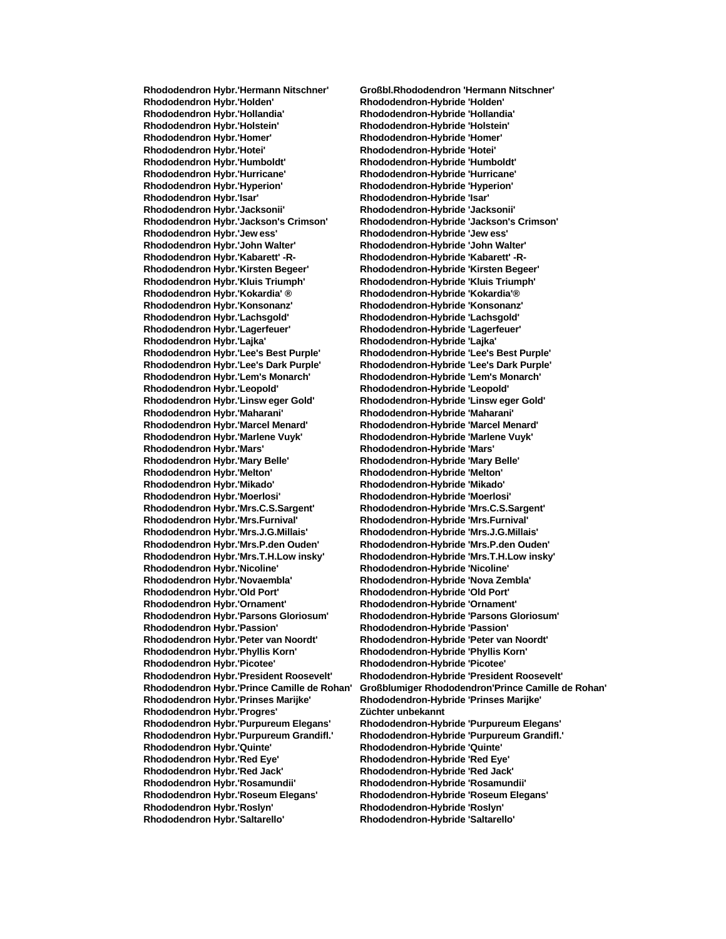**Rhododendron Hybr.'Holden' Rhododendron-Hybride 'Holden' Rhododendron Hybr.'Hollandia' Rhododendron-Hybride 'Hollandia' Rhododendron Hybr.'Holstein' Rhododendron-Hybride 'Holstein' Rhododendron Hybr.'Homer' Rhododendron-Hybride 'Homer' Rhododendron Hybr.'Humboldt' Rhododendron-Hybride 'Humboldt' Rhododendron Hybr.'Hurricane' Rhododendron-Hybride 'Hurricane' Rhododendron Hybr.'Hyperion' Rhododendron-Hybride 'Hyperion' Rhododendron Hybr.'Isar' Rhododendron-Hybride 'Isar' Rhododendron Hybr.'Jacksonii' Rhododendron-Hybride 'Jacksonii' Rhododendron Hybr.'Jew ess' Rhododendron-Hybride 'Jew ess' Rhododendron Hybr.'John Walter' Rhododendron-Hybride 'John Walter' Rhododendron Hybr.'Kirsten Begeer' Rhododendron-Hybride 'Kirsten Begeer' Rhododendron Hybr.'Kluis Triumph' Rhododendron-Hybride 'Kluis Triumph' Rhododendron Hybr.'Konsonanz' Rhododendron-Hybride 'Konsonanz' Rhododendron Hybr.'Lachsgold' Rhododendron-Hybride 'Lachsgold' Rhododendron Hybr.'Lagerfeuer' Rhododendron-Hybride 'Lagerfeuer' Rhododendron Hybr.'Lajka' Rhododendron-Hybride 'Lajka' Rhododendron Hybr.'Lee's Best Purple' Rhododendron-Hybride 'Lee's Best Purple' Rhododendron Hybr.'Lee's Dark Purple' Rhododendron-Hybride 'Lee's Dark Purple' Rhododendron Hybr.'Lem's Monarch' Rhododendron-Hybride 'Lem's Monarch' Rhododendron Hybr.'Leopold' Rhododendron-Hybride 'Leopold' Rhododendron Hybr.'Linsw eger Gold' Rhododendron-Hybride 'Linsw eger Gold' Rhododendron Hybr.'Maharani' Rhododendron-Hybride 'Maharani' Rhododendron Hybr.'Marcel Menard' Rhododendron-Hybride 'Marcel Menard' Rhododendron Hybr.'Marlene Vuyk' Rhododendron-Hybride 'Marlene Vuyk' Rhododendron Hybr.'Mary Belle' Rhododendron-Hybride 'Mary Belle' Rhododendron Hybr.'Melton' Rhododendron-Hybride 'Melton' Rhododendron Hybr.'Mikado' Rhododendron-Hybride 'Mikado' Rhododendron Hybr.'Moerlosi' Rhododendron-Hybride 'Moerlosi' Rhododendron Hybr.'Mrs.Furnival' Rhododendron-Hybride 'Mrs.Furnival' Rhododendron Hybr.'Mrs.J.G.Millais' Rhododendron-Hybride 'Mrs.J.G.Millais' Rhododendron Hybr.'Mrs.P.den Ouden' Rhododendron-Hybride 'Mrs.P.den Ouden' Rhododendron Hybr.'Mrs.T.H.Low insky' Rhododendron-Hybride 'Mrs.T.H.Low insky' Rhododendron Hybr.'Novaembla' Rhododendron-Hybride 'Nova Zembla' Rhododendron Hybr.'Old Port' Rhododendron-Hybride 'Old Port' Rhododendron Hybr.'Ornament' Rhododendron-Hybride 'Ornament' Rhododendron Hybr.'Passion' Rhododendron-Hybride 'Passion' Rhododendron Hybr.'Phyllis Korn' Rhododendron-Hybride 'Phyllis Korn' Rhododendron Hybr.'Picotee' Rhododendron-Hybride 'Picotee' Rhododendron Hybr.'Prinses Marijke' Rhododendron-Hybride 'Prinses Marijke' Rhododendron Hybr.'Progres' Züchter unbekannt Rhododendron Hybr.'Quinte' Rhododendron-Hybride 'Quinte' Rhododendron Hybr.'Red Eye' Rhododendron-Hybride 'Red Eye' Rhododendron Hybr.'Red Jack' Rhododendron-Hybride 'Red Jack' Rhododendron Hybr.'Roseum Elegans' Rhododendron-Hybride 'Roseum Elegans' Rhododendron Hybr.'Roslyn' Rhododendron-Hybride 'Roslyn' Rhododendron Hybr.'Saltarello' Rhododendron-Hybride 'Saltarello'**

**Rhododendron Hybr.'Hermann Nitschner' Großbl.Rhododendron 'Hermann Nitschner' Rhododendron Hybr.'Hotei' Rhododendron-Hybride 'Hotei' Rhododendron Hybr.'Jackson's Crimson' Rhododendron-Hybride 'Jackson's Crimson' Rhododendron-Hybride 'Kabarett' -R-Rhododendron Hybr.'Kokardia' ® Rhododendron-Hybride 'Kokardia'® Rhododendron Hybr.'Mars' Rhododendron-Hybride 'Mars' Rhododendron Hybr.'Mrs.C.S.Sargent' Rhododendron-Hybride 'Mrs.C.S.Sargent' Rhododendron Hybr.'Nicoline' Rhododendron-Hybride 'Nicoline' Rhododendron Hybr.'Parsons Gloriosum' Rhododendron-Hybride 'Parsons Gloriosum' Rhododendron Hybr.'Peter van Noordt' Rhododendron-Hybride 'Peter van Noordt' Rhododendron Hybr.'President Roosevelt' Rhododendron-Hybride 'President Roosevelt' Rhododendron Hybr.'Prince Camille de Rohan' Großblumiger Rhododendron'Prince Camille de Rohan' Rhododendron Hybr.'Purpureum Elegans' Rhododendron-Hybride 'Purpureum Elegans' Rhododendron Hybr.'Purpureum Grandifl.' Rhododendron-Hybride 'Purpureum Grandifl.' Rhododendron Hybr.'Rosamundii' Rhododendron-Hybride 'Rosamundii'**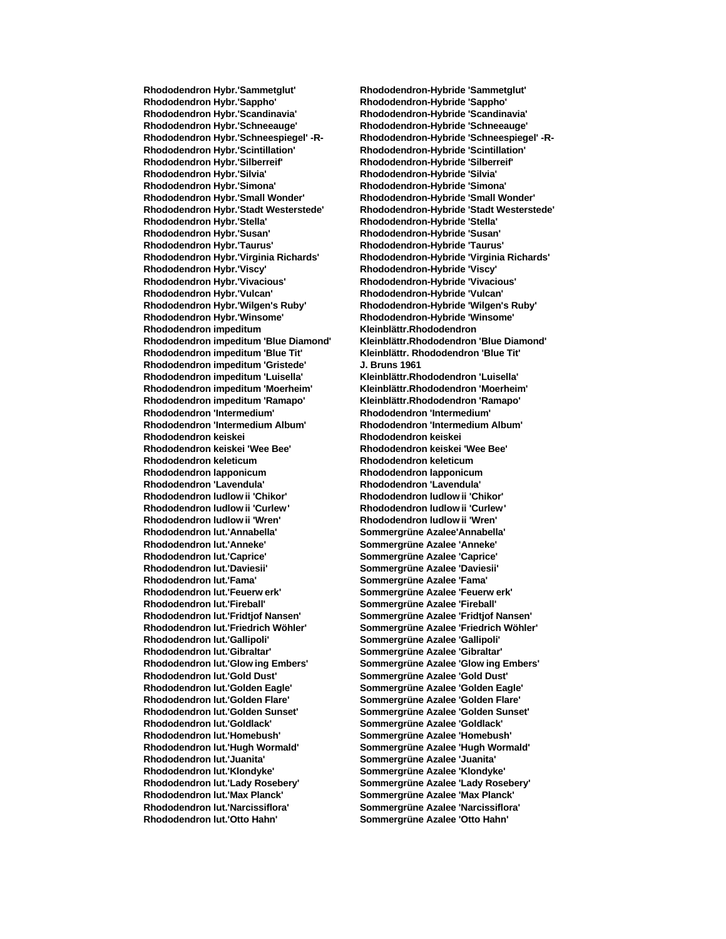**Rhododendron Hybr.'Sappho' Rhododendron-Hybride 'Sappho' Rhododendron Hybr.'Scandinavia' Rhododendron-Hybride 'Scandinavia' Rhododendron Hybr.'Schneeauge' Rhododendron-Hybride 'Schneeauge' Rhododendron Hybr.'Scintillation' Rhododendron-Hybride 'Scintillation' Rhododendron Hybr.'Silberreif' Rhododendron-Hybride 'Silberreif' Rhododendron Hybr.'Silvia' Rhododendron-Hybride 'Silvia' Rhododendron Hybr.'Simona' Rhododendron-Hybride 'Simona' Rhododendron Hybr.'Small Wonder' Rhododendron-Hybride 'Small Wonder' Rhododendron Hybr.'Stella' Rhododendron-Hybride 'Stella' Rhododendron Hybr.'Susan' Rhododendron-Hybride 'Susan' Rhododendron Hybr.'Virginia Richards' Rhododendron-Hybride 'Virginia Richards' Rhododendron Hybr.'Viscy' Rhododendron-Hybride 'Viscy' Rhododendron Hybr.'Vivacious' Rhododendron-Hybride 'Vivacious' Rhododendron Hybr.'Wilgen's Ruby' Rhododendron-Hybride 'Wilgen's Ruby' Rhododendron Hybr.'Winsome' Rhododendron-Hybride 'Winsome' Rhododendron impeditum Kleinblättr.Rhododendron Rhododendron impeditum 'Gristede' J. Bruns 1961 Rhododendron impeditum 'Luisella' Kleinblättr.Rhododendron 'Luisella' Rhododendron impeditum 'Moerheim' Kleinblättr.Rhododendron 'Moerheim' Rhododendron impeditum 'Ramapo' Kleinblättr.Rhododendron 'Ramapo' Rhododendron 'Intermedium' Rhododendron 'Intermedium' Rhododendron 'Intermedium Album' Rhododendron 'Intermedium Album' Rhododendron keiskei Rhododendron keiskei Rhododendron keiskei 'Wee Bee' Rhododendron keiskei 'Wee Bee' Rhododendron keleticum Rhododendron keleticum Rhododendron lapponicum Rhododendron lapponicum Rhododendron 'Lavendula' Rhododendron 'Lavendula' Rhododendron ludlow ii 'Chikor' Rhododendron ludlow ii 'Chikor' Rhododendron ludlow ii 'Wren' Rhododendron ludlow ii 'Wren' Rhododendron lut.'Annabella' Sommergrüne Azalee'Annabella' Rhododendron lut.'Anneke' Sommergrüne Azalee 'Anneke' Rhododendron lut.'Caprice' Sommergrüne Azalee 'Caprice' Rhododendron lut.'Daviesii' Sommergrüne Azalee 'Daviesii' Rhododendron lut.'Fama' Sommergrüne Azalee 'Fama' Rhododendron lut.'Feuerw erk' Sommergrüne Azalee 'Feuerw erk' Rhododendron lut.'Fireball' Sommergrüne Azalee 'Fireball' Rhododendron lut.'Fridtjof Nansen' Sommergrüne Azalee 'Fridtjof Nansen' Rhododendron lut.'Friedrich Wöhler' Sommergrüne Azalee 'Friedrich Wöhler' Rhododendron lut.'Gallipoli' Sommergrüne Azalee 'Gallipoli' Rhododendron lut.'Gibraltar' Sommergrüne Azalee 'Gibraltar' Rhododendron lut.'Glow ing Embers' Sommergrüne Azalee 'Glow ing Embers' Rhododendron lut.'Gold Dust' Sommergrüne Azalee 'Gold Dust' Rhododendron lut.'Golden Eagle' Sommergrüne Azalee 'Golden Eagle' Rhododendron lut.'Golden Sunset' Sommergrüne Azalee 'Golden Sunset' Rhododendron lut.'Goldlack' Sommergrüne Azalee 'Goldlack' Rhododendron lut.'Homebush' Sommergrüne Azalee 'Homebush' Rhododendron lut.'Hugh Wormald' Sommergrüne Azalee 'Hugh Wormald' Rhododendron lut.'Juanita' Sommergrüne Azalee 'Juanita' Rhododendron lut.'Klondyke' Sommergrüne Azalee 'Klondyke' Rhododendron lut.'Lady Rosebery' Sommergrüne Azalee 'Lady Rosebery' Rhododendron lut.'Max Planck' Sommergrüne Azalee 'Max Planck' Rhododendron lut.'Narcissiflora' Sommergrüne Azalee 'Narcissiflora' Rhododendron lut.'Otto Hahn' Sommergrüne Azalee 'Otto Hahn'**

**Rhododendron Hybr.'Sammetglut' Rhododendron-Hybride 'Sammetglut' Rhododendron Hybr.'Schneespiegel' -R- Rhododendron-Hybride 'Schneespiegel' -R-Rhododendron Hybr.'Stadt Westerstede' Rhododendron-Hybride 'Stadt Westerstede' Rhododendron Hybr.'Taurus' Rhododendron-Hybride 'Taurus' Rhododendron Hybr.'Vulcan' Rhododendron-Hybride 'Vulcan' Rhododendron impeditum 'Blue Diamond' Kleinblättr.Rhododendron 'Blue Diamond' Rhododendron impeditum 'Blue Tit' Kleinblättr. Rhododendron 'Blue Tit' Rhododendron ludlow ii 'Curlew' Rhododendron ludlow ii 'Curlew' Rhododendron lut.'Golden Flare' Sommergrüne Azalee 'Golden Flare'**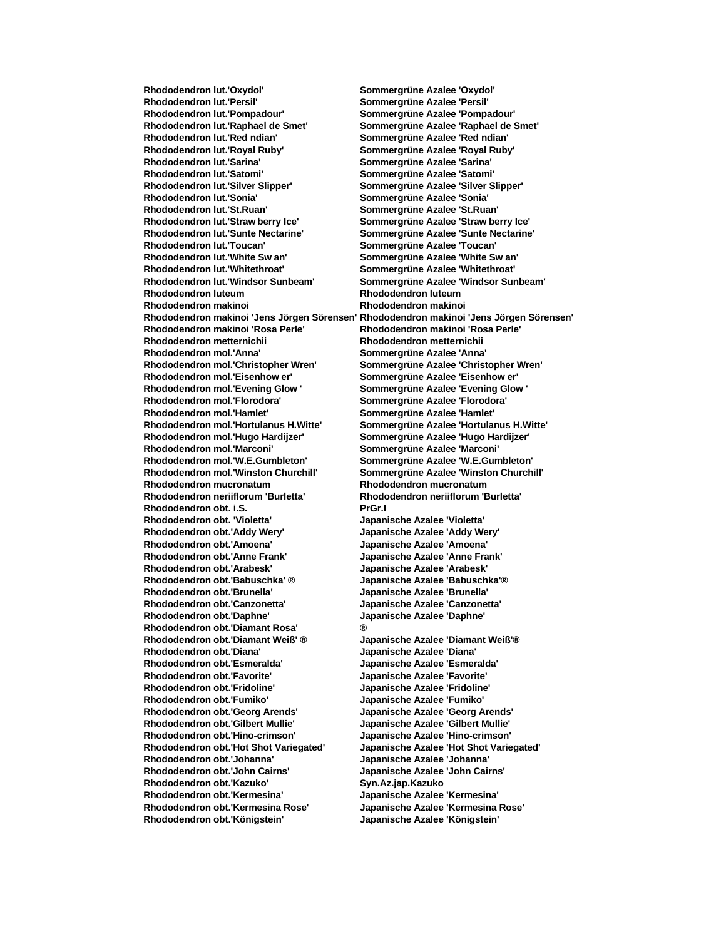**Rhododendron lut.'Persil' Sommergrüne Azalee 'Persil' Rhododendron lut.'Pompadour' Sommergrüne Azalee 'Pompadour' Rhododendron lut.'Raphael de Smet' Sommergrüne Azalee 'Raphael de Smet' Rhododendron lut.'Red ndian' Sommergrüne Azalee 'Red ndian' Rhododendron lut.'Royal Ruby' Sommergrüne Azalee 'Royal Ruby' Rhododendron lut.'Sarina' Sommergrüne Azalee 'Sarina' Rhododendron lut.'Satomi' Sommergrüne Azalee 'Satomi' Rhododendron lut.'Silver Slipper' Sommergrüne Azalee 'Silver Slipper' Rhododendron lut.'Sonia' Sommergrüne Azalee 'Sonia' Rhododendron lut.'St.Ruan' Sommergrüne Azalee 'St.Ruan' Rhododendron lut.'Straw berry Ice' Sommergrüne Azalee 'Straw berry Ice' Rhododendron lut.'Sunte Nectarine' Sommergrüne Azalee 'Sunte Nectarine' Rhododendron lut.'Toucan' Sommergrüne Azalee 'Toucan' Rhododendron lut.'Whitethroat' Sommergrüne Azalee 'Whitethroat' Rhododendron lut.'Windsor Sunbeam' Sommergrüne Azalee 'Windsor Sunbeam' Rhododendron luteum Rhododendron luteum Rhododendron makinoi Rhododendron makinoi Rhododendron makinoi 'Jens Jörgen Sörensen' Rhododendron makinoi 'Jens Jörgen Sörensen' Rhododendron makinoi 'Rosa Perle' Rhododendron makinoi 'Rosa Perle' Rhododendron metternichii Rhododendron metternichii Rhododendron mol.'Anna' Sommergrüne Azalee 'Anna' Rhododendron mol.'Christopher Wren' Sommergrüne Azalee 'Christopher Wren' Rhododendron mol.'Eisenhow er' Sommergrüne Azalee 'Eisenhow er' Rhododendron mol.'Evening Glow ' Sommergrüne Azalee 'Evening Glow ' Rhododendron mol.'Florodora' Sommergrüne Azalee 'Florodora' Rhododendron mol.'Hamlet' Sommergrüne Azalee 'Hamlet' Rhododendron mol.'Hortulanus H.Witte' Sommergrüne Azalee 'Hortulanus H.Witte' Rhododendron mol.'Hugo Hardijzer' Sommergrüne Azalee 'Hugo Hardijzer' Rhododendron mol.'W.E.Gumbleton' Sommergrüne Azalee 'W.E.Gumbleton' Rhododendron mol.'Winston Churchill' Sommergrüne Azalee 'Winston Churchill' Rhododendron mucronatum Rhododendron mucronatum Rhododendron neriiflorum 'Burletta' Rhododendron neriiflorum 'Burletta' Rhododendron obt. i.S. PrGr.I Rhododendron obt. 'Violetta' Japanische Azalee 'Violetta' Rhododendron obt.'Addy Wery' Japanische Azalee 'Addy Wery' Rhododendron obt.'Amoena' Japanische Azalee 'Amoena' Rhododendron obt.'Arabesk' Japanische Azalee 'Arabesk' Rhododendron obt.'Babuschka' ® Japanische Azalee 'Babuschka'® Rhododendron obt.'Brunella' Japanische Azalee 'Brunella' Rhododendron obt.'Canzonetta' Japanische Azalee 'Canzonetta' Rhododendron obt.'Daphne' Japanische Azalee 'Daphne' Rhododendron obt.'Diamant Rosa' ® Rhododendron obt.'Diamant Weiß' ® Japanische Azalee 'Diamant Weiß'® Rhododendron obt.'Diana' Japanische Azalee 'Diana' Rhododendron obt.'Esmeralda' Japanische Azalee 'Esmeralda' Rhododendron obt.'Favorite' Japanische Azalee 'Favorite' Rhododendron obt.'Fridoline' Japanische Azalee 'Fridoline' Rhododendron obt.'Fumiko' Japanische Azalee 'Fumiko' Rhododendron obt.'Georg Arends' Japanische Azalee 'Georg Arends' Rhododendron obt.'Gilbert Mullie' Japanische Azalee 'Gilbert Mullie' Rhododendron obt.'Hino-crimson' Japanische Azalee 'Hino-crimson' Rhododendron obt.'Hot Shot Variegated' Japanische Azalee 'Hot Shot Variegated' Rhododendron obt.'Johanna' Japanische Azalee 'Johanna' Rhododendron obt.'John Cairns' Japanische Azalee 'John Cairns' Rhododendron obt.'Kazuko' Syn.Az.jap.Kazuko Rhododendron obt.'Kermesina' Japanische Azalee 'Kermesina' Rhododendron obt.'Kermesina Rose' Japanische Azalee 'Kermesina Rose' Rhododendron obt.'Königstein' Japanische Azalee 'Königstein'**

**Rhododendron lut.'Oxydol' Sommergrüne Azalee 'Oxydol' Rhododendron lut.'White Sw an' Sommergrüne Azalee 'White Sw an' Rhododendron mol.'Marconi' Sommergrüne Azalee 'Marconi' Rhododendron obt.'Anne Frank' Japanische Azalee 'Anne Frank'**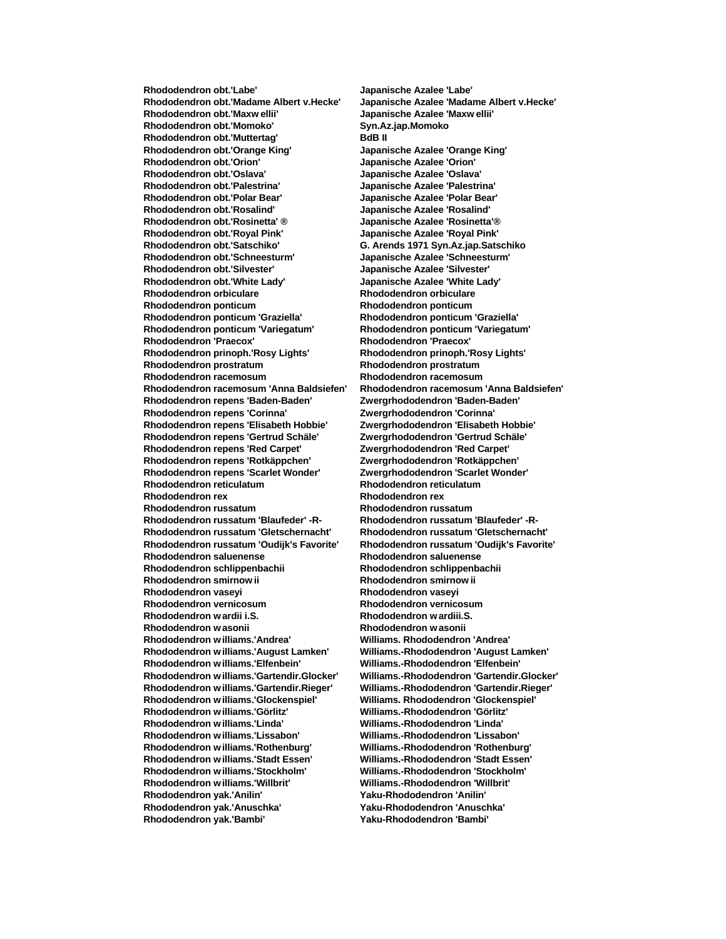**Rhododendron obt.'Labe' Japanische Azalee 'Labe' Rhododendron obt.'Madame Albert v.Hecke' Japanische Azalee 'Madame Albert v.Hecke' Rhododendron obt.'Maxw ellii' Japanische Azalee 'Maxw ellii' Rhododendron obt.'Momoko' Syn.Az.jap.Momoko** Rhododendron obt.'Muttertag' **BdB II**<br>Rhododendron obt.'Orange King' Japanische Azalee 'Orange King' **Rhododendron obt.'Orange King' Japanische Azalee 'Orange King' Rhododendron obt.'Orion' Japanische Azalee 'Orion' Rhododendron obt.'Oslava' Japanische Azalee 'Oslava' Rhododendron obt.'Palestrina' Japanische Azalee 'Palestrina' Rhododendron obt.'Polar Bear' Japanische Azalee 'Polar Bear' Rhododendron obt.'Rosalind' Japanische Azalee 'Rosalind' Rhododendron obt.'Rosinetta' ® Japanische Azalee 'Rosinetta'® Rhododendron obt.'Royal Pink' Japanische Azalee 'Royal Pink' Rhododendron obt.'Satschiko' G. Arends 1971 Syn.Az.jap.Satschiko Rhododendron obt.'Silvester' Japanische Azalee 'Silvester' Rhododendron obt.'White Lady' Japanische Azalee 'White Lady' Rhododendron orbiculare Rhododendron orbiculare Rhododendron ponticum Rhododendron ponticum Rhododendron ponticum 'Graziella' Rhododendron ponticum 'Graziella' Rhododendron ponticum 'Variegatum' Rhododendron ponticum 'Variegatum' Rhododendron 'Praecox' Rhododendron 'Praecox' Rhododendron prinoph.'Rosy Lights' Rhododendron prinoph.'Rosy Lights' Rhododendron prostratum Rhododendron prostratum Rhododendron racemosum Rhododendron racemosum Rhododendron racemosum 'Anna Baldsiefen' Rhododendron racemosum 'Anna Baldsiefen' Rhododendron repens 'Baden-Baden' Zwergrhododendron 'Baden-Baden' Rhododendron repens 'Corinna' Zwergrhododendron 'Corinna' Rhododendron repens 'Elisabeth Hobbie' Zwergrhododendron 'Elisabeth Hobbie' Rhododendron repens 'Gertrud Schäle' Zwergrhododendron 'Gertrud Schäle' Rhododendron repens 'Red Carpet' Rhododendron repens 'Rotkäppchen' Zwergrhododendron 'Rotkäppchen' Rhododendron repens 'Scarlet Wonder' Zwergrhododendron 'Scarlet Wonder' Rhododendron reticulatum Rhododendron reticulatum Rhododendron rex Rhododendron rex Rhododendron russatum Rhododendron russatum Rhododendron russatum 'Blaufeder' -R- Rhododendron russatum 'Blaufeder' -R-Rhododendron russatum 'Gletschernacht' Rhododendron russatum 'Gletschernacht' Rhododendron russatum 'Oudijk's Favorite' Rhododendron russatum 'Oudijk's Favorite' Rhododendron saluenense Rhododendron saluenense Rhododendron schlippenbachii Rhododendron schlippenbachii Rhododendron smirnow ii Rhododendron smirnow ii Rhododendron vaseyi Rhododendron vaseyi Rhododendron vernicosum Rhododendron vernicosum Rhododendron w ardii i.S. Rhododendron w ardiii.S. Rhododendron w asonii Rhododendron w asonii Rhododendron w illiams.'Andrea' Williams. Rhododendron 'Andrea' Rhododendron w illiams.'Elfenbein' Williams.-Rhododendron 'Elfenbein' Rhododendron w illiams.'Gartendir.Glocker' Williams.-Rhododendron 'Gartendir.Glocker' Rhododendron w illiams.'Gartendir.Rieger' Williams.-Rhododendron 'Gartendir.Rieger' Rhododendron w illiams.'Glockenspiel' Williams. Rhododendron 'Glockenspiel' Rhododendron w illiams.'Görlitz' Williams.-Rhododendron 'Görlitz' Rhododendron w illiams.'Linda' Williams.-Rhododendron 'Linda' Rhododendron w illiams.'Lissabon' Williams.-Rhododendron 'Lissabon' Rhododendron w illiams.'Rothenburg' Williams.-Rhododendron 'Rothenburg' Rhododendron w illiams.'Stockholm' Williams.-Rhododendron 'Stockholm' Rhododendron yak.'Anilin' Yaku-Rhododendron 'Anilin' Rhododendron yak.'Anuschka' Yaku-Rhododendron 'Anuschka' Rhododendron yak.'Bambi' Yaku-Rhododendron 'Bambi'**

**Rhododendron obt.'Schneesturm' Japanische Azalee 'Schneesturm' Williams.-Rhododendron 'August Lamken' Rhododendron w illiams.'Stadt Essen' Williams.-Rhododendron 'Stadt Essen' Rhododendron w illiams.'Willbrit' Williams.-Rhododendron 'Willbrit'**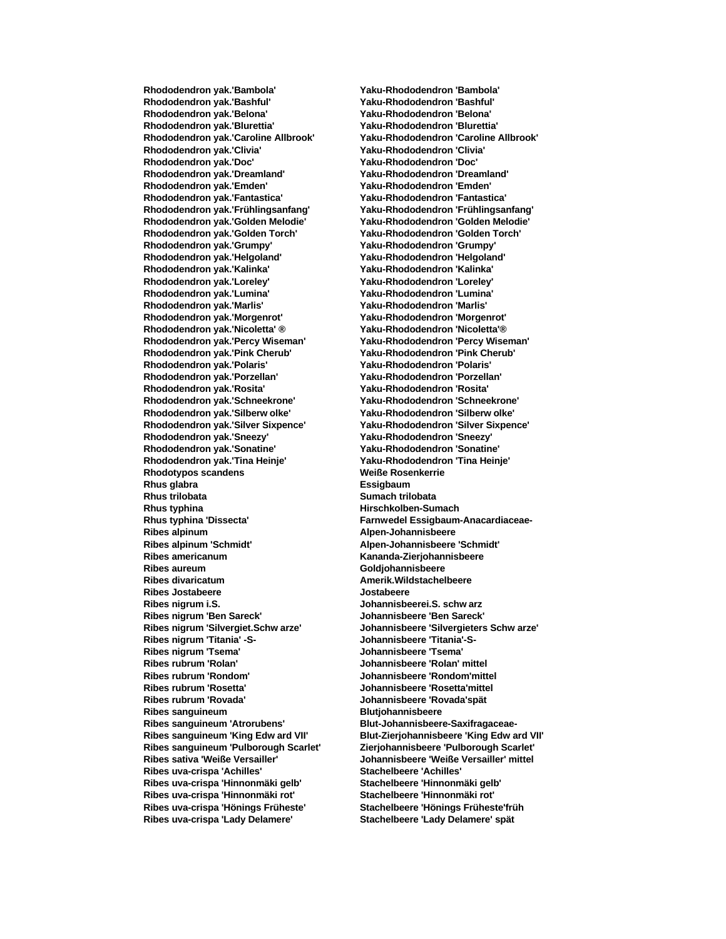**Rhododendron yak.'Bashful' Yaku-Rhododendron 'Bashful' Rhododendron yak.'Belona' Yaku-Rhododendron 'Belona' Rhododendron yak.'Blurettia' Yaku-Rhododendron 'Blurettia' Rhododendron yak.'Doc' Yaku-Rhododendron 'Doc' Rhododendron yak.'Dreamland' Yaku-Rhododendron 'Dreamland' Rhododendron yak.'Emden' Yaku-Rhododendron 'Emden' Rhododendron yak.'Fantastica' Yaku-Rhododendron 'Fantastica' Rhododendron yak.'Frühlingsanfang' Yaku-Rhododendron 'Frühlingsanfang' Rhododendron yak.'Golden Melodie' Yaku-Rhododendron 'Golden Melodie' Rhododendron yak.'Golden Torch' Yaku-Rhododendron 'Golden Torch' Rhododendron yak.'Grumpy' Yaku-Rhododendron 'Grumpy' Rhododendron yak.'Helgoland' Rhododendron yak.'Kalinka' Yaku-Rhododendron 'Kalinka' Rhododendron yak.'Loreley' Yaku-Rhododendron 'Loreley' Rhododendron yak.'Lumina' Yaku-Rhododendron 'Lumina' Rhododendron yak.'Marlis' Yaku-Rhododendron 'Marlis' Rhododendron yak.'Morgenrot' Yaku-Rhododendron 'Morgenrot' Rhododendron yak.'Nicoletta' ® Yaku-Rhododendron 'Nicoletta'® Rhododendron yak.'Percy Wiseman' Yaku-Rhododendron 'Percy Wiseman' Rhododendron yak.'Pink Cherub' Yaku-Rhododendron 'Pink Cherub' Rhododendron yak.'Polaris' Yaku-Rhododendron 'Polaris' Rhododendron yak.'Porzellan' Yaku-Rhododendron 'Porzellan' Rhododendron yak.'Rosita' Yaku-Rhododendron 'Rosita' Rhododendron yak.'Schneekrone' Yaku-Rhododendron 'Schneekrone' Rhododendron yak.'Silberw olke' Yaku-Rhododendron 'Silberw olke' Rhododendron yak.'Silver Sixpence' Yaku-Rhododendron 'Silver Sixpence' Rhododendron yak.'Sneezy' Yaku-Rhododendron 'Sneezy' Rhododendron yak.'Sonatine' Yaku-Rhododendron 'Sonatine' Rhododendron yak.'Tina Heinje' Yaku-Rhododendron 'Tina Heinje' Rhodotypos scandens Weiße Rosenkerrie Rhus glabra Essigbaum Rhus trilobata Sumach trilobata Rhus typhina 'Dissecta' Farnwedel Essigbaum-Anacardiaceae-Ribes alpinum Alpen-Johannisbeere Ribes alpinum 'Schmidt' Alpen-Johannisbeere 'Schmidt' Ribes aureum Goldjohannisbeere Ribes divaricatum Amerik.Wildstachelbeere Ribes Jostabeere Jostabeere Ribes nigrum i.S. Johannisbeerei.S. schw arz Ribes nigrum 'Ben Sareck' Johannisbeere 'Ben Sareck' Ribes nigrum 'Titania' -S- Johannisbeere 'Titania'-S-Ribes nigrum 'Tsema' Ribes rubrum 'Rolan' Johannisbeere 'Rolan' mittel Ribes rubrum 'Rondom' Johannisbeere 'Rondom'mittel Ribes rubrum 'Rovada' Johannisbeere 'Rovada'spät Ribes sanguineum Blutjohannisbeere Ribes sanguineum 'Atrorubens' Blut-Johannisbeere-Saxifragaceae-Ribes uva-crispa 'Achilles' Stachelbeere 'Achilles' Ribes uva-crispa 'Hinnonmäki gelb' Stachelbeere 'Hinnonmäki gelb' Ribes uva-crispa 'Hinnonmäki rot' Stachelbeere 'Hinnonmäki rot' Ribes uva-crispa 'Hönings Früheste' Stachelbeere 'Hönings Früheste'früh Ribes uva-crispa 'Lady Delamere' Stachelbeere 'Lady Delamere' spät**

**Rhododendron yak.'Bambola' Yaku-Rhododendron 'Bambola' Rhododendron yak.'Caroline Allbrook' Yaku-Rhododendron 'Caroline Allbrook' Rhododendron yak.'Clivia' Yaku-Rhododendron 'Clivia' Rhus typhina Hirschkolben-Sumach Ribes americanum Kananda-Zierjohannisbeere Ribes nigrum 'Silvergiet.Schw arze' Johannisbeere 'Silvergieters Schw arze' Ribes rubrum 'Rosetta' Johannisbeere 'Rosetta'mittel Ribes sanguineum 'King Edw ard VII' Blut-Zierjohannisbeere 'King Edw ard VII' Ribes sanguineum 'Pulborough Scarlet' Zierjohannisbeere 'Pulborough Scarlet' Ribes sativa 'Weiße Versailler' Johannisbeere 'Weiße Versailler' mittel**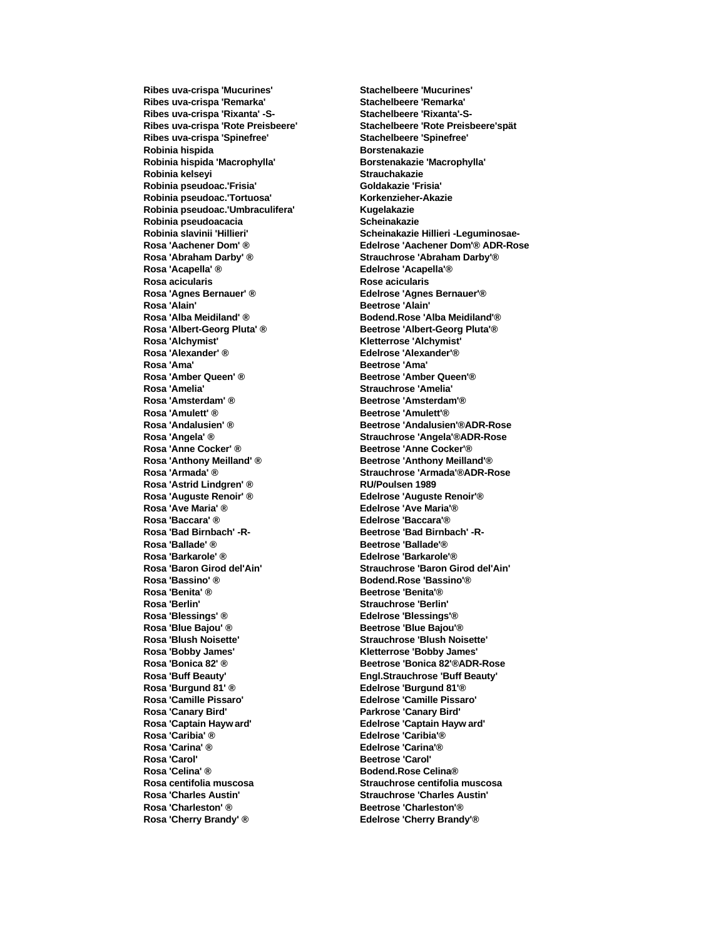**Ribes uva-crispa 'Remarka' Stachelbeere 'Remarka' Ribes uva-crispa 'Rixanta' -S- Stachelbeere 'Rixanta'-S-Ribes uva-crispa 'Spinefree' Stachelbeere 'Spinefree' Robinia hispida Borstenakazie Robinia hispida 'Macrophylla' Borstenakazie 'Macrophylla' Robinia kelseyi Strauchakazie Robinia pseudoac.'Frisia' Goldakazie 'Frisia'** Robinia pseudoac.'Tortuosa' **Korkenzieher-Akazie Robinia pseudoac.'Umbraculifera' Kugelakazie** Robinia pseudoacacia **bine interventiva contra electro el seu el seu el seu el seu el seu el seu el seu el seu el seu el seu el seu el seu el seu el seu el seu el seu el seu el seu el seu el seu el seu el seu el seu el seu Rosa 'Abraham Darby' ® Strauchrose 'Abraham Darby'® Rosa 'Acapella' ® Edelrose 'Acapella'® Rosa acicularis Rose acicularis Rosa 'Agnes Bernauer' ® Edelrose 'Agnes Bernauer'® Rosa 'Alain' Beetrose 'Alain' Rosa 'Alba Meidiland' ® Bodend.Rose 'Alba Meidiland'® Rosa 'Albert-Georg Pluta' ® Beetrose 'Albert-Georg Pluta'® Rosa 'Alchymist' Kletterrose 'Alchymist' Rosa 'Alexander' ® Edelrose 'Alexander'® Rosa 'Amber Queen' ® Beetrose 'Amber Queen'® Rosa 'Amelia' Strauchrose 'Amelia' Rosa 'Amsterdam' ® Beetrose 'Amsterdam'® Rosa 'Amulett' ® Beetrose 'Amulett' ® Rosa 'Anthony Meilland' ® Beetrose 'Anthony Meilland'® Rosa 'Astrid Lindgren' ® RU/Poulsen 1989 Rosa 'Auguste Renoir' ® Edelrose 'Auguste Renoir'® Rosa 'Baccara' ® Edelrose 'Baccara'®** Rosa 'Bad Birnbach' -R-<br>
Beetrose 'Bad Birnbach' -R-**Rosa 'Ballade' ® Beetrose 'Ballade'® Rosa 'Barkarole' ®**<br>**Rosa 'Baron Girod del'Ain' Rosa 'Bassino' ® Bodend.Rose 'Bassino'® Rosa 'Berlin' Strauchrose 'Berlin' Rosa 'Blessings' ® Edelrose 'Blessings'® Rosa 'Blue Bajou' ® Beetrose 'Blue Bajou' ® Rosa 'Blush Noisette' Strauchrose 'Blush Noisette' Rosa 'Bobby James' Kletterrose 'Bobby James' Rosa 'Buff Beauty' Engl.Strauchrose 'Buff Beauty' Rosa 'Burgund 81' ® Edelrose 'Burgund 81'® Rosa 'Camille Pissaro' Edelrose 'Camille Pissaro' Rosa 'Canary Bird' Parkrose 'Canary Bird' Rosa 'Captain Hayw ard' Edelrose 'Captain Hayw ard' Rosa 'Caribia' ® Edelrose 'Caribia'® Rosa 'Carina' ® Edelrose 'Carina'® Rosa 'Carol' Beetrose 'Carol' Rosa 'Celina' ® Bodend.Rose Celina® Rosa centifolia muscosa Strauchrose centifolia muscosa Rosa 'Charles Austin' Strauchrose 'Charles Austin' Rosa 'Charleston' ® Beetrose 'Charleston' ® Rosa 'Cherry Brandy' ® Edelrose 'Cherry Brandy'®**

**Ribes uva-crispa 'Mucurines' Stachelbeere 'Mucurines' Ribes uva-crispa 'Rote Preisbeere' Stachelbeere 'Rote Preisbeere'spät Robinia slavinii 'Hillieri' Scheinakazie Hillieri -Leguminosae-Rosa 'Aachener Dom' ® Edelrose 'Aachener Dom'® ADR-Rose Rosa 'Ama' Beetrose 'Ama' Rosa 'Andalusien' ® Beetrose 'Andalusien'®ADR-Rose Rosa 'Angela' ® Strauchrose 'Angela'®ADR-Rose Rosa 'Anne Cocker' ® Beetrose 'Anne Cocker'® Rosa 'Armada' ® Strauchrose 'Armada'®ADR-Rose Rosa 'Ave Maria' ® Edelrose 'Ave Maria'® Rosa 'Baron Girod del'Ain' Strauchrose 'Baron Girod del'Ain' Rosa 'Benita' ® Beetrose 'Benita'® Rosa 'Bonica 82' ® Beetrose 'Bonica 82'®ADR-Rose**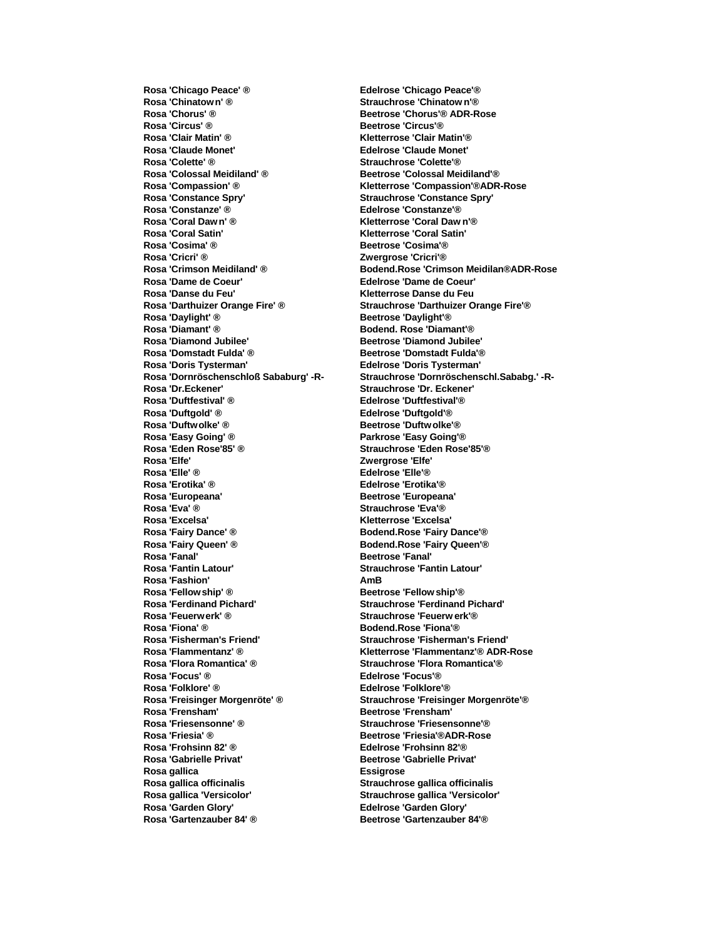**Rosa 'Chinatow n' ® Strauchrose 'Chinatow n'® Rosa 'Chorus' ® Beetrose 'Chorus'® ADR-Rose Rosa 'Circus' ® Beetrose 'Circus' ® Rosa 'Clair Matin' ® Kletterrose 'Clair Matin'® Rosa 'Claude Monet' Edelrose 'Claude Monet' Rosa 'Colossal Meidiland' ® Beetrose 'Colossal Meidiland'® Rosa 'Compassion' ® Kletterrose 'Compassion'®ADR-Rose Rosa 'Constance Spry' Strauchrose 'Constance Spry' Rosa 'Constanze' ® Edelrose 'Constanze'® Rosa 'Coral Satin' Kletterrose 'Coral Satin' Rosa 'Cosima' ® Beetrose 'Cosima'® Rosa 'Dame de Coeur' Edelrose 'Dame de Coeur' Rosa 'Danse du Feu' Kletterrose Danse du Feu Rosa 'Darthuizer Orange Fire' ® Strauchrose 'Darthuizer Orange Fire'® Rosa 'Daylight' ® Beetrose 'Daylight' ® Rosa 'Diamant' ® Bodend. Rose 'Diamant' ® Rosa 'Diamond Jubilee' Beetrose 'Diamond Jubilee' Rosa 'Domstadt Fulda' ® Beetrose 'Domstadt Fulda'® Rosa 'Doris Tysterman' Edelrose 'Doris Tysterman' Rosa 'Dr.Eckener' Strauchrose 'Dr. Eckener' Rosa 'Duftfestival' ® Edelrose 'Duftfestival'® Rosa 'Duftgold' ® Edelrose 'Duftgold'® Rosa 'Duftwolke' ® <br>Beetrose 'Duftwolke' ® Rosa 'Easy Going' ® Parkrose 'Easy Going'® Rosa 'Elfe' Zwergrose 'Elfe' Rosa 'Elle' ® Edelrose 'Elle'® Rosa 'Erotika' ® Edelrose 'Erotika'® Rosa 'Europeana' Beetrose 'Europeana' Rosa 'Excelsa' Kletterrose 'Excelsa' Rosa 'Fairy Dance' ® Bodend.Rose 'Fairy Dance'® Rosa 'Fairy Queen' ® Bodend.Rose 'Fairy Queen' ® Bodend.Rose 'Fairy Queen' ® Besties In Besties In Besties I Rosa 'Fanal' Beetrose 'Fanal' Rosa 'Fashion' AmB Rosa 'Fellowship' ® Beetrose 'Fellow ship'® Rosa 'Ferdinand Pichard' Strauchrose 'Ferdinand Pichard' Rosa 'Feuerwerk' ® Strauchrose 'Feuerw erk'® Rosa 'Fiona' ® Bodend.Rose 'Fiona'® Rosa 'Flammentanz' ® Kletterrose 'Flammentanz'® ADR-Rose Rosa 'Flora Romantica' ® Strauchrose 'Flora Romantica'® Rosa 'Focus' ® Edelrose 'Focus'® Rosa 'Folklore' ® Edelrose 'Folklore'® Rosa 'Freisinger Morgenröte' ® Strauchrose 'Freisinger Morgenröte'® Rosa 'Frensham' Beetrose 'Frensham' Rosa 'Friesensonne' ® Strauchrose 'Friesensonne'® Rosa 'Friesia' ® Beetrose 'Friesia'®ADR-Rose Rosa 'Frohsinn 82' ® Edelrose 'Frohsinn 82'® Rosa 'Gabrielle Privat' Beetrose 'Gabrielle Privat' Rosa gallica Essigrose Rosa gallica officinalis Strauchrose gallica officinalis Rosa gallica 'Versicolor' Strauchrose gallica 'Versicolor' Rosa 'Garden Glory' Edelrose 'Garden Glory' Rosa 'Gartenzauber 84' ® Beetrose 'Gartenzauber 84'®**

**Rosa 'Chicago Peace' ® Edelrose 'Chicago Peace'® Rosa 'Colette' ® Strauchrose 'Colette'® Rosa 'Coral Daw n' ® Kletterrose 'Coral Daw n'® Rosa 'Cricri' ® Zwergrose 'Cricri'® Rosa 'Crimson Meidiland' ® Bodend.Rose 'Crimson Meidilan®ADR-Rose Rosa 'Dornröschenschloß Sababurg' -R- Strauchrose 'Dornröschenschl.Sababg.' -R-Rosa 'Eden Rose'85' ® Strauchrose 'Eden Rose'85'® Rosa 'Eva' ® Strauchrose 'Eva'® Rosa 'Fantin Latour' Strauchrose 'Fantin Latour' Rosa 'Fisherman's Friend' Strauchrose 'Fisherman's Friend'**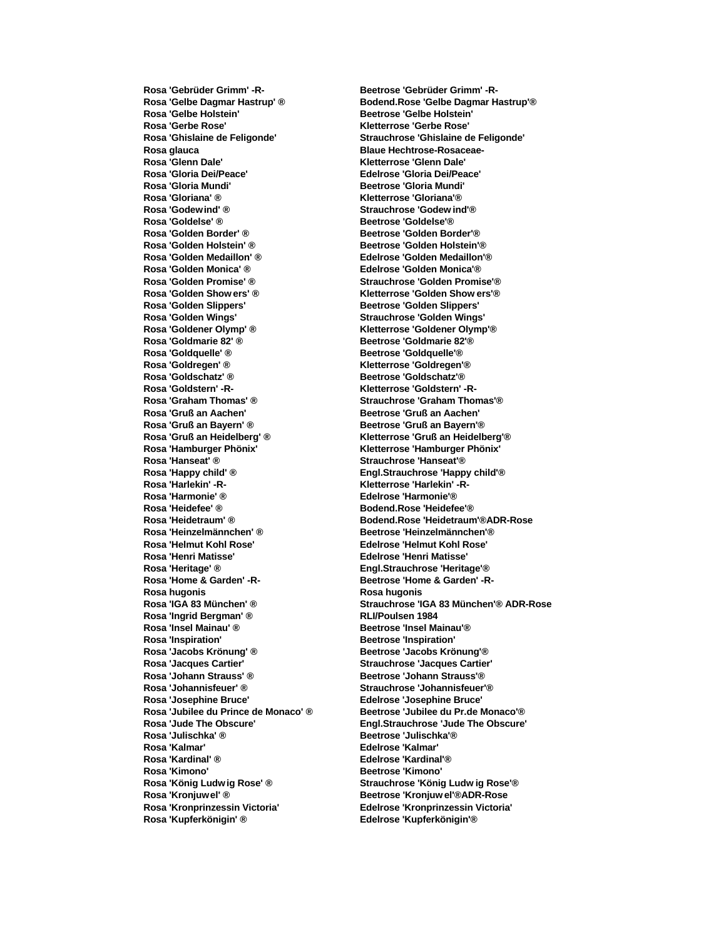**Rosa 'Gebrüder Grimm' -R- Beetrose 'Gebrüder Grimm' -R-Rosa 'Gelbe Holstein' Beetrose 'Gelbe Holstein' Rosa 'Gerbe Rose' Kletterrose 'Gerbe Rose' Rosa glauca Blaue Hechtrose-Rosaceae-Rosa 'Glenn Dale' Kletterrose 'Glenn Dale' Rosa 'Gloria Dei/Peace' Edelrose 'Gloria Dei/Peace' Rosa 'Gloria Mundi' Beetrose 'Gloria Mundi' Rosa 'Gloriana' ® Kletterrose 'Gloriana'® Rosa 'Godewind' ® Strauchrose 'Godew ind'® Rosa 'Goldelse' ® Beetrose 'Goldelse'® Rosa 'Golden Border' ® <br>Beetrose 'Golden Border' ® <br>Beetrose 'Golden Border' ® Rosa 'Golden Holstein' ® Beetrose 'Golden Holstein'® Rosa 'Golden Monica' ® Edelrose 'Golden Monica'® Rosa 'Golden Promise' ® Strauchrose 'Golden Promise'® Rosa 'Golden Show ers' ® Kletterrose 'Golden Show ers'® Rosa 'Golden Slippers' Beetrose 'Golden Slippers' Rosa 'Golden Wings' Strauchrose 'Golden Wings' Rosa 'Goldener Olymp' ® Kletterrose 'Goldener Olymp'® Rosa 'Goldmarie 82' ® Beetrose 'Goldmarie 82'® Rosa 'Goldquelle' ® Beetrose 'Goldquelle' ® Rosa 'Goldregen' ® Kletterrose 'Goldregen'® Rosa 'Goldschatz' ® <br>Beetrose 'Goldschatz' ® <br>Beetrose 'Goldschatz' ® Rosa 'Goldstern' -R- Kletterrose 'Goldstern' -R-Rosa 'Graham Thomas' ® Strauchrose 'Graham Thomas'® Rosa 'Gruß an Aachen' Beetrose 'Gruß an Aachen' Rosa 'Gruß an Bayern' ® Beetrose 'Gruß an Bayern'® Rosa 'Gruß an Heidelberg' ® Kletterrose 'Gruß an Heidelberg'® Rosa 'Hanseat' ® Strauchrose 'Hanseat'® Rosa 'Happy child' ® Engl.Strauchrose 'Happy child'® Rosa 'Harlekin' -R- Kletterrose 'Harlekin' -R-Rosa 'Harmonie' ® Edelrose 'Harmonie'® Rosa 'Heinzelmännchen' ® Beetrose 'Heinzelmännchen'® Rosa 'Helmut Kohl Rose' Edelrose 'Helmut Kohl Rose' Rosa 'Heritage' ® Engl.Strauchrose 'Heritage'®** Rosa 'Home & Garden' -R-<br>
Beetrose 'Home & Garden' -R-**Rosa hugonis Rosa hugonis Rosa 'Ingrid Bergman' ® RLI/Poulsen 1984 Rosa 'Insel Mainau' ® Beetrose 'Insel Mainau' ® Rosa 'Inspiration' Beetrose 'Inspiration' Rosa 'Jacobs Krönung' ® Beetrose 'Jacobs Krönung'® Rosa 'Jacques Cartier' Strauchrose 'Jacques Cartier' Rosa 'Johann Strauss' ® Beetrose 'Johann Strauss'® Rosa 'Johannisfeuer' ® Strauchrose 'Johannisfeuer'® Rosa 'Josephine Bruce' Edelrose 'Josephine Bruce' Rosa 'Julischka' ® Beetrose 'Julischka'® Rosa 'Kalmar' Edelrose 'Kalmar' Rosa 'Kardinal' ® Edelrose 'Kardinal'® Rosa 'Kimono' Beetrose 'Kimono' Rosa 'König Ludw ig Rose' ® Strauchrose 'König Ludw ig Rose'® Rosa 'Kronjuwel' ® Beetrose 'Kronjuw el'®ADR-Rose Rosa 'Kronprinzessin Victoria' Edelrose 'Kronprinzessin Victoria' Rosa 'Kupferkönigin' ® Edelrose 'Kupferkönigin'®**

**Rosa 'Gelbe Dagmar Hastrup' ® Bodend.Rose 'Gelbe Dagmar Hastrup'® Rosa 'Ghislaine de Feligonde' Strauchrose 'Ghislaine de Feligonde' Rosa 'Golden Medaillon' ® Edelrose 'Golden Medaillon'® Rosa 'Hamburger Phönix' Kletterrose 'Hamburger Phönix' Rosa 'Heidefee' ® Bodend.Rose 'Heidefee'® Rosa 'Heidetraum' ® Bodend.Rose 'Heidetraum'®ADR-Rose Rosa 'Henri Matisse' Edelrose 'Henri Matisse' Rosa 'IGA 83 München' ® Strauchrose 'IGA 83 München'® ADR-Rose Rosa 'Jubilee du Prince de Monaco' ® Beetrose 'Jubilee du Pr.de Monaco'® Rosa 'Jude The Obscure' Engl.Strauchrose 'Jude The Obscure'**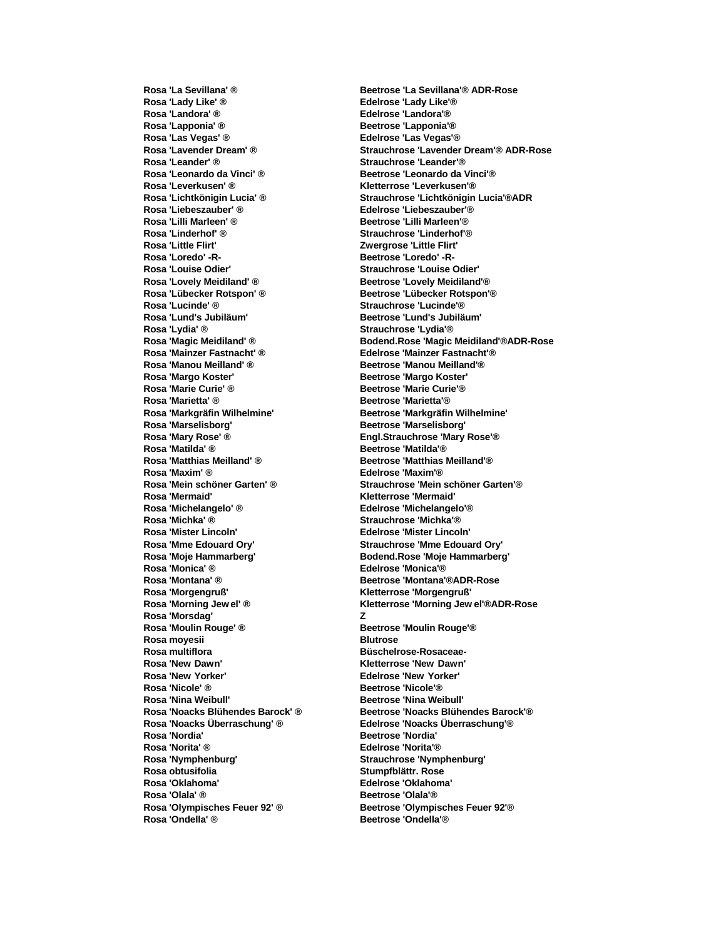**Rosa 'Lady Like' ® Edelrose 'Lady Like'® Rosa 'Landora' ® Edelrose 'Landora'® Rosa 'Lapponia' ® Beetrose 'Lapponia' ® Rosa 'Las Vegas' ® Edelrose 'Las Vegas'® Rosa 'Leander' ® Strauchrose 'Leander'® Rosa 'Leonardo da Vinci' ® Beetrose 'Leonardo da Vinci'® Rosa 'Leverkusen' ® Kletterrose 'Leverkusen'® Rosa 'Liebeszauber' ® Edelrose 'Liebeszauber'® Rosa 'Lilli Marleen' ® Beetrose 'Lilli Marleen'® Rosa 'Linderhof' ® Strauchrose 'Linderhof'® Rosa 'Little Flirt' Zwergrose 'Little Flirt' Rosa 'Louise Odier' Strauchrose 'Louise Odier' Rosa 'Lovely Meidiland' ® Beetrose 'Lovely Meidiland'® Rosa 'Lübecker Rotspon' ® Beetrose 'Lübecker Rotspon'® Rosa 'Lucinde' ® Strauchrose 'Lucinde'® Rosa 'Lund's Jubiläum' Beetrose 'Lund's Jubiläum' Rosa 'Lydia' ® Strauchrose 'Lydia'® Rosa 'Mainzer Fastnacht' ® Edelrose 'Mainzer Fastnacht'® Rosa 'Margo Koster' Beetrose 'Margo Koster' Rosa 'Marie Curie' ® Beetrose 'Marie Curie'® Rosa 'Marietta' ® Beetrose 'Marietta' ® Rosa 'Markgräfin Wilhelmine' Beetrose 'Markgräfin Wilhelmine' Rosa 'Marselisborg' Beetrose 'Marselisborg' Rosa 'Mary Rose' ® Engl.Strauchrose 'Mary Rose'® Rosa 'Matthias Meilland' ® Beetrose 'Matthias Meilland'® Rosa 'Maxim' ® Edelrose 'Maxim'® Rosa 'Mermaid' Kletterrose 'Mermaid' Rosa 'Michelangelo' ® Edelrose 'Michelangelo'® Rosa 'Michka' ® Strauchrose 'Michka'® Rosa 'Mister Lincoln' Edelrose 'Mister Lincoln' Rosa 'Mme Edouard Ory' Strauchrose 'Mme Edouard Ory' Rosa 'Moje Hammarberg' Bodend.Rose 'Moje Hammarberg' Rosa 'Montana' ® Beetrose 'Montana'®ADR-Rose Rosa 'Morgengruß' Kletterrose 'Morgengruß' Rosa 'Morsdag' Z Rosa 'Moulin Rouge' ® <br><b>Beetrose 'Moulin Rouge' ® Beetrose** 'Moulin Rouge' ® **Rosa moyesii Blutrose** Rosa multiflora **Büschelrose-Rosaceae-Rosa 'New Dawn' Kletterrose 'New Dawn' Rosa 'New Yorker' Edelrose 'New Yorker' Rosa 'Nina Weibull' Beetrose 'Nina Weibull' Rosa 'Noacks Überraschung' ® Edelrose 'Noacks Überraschung'® Rosa 'Nordia' Beetrose 'Nordia' Rosa 'Norita' ® Edelrose 'Norita'® Rosa obtusifolia Stumpfblättr. Rose Rosa 'Olala' ® Beetrose 'Olala' ® Rosa 'Olympisches Feuer 92' ® Beetrose 'Olympisches Feuer 92'® Rosa 'Ondella' ® Beetrose 'Ondella' ®** 

**Rosa 'La Sevillana' ® Beetrose 'La Sevillana'® ADR-Rose Rosa 'Lavender Dream' ® Strauchrose 'Lavender Dream'® ADR-Rose Rosa 'Lichtkönigin Lucia' ® Strauchrose 'Lichtkönigin Lucia'®ADR Rosa 'Loredo' -R- Beetrose 'Loredo' -R-Rosa 'Magic Meidiland' ® Bodend.Rose 'Magic Meidiland'®ADR-Rose Rosa 'Manou Meilland' ® Beetrose 'Manou Meilland'® Rosa 'Matilda' ® Beetrose 'Matilda'® Rosa 'Mein schöner Garten' ® Strauchrose 'Mein schöner Garten'® Rosa 'Monica' ® Edelrose 'Monica'® Rosa 'Morning Jew el' ® Kletterrose 'Morning Jew el'®ADR-Rose Rosa 'Nicole' ® Beetrose 'Nicole'® Rosa 'Noacks Blühendes Barock' ® Beetrose 'Noacks Blühendes Barock'® Rosa 'Nymphenburg' Strauchrose 'Nymphenburg' Rosa 'Oklahoma' Edelrose 'Oklahoma'**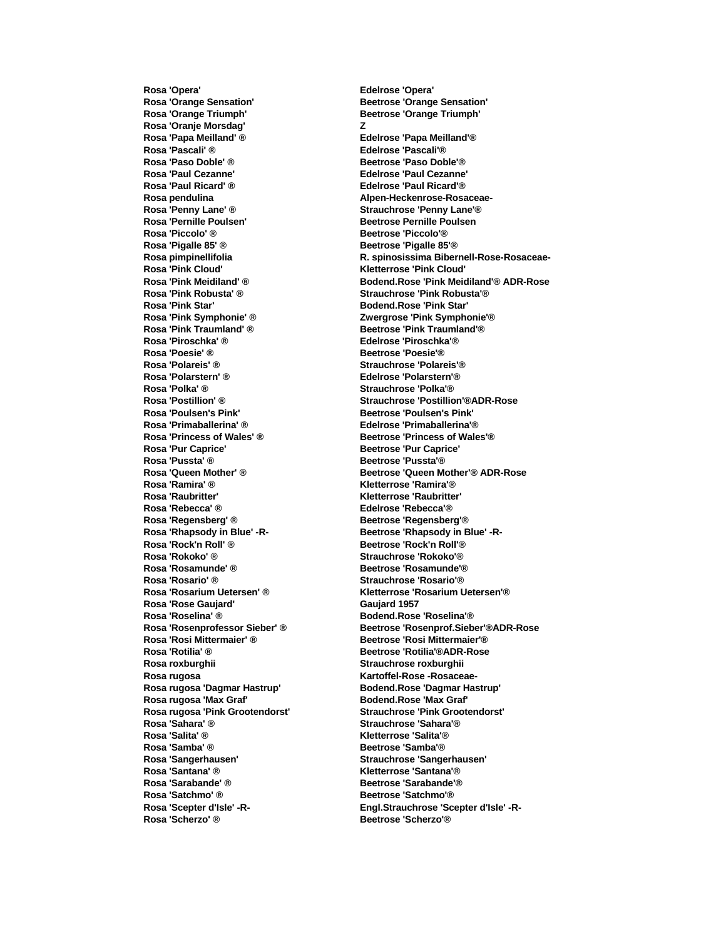**Rosa 'Opera' Edelrose 'Opera' Rosa 'Orange Sensation' Beetrose 'Orange Sensation' Rosa 'Orange Triumph' Beetrose 'Orange Triumph' Rosa 'Oranje Morsdag' Z Rosa 'Papa Meilland' ® Edelrose 'Papa Meilland'® Rosa 'Paso Doble' ® Beetrose 'Paso Doble' ® Beetrose 'Paso Doble'** ® **Rosa 'Paul Cezanne' Edelrose 'Paul Cezanne' Rosa 'Paul Ricard' ® Edelrose 'Paul Ricard'® Rosa pendulina Alpen-Heckenrose-Rosaceae-Rosa 'Penny Lane' ® Strauchrose 'Penny Lane'®** Rosa 'Pernille Poulsen' **Beetrose Pernille Poulsen Rosa 'Piccolo' ® Beetrose 'Piccolo'® Rosa 'Pigalle 85' ® Beetrose 'Pigalle 85'® Rosa 'Pink Cloud' Kletterrose 'Pink Cloud' Rosa 'Pink Star' Bodend.Rose 'Pink Star' Rosa 'Pink Symphonie' ® Zwergrose 'Pink Symphonie'® Rosa 'Pink Traumland' ® <br><b>Beetrose 'Pink Traumland' ® Beetrose** 'Pink Traumland' ® **Rosa 'Piroschka' ® Edelrose 'Piroschka'® Rosa 'Poesie' ® Beetrose 'Poesie'® Rosa 'Polarstern' ® Edelrose 'Polarstern'® Rosa 'Polka' ® Strauchrose 'Polka'® Rosa 'Poulsen's Pink' Beetrose 'Poulsen's Pink' Rosa 'Primaballerina' ® Edelrose 'Primaballerina'® Rosa 'Princess of Wales' ® Beetrose 'Princess of Wales'® Rosa 'Pussta' ® Beetrose 'Pussta' ® Rosa 'Ramira' ® Kletterrose 'Ramira'® Rosa 'Raubritter' Kletterrose 'Raubritter' Rosa 'Rebecca' ® Edelrose 'Rebecca'® Rosa 'Regensberg' ® <br>Beetrose 'Regensberg' ® <br>Beetrose 'Regensberg' ® Rosa 'Rock'n Roll' ® Beetrose 'Rock'n Roll'® Rosa 'Rokoko' ® Strauchrose 'Rokoko'® Rosa 'Rosario' ® Strauchrose 'Rosario'® Rosa 'Rose Gaujard' Gaujard 1957 Rosa 'Roselina' ® Bodend.Rose 'Roselina'® Rosa 'Rosi Mittermaier' ® Beetrose 'Rosi Mittermaier'® Rosa roxburghii Strauchrose roxburghii** Rosa rugosa **Kartoffel-Rose -Rosaceae-Rosa rugosa 'Max Graf' Bodend.Rose 'Max Graf' Rosa 'Sahara' ® Strauchrose 'Sahara'® Rosa 'Salita' ® Kletterrose 'Salita'® Rosa 'Samba' ® Beetrose 'Samba'® Rosa 'Santana' ® Kletterrose 'Santana'® Rosa 'Sarabande' ® <br>Beetrose 'Sarabande' ® <br>Beetrose 'Sarabande' ® Rosa 'Satchmo' ® Beetrose 'Satchmo' ® Rosa 'Scherzo' ® Beetrose 'Scherzo' ®** 

**Rosa 'Pascali' ® Edelrose 'Pascali'® R. spinosissima Bibernell-Rose-Rosaceae-Rosa 'Pink Meidiland' ® Bodend.Rose 'Pink Meidiland'® ADR-Rose**  $Strauchrose 'Pink Robusta'®$ **Rosa 'Polareis' ® Strauchrose 'Polareis'® Rosa 'Postillion' ® Strauchrose 'Postillion'®ADR-Rose Rosa 'Pur Caprice' Beetrose 'Pur Caprice' Rosa 'Queen Mother' ® Beetrose 'Queen Mother'® ADR-Rose Rosa 'Rhapsody in Blue' -R- Beetrose 'Rhapsody in Blue' -R-Rosa 'Rosamunde' ® Beetrose 'Rosamunde'® Rosa 'Rosarium Uetersen' ® Kletterrose 'Rosarium Uetersen'® Rosa 'Rosenprofessor Sieber' ® Beetrose 'Rosenprof.Sieber'®ADR-Rose Rosa 'Rotilia' ® Beetrose 'Rotilia'®ADR-Rose Rosa rugosa 'Dagmar Hastrup' Bodend.Rose 'Dagmar Hastrup' Rosa rugosa 'Pink Grootendorst' Strauchrose 'Pink Grootendorst' Rosa 'Sangerhausen' Strauchrose 'Sangerhausen' Rosa 'Scepter d'Isle' -R- Engl.Strauchrose 'Scepter d'Isle' -R-**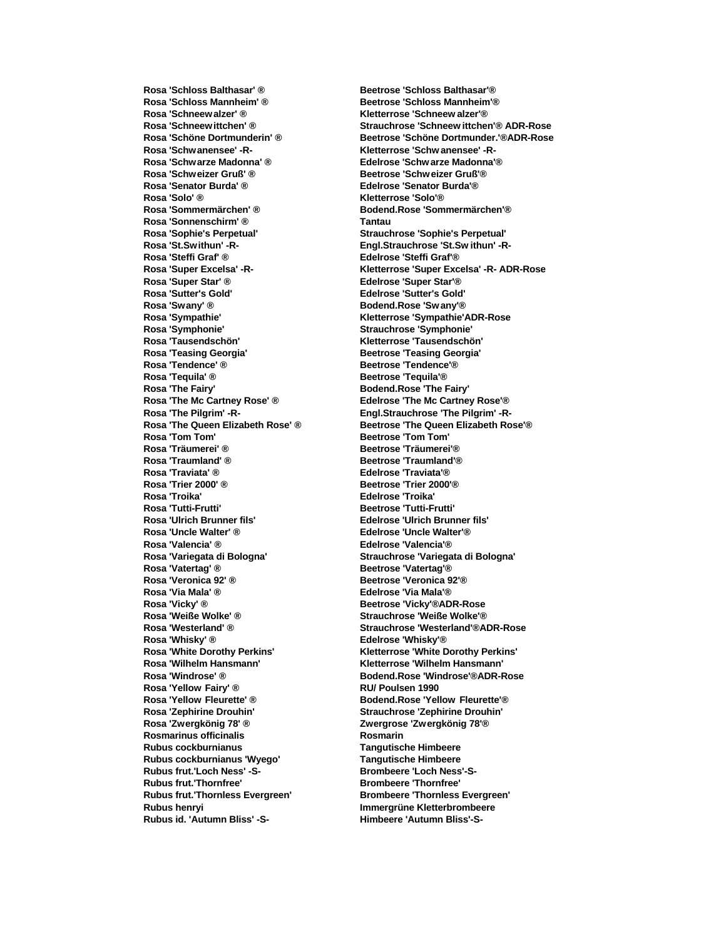**Rosa 'Schloss Mannheim' ® Beetrose 'Schloss Mannheim'® Rosa 'Schneew alzer' ® Kletterrose 'Schneew alzer'® Rosa 'Schwanensee' -R- Kletterrose 'Schw anensee' -R-Rosa 'Schwarze Madonna' ® Edelrose 'Schw arze Madonna'® Rosa 'Schweizer Gruß' ® Beetrose 'Schw eizer Gruß'® Rosa 'Senator Burda' ® Edelrose 'Senator Burda'® Rosa 'Solo' ® Kletterrose 'Solo'® Rosa 'Sommermärchen' ® Bodend.Rose 'Sommermärchen'® Rosa 'Sonnenschirm' ® Tantau Rosa 'Sophie's Perpetual' Strauchrose 'Sophie's Perpetual' Rosa 'St.Swithun' -R- Engl.Strauchrose 'St.Sw ithun' -R-Rosa 'Super Star' ® Edelrose 'Super Star'® Rosa 'Sutter's Gold' Edelrose 'Sutter's Gold' Rosa 'Swany' ® Bodend.Rose 'Sw any'® Rosa 'Symphonie' Strauchrose 'Symphonie' Rosa 'Tausendschön' Kletterrose 'Tausendschön' Rosa 'Teasing Georgia' Beetrose 'Teasing Georgia' Rosa 'Tendence' ® <br><b>Beetrose 'Tendence'** ® **Rosa 'Tequila' ® Beetrose 'Tequila' ® Rosa 'The Fairy' Bodend.Rose 'The Fairy' Rosa 'The Mc Cartney Rose' ® Edelrose 'The Mc Cartney Rose'® Rosa 'The Pilgrim' -R- Engl.Strauchrose 'The Pilgrim' -R-Rosa 'Tom Tom' Beetrose 'Tom Tom' Rosa 'Traumland' ®**  Beetrose 'Traumland' ® **Rosa 'Traviata' ® Edelrose 'Traviata'® Rosa 'Trier 2000' ® Beetrose 'Trier 2000' ® Rosa 'Troika' Edelrose 'Troika' Rosa 'Ulrich Brunner fils' Edelrose 'Ulrich Brunner fils' Rosa 'Uncle Walter' ® Edelrose 'Uncle Walter'® Rosa 'Valencia' ® Edelrose 'Valencia'® Rosa 'Variegata di Bologna' Strauchrose 'Variegata di Bologna' Rosa 'Vatertag' ® Beetrose 'Vatertag' ® Rosa 'Veronica 92' ® Beetrose 'Veronica 92'® Rosa 'Via Mala' ® Edelrose 'Via Mala'® Rosa 'Vicky' ® Beetrose 'Vicky'®ADR-Rose Rosa 'Weiße Wolke' ® Strauchrose 'Weiße Wolke'® Rosa 'White Dorothy Perkins' Kletterrose 'White Dorothy Perkins' Rosa 'Wilhelm Hansmann' Kletterrose 'Wilhelm Hansmann' Rosa 'Yellow Fairy' ® RU/ Poulsen 1990 Rosa 'Yellow Fleurette' ® Bodend.Rose 'Yellow Fleurette'® Rosa 'Zephirine Drouhin' Strauchrose 'Zephirine Drouhin' Rosa 'Zwergkönig 78' ® Zwergrose 'Zwergkönig 78'® Rosmarinus officinalis Rosmarin Rubus cockburnianus Tangutische Himbeere Rubus cockburnianus 'Wyego' Rubus frut.'Loch Ness' -S- Brombeere 'Loch Ness'-S-Rubus frut.'Thornfree' Brombeere 'Thornfree' Rubus frut.'Thornless Evergreen' Brombeere 'Thornless Evergreen' Rubus henryi Immergrüne Kletterbrombeere**

**Rosa 'Schloss Balthasar' ® Beetrose 'Schloss Balthasar'® Rosa 'Schneew ittchen' ® Strauchrose 'Schneew ittchen'® ADR-Rose Rosa 'Schöne Dortmunderin' ® Beetrose 'Schöne Dortmunder.'®ADR-Rose Rosa 'Steffi Graf' ® Edelrose 'Steffi Graf'® Rosa 'Super Excelsa' -R- Kletterrose 'Super Excelsa' -R- ADR-Rose Rosa 'Sympathie' Kletterrose 'Sympathie'ADR-Rose Rosa 'The Queen Elizabeth Rose' ® Beetrose 'The Queen Elizabeth Rose' ® Beetrose ignal Beetrose** 'Tom Tom' **Rosa 'Träumerei' ® Beetrose 'Träumerei'® Rosa 'Tutti-Frutti' Beetrose 'Tutti-Frutti' Rosa 'Westerland' ® Strauchrose 'Westerland'®ADR-Rose Rosa 'Whisky' ® Edelrose 'Whisky'® Rosa 'Windrose' ® Bodend.Rose 'Windrose'®ADR-Rose Rubus id. 'Autumn Bliss' -S- Himbeere 'Autumn Bliss'-S-**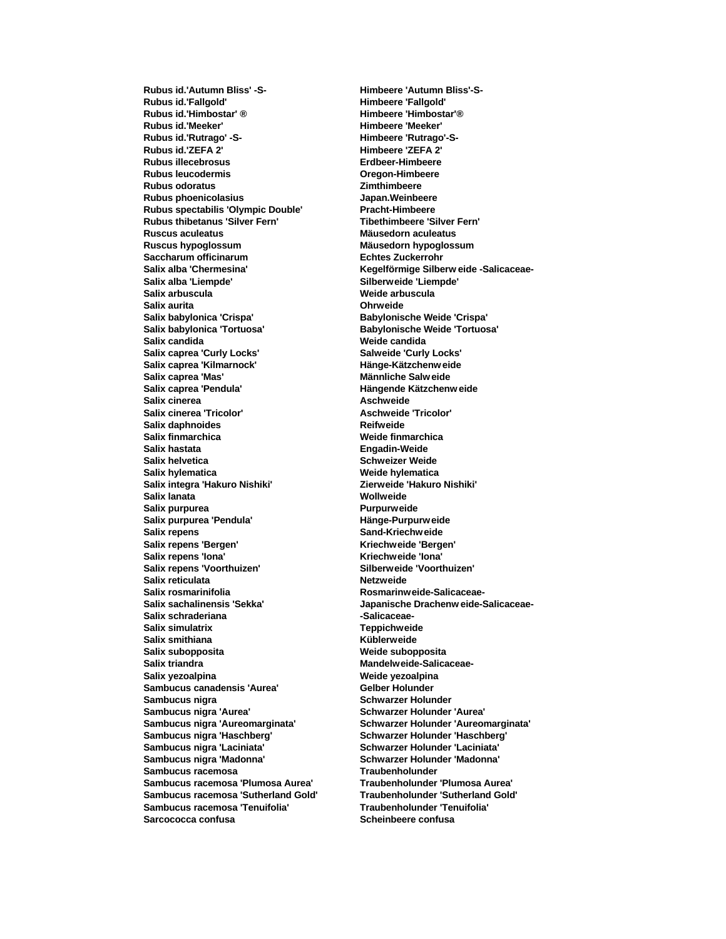**Rubus id.'Fallgold' Himbeere 'Fallgold' Rubus id.'Himbostar' ® Himbeere 'Himbostar'® Rubus id.'Meeker' Himbeere 'Meeker' Rubus id.'Rutrago' -S- Himbeere 'Rutrago'-S-Rubus illecebrosus Erdbeer-Himbeere Rubus leucodermis Oregon-Himbeere Rubus odoratus Zimthimbeere Rubus phoenicolasius Japan.Weinbeere Rubus spectabilis 'Olympic Double' Pracht-Himbeere Rubus thibetanus 'Silver Fern' Tibethimbeere 'Silver Fern' Ruscus aculeatus Mäusedorn aculeatus Ruscus hypoglossum Mäusedorn hypoglossum Saccharum officinarum Echtes Zuckerrohr Salix alba 'Liempde' Silberweide 'Liempde' Salix arbuscula Weide arbuscula Salix aurita Ohrweide Salix babylonica 'Crispa' Babylonische Weide 'Crispa' Salix babylonica 'Tortuosa' Babylonische Weide 'Tortuosa' Salix candida Weide candida Salix caprea 'Curly Locks' Salweide 'Curly Locks' Salix caprea 'Kilmarnock' Hänge-Kätzchenw eide Salix caprea 'Mas' Männliche Salw eide Salix caprea 'Pendula' Hängende Kätzchenw eide Salix cinerea Aschweide Salix cinerea 'Tricolor' Aschweide 'Tricolor' Salix daphnoides**<br> **Salix finmarchica**<br> **Salix finmarchica Salix finmarchica**<br>**Salix hastata Salix helvetica Schweizer Weide Salix hylematica Weide hylematica Salix integra 'Hakuro Nishiki' Zierweide 'Hakuro Nishiki' Salix lanata Wollweide Salix purpurea Purpurweide Salix purpurea 'Pendula' Hänge-Purpurw eide Salix repens Sand-Kriechweide Salix repens 'Bergen' Kriechweide 'Bergen' Salix repens 'Iona' Kriechweide 'Iona' Salix repens 'Voorthuizen' Salix reticulata Netzweide** Salix rosmarinifolia **Rosmarinweide-Salicaceae-**Salix schraderiana **by a strategie of the Salicaceae-Salix simulatrix Teppichweide Salix smithiana Salix subopposita Weide subopposita Salix triandra Mandelweide-Salicaceae-**Salix yezoalpina<br> **Salix yezoalpina Sambucus canadensis 'Aurea' Gelber Holunder Sambucus nigra Schwarzer Holunder Schwarzer Holunder Sambucus nigra 'Aurea' Schwarzer Holunder 'Aurea' Sambucus nigra 'Haschberg' Schwarzer Holunder 'Haschberg' Sambucus nigra 'Laciniata' Schwarzer Holunder 'Laciniata' Sambucus nigra 'Madonna' Schwarzer Holunder 'Madonna' Sambucus racemosa Traubenholunder Sambucus racemosa 'Plumosa Aurea' Sambucus racemosa 'Sutherland Gold' Traubenholunder 'Sutherland Gold' Sambucus racemosa 'Tenuifolia' Traubenholunder 'Tenuifolia' Sarcococca confusa Scheinbeere confusa**

**Rubus id.'Autumn Bliss' -S- Himbeere 'Autumn Bliss'-S-Rubus id.'ZEFA 2' Himbeere 'ZEFA 2' Salix alba 'Chermesina' Kegelförmige Silberw eide -Salicaceae-Engadin-Weide Salix sachalinensis 'Sekka' Japanische Drachenw eide-Salicaceae-Sambucus nigra 'Aureomarginata' Schwarzer Holunder 'Aureomarginata'**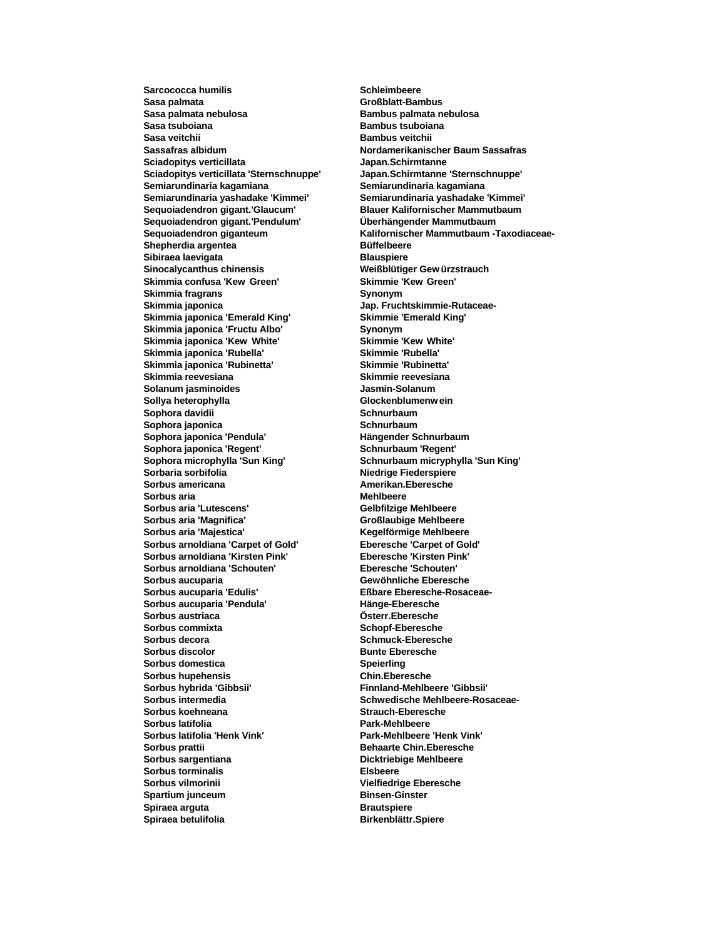**Sarcococca humilis Schleimbeere Sasa palmata Großblatt-Bambus Sasa palmata nebulosa Bambus palmata nebulosa Sasa tsuboiana Bambus tsuboiana Sasa veitchii Bambus veitchii Bambus veitchii Sassafras albidum Nordamerikanischer Baum Sassafras Sciadopitys verticillata Japan.Schirmtanne Sciadopitys verticillata 'Sternschnuppe' Japan.Schirmtanne 'Sternschnuppe' Semiarundinaria kagamiana Semiarundinaria kagamiana Semiarundinaria yashadake 'Kimmei' Semiarundinaria yashadake 'Kimmei' Sequoiadendron gigant.'Glaucum' Blauer Kalifornischer Mammutbaum Sequoiadendron gigant.'Pendulum' Überhängender Mammutbaum Shepherdia argentea Büffelbeere Sibiraea laevigata Blauspiere Sinocalycanthus chinensis Weißblütiger Gew ürzstrauch Skimmia confusa 'Kew Green' Skimmie 'Kew Green' Skimmia fragrans Synonym Skimmia japonica Jap. Fruchtskimmie-Rutaceae-Skimmia japonica 'Emerald King' Skimmie 'Emerald King' Skimmia japonica 'Fructu Albo' Synonym Skimmia japonica 'Kew White' Skimmie 'Kew White' Skimmia japonica 'Rubella' Skimmie 'Rubella' Skimmia japonica 'Rubinetta' Skimmie 'Rubinetta' Skimmia reevesiana Skimmie reevesiana Solanum jasminoides Jasmin-Solanum Sollya heterophylla Glockenblumenw ein Sophora davidii Schnurbaum Sophora japonica Schnurbaum Sophora japonica 'Pendula' Hängender Schnurbaum Sophora japonica 'Regent' Sophora microphylla 'Sun King' Schnurbaum micryphylla 'Sun King' Sorbaria sorbifolia Niedrige Fiederspiere Sorbus americana Amerikan.Eberesche Sorbus aria Mehlbeere Sorbus aria 'Lutescens' Gelbfilzige Mehlbeere Sorbus aria 'Magnifica' Großlaubige Mehlbeere** Sorbus aria 'Majestica' **Kegelförmige Mehlbeere Sorbus arnoldiana 'Carpet of Gold' Eberesche 'Carpet of Gold' Sorbus arnoldiana 'Kirsten Pink' Eberesche 'Kirsten Pink'**  $Sorbus$  arnoldiana 'Schouten' **Sorbus aucuparia Gewöhnliche Eberesche Sorbus aucuparia 'Edulis' Eßbare Eberesche-Rosaceae-Sorbus aucuparia 'Pendula' Hänge-Eberesche Sorbus austriaca Österr.Eberesche Sorbus commixta Schopf-Eberesche Sorbus decora Schmuck-Eberesche Sorbus discolor Bunte Eberesche Sorbus domestica Speierling Sorbus hupehensis Chin.Eberesche Sorbus hybrida 'Gibbsii' Finnland-Mehlbeere 'Gibbsii' Sorbus intermedia Schwedische Mehlbeere-Rosaceae-Sorbus koehneana Strauch-Eberesche Sorbus latifolia Park-Mehlbeere Sorbus latifolia 'Henk Vink' Park-Mehlbeere 'Henk Vink' Sorbus prattii Behaarte Chin.Eberesche Sorbus sargentiana Dicktriebige Mehlbeere Sorbus torminalis Elsbeere Sorbus vilmorinii Vielfiedrige Eberesche Spartium junceum Binsen-Ginster Spiraea arguta Brautspiere Spiraea betulifolia Birkenblättr.Spiere**

**Sequoiadendron giganteum Kalifornischer Mammutbaum -Taxodiaceae-**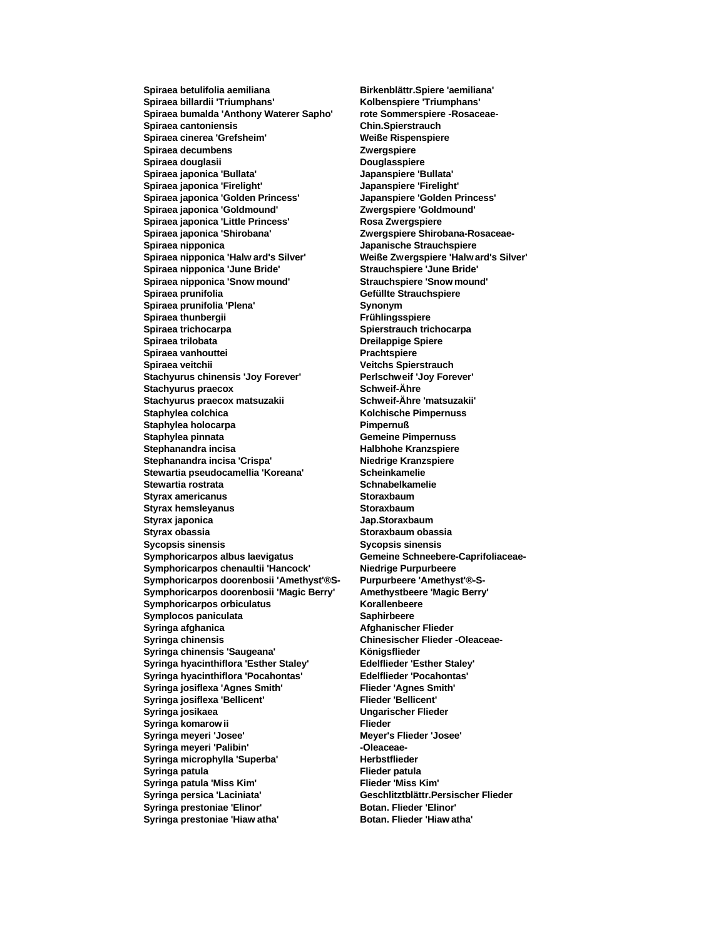**Spiraea betulifolia aemiliana Birkenblättr.Spiere 'aemiliana' Spiraea billardii 'Triumphans' Kolbenspiere 'Triumphans' Spiraea bumalda 'Anthony Waterer Sapho' rote Sommerspiere -Rosaceae-Spiraea cantoniensis Chin.Spierstrauch Spiraea cinerea 'Grefsheim' Weiße Rispenspiere Spiraea decumbens Zwergspiere Spiraea douglasii Douglasspiere Spiraea japonica 'Bullata' Japanspiere 'Bullata' Spiraea japonica 'Firelight' Japanspiere 'Firelight' Spiraea japonica 'Golden Princess' Japanspiere 'Golden Princess' Spiraea japonica 'Goldmound' Zwergspiere 'Goldmound' Spiraea japonica 'Little Princess' Rosa Zwergspiere Spiraea japonica 'Shirobana' Zwergspiere Shirobana-Rosaceae-Spiraea nipponica Japanische Strauchspiere Spiraea nipponica 'June Bride' Strauchspiere 'June Bride' Spiraea nipponica 'Snow mound' Strauchspiere 'Snow mound' Spiraea prunifolia Gefüllte Strauchspiere Spiraea prunifolia 'Plena' Synonym Spiraea thunbergii Frühlingsspiere Spiraea trichocarpa Spierstrauch trichocarpa Spiraea trilobata Dreilappige Spiere Spiraea vanhouttei Prachtspiere Spiraea veitchii Veitchs Spierstrauch Stachyurus chinensis 'Joy Forever' Perlschweif 'Joy Forever' Stachyurus praecox Schweif-Ähre Stachyurus praecox matsuzakii Schweif-Ähre 'matsuzakii' Staphylea colchica Kolchische Pimpernuss Staphylea holocarpa Pimpernuß Staphylea pinnata Gemeine Pimpernuss Stephanandra incisa 'Crispa' Niedrige Kranzspiere Stewartia pseudocamellia 'Koreana' Scheinkamelie Stewartia rostrata Schnabelkamelie Styrax americanus Storaxbaum Styrax hemsleyanus Storaxbaum Styrax japonica Jap.Storaxbaum Styrax obassia Storaxbaum obassia Sycopsis sinensis Sycopsis sinensis Symphoricarpos chenaultii 'Hancock' Niedrige Purpurbeere Symphoricarpos doorenbosii 'Amethyst'®S- Purpurbeere 'Amethyst'®-S-Symphoricarpos doorenbosii 'Magic Berry' Amethystbeere 'Magic Berry' Symphoricarpos orbiculatus Korallenbeere Symplocos paniculata Saphirbeere Syringa afghanica Afghanischer Flieder**<br> **Afghanischer Flieder**<br> **Afghanischer Flieder** Syringa chinensis 'Saugeana' **Königsflieder Syringa hyacinthiflora 'Esther Staley' Edelflieder 'Esther Staley' Syringa hyacinthiflora 'Pocahontas' Edelflieder 'Pocahontas' Syringa josiflexa 'Agnes Smith' Flieder 'Agnes Smith' Syringa josiflexa 'Bellicent' Flieder 'Bellicent' Syringa josikaea Ungarischer Flieder Syringa komarow ii Flieder Syringa meyeri 'Josee' Meyer's Flieder 'Josee'** Syringa meyeri 'Palibin' **And Constructs** -Oleaceae-Syringa microphylla 'Superba' **Herbstflieder Syringa patula Flieder patula Syringa patula 'Miss Kim' Syringa persica 'Laciniata' Geschlitztblättr.Persischer Flieder** Syringa prestoniae 'Elinor' **Botan. Flieder 'Elinor' Syringa prestoniae 'Hiaw atha' Botan. Flieder 'Hiaw atha'**

**Spiraea nipponica 'Halw ard's Silver' Weiße Zwergspiere 'Halw ard's Silver' Stephanandra incisa Halbhohe Kranzspiere Symphoricarpos albus laevigatus Gemeine Schneebere-Caprifoliaceae-Syringa chinensis Chinesischer Flieder -Oleaceae-**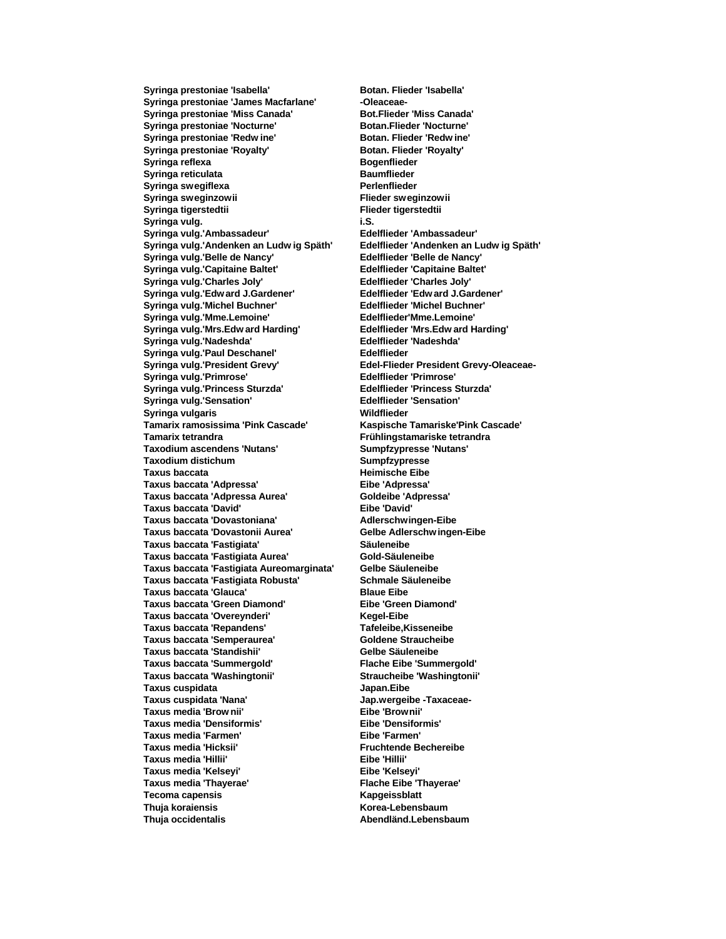Syringa prestoniae 'James Macfarlane' **-Oleaceae-Syringa prestoniae 'Miss Canada' Bot.Flieder 'Miss Canada' Syringa prestoniae 'Nocturne' Botan.Flieder 'Nocturne' Syringa prestoniae 'Redw ine' Botan. Flieder 'Redw ine' Syringa prestoniae 'Royalty' Syringa reflexa Bogenflieder Syringa reticulata Baumflieder Syringa swegiflexa Perlenflieder Syringa sweginzowii Flieder sweginzowii Syringa tigerstedtii Flieder tigerstedtii Syringa vulg. i.S. Syringa vulg.'Ambassadeur' Edelflieder 'Ambassadeur' Syringa vulg.'Andenken an Ludw ig Späth' Edelflieder 'Andenken an Ludw ig Späth'**  $Syr$ inga vulg.'Belle de Nancy' **Syringa vulg.'Capitaine Baltet' Edelflieder 'Capitaine Baltet' Syringa vulg.'Charles Joly' Edelflieder 'Charles Joly' Syringa vulg.'Edw ard J.Gardener' Syringa vulg.'Michel Buchner' Edelflieder 'Michel Buchner' Syringa vulg.'Mme.Lemoine' Edelflieder'Mme.Lemoine' Syringa vulg.'Mrs.Edw ard Harding' Edelflieder 'Mrs.Edw ard Harding' Syringa vulg.'Nadeshda' Edelflieder 'Nadeshda' Syringa vulg.'Paul Deschanel' Edelflieder Syringa vulg.'Primrose' Edelflieder 'Primrose' Syringa vulg.'Princess Sturzda' Edelflieder 'Princess Sturzda' Syringa vulg.'Sensation' Edelflieder 'Sensation' Syringa vulgaris Wildflieder Tamarix ramosissima 'Pink Cascade' Kaspische Tamariske'Pink Cascade' Tamarix tetrandra Frühlingstamariske tetrandra Taxodium ascendens 'Nutans' Taxodium distichum Sumpfzypresse Taxus baccata Heimische Eibe Taxus baccata 'Adpressa' Eibe 'Adpressa' Taxus baccata 'Adpressa Aurea' Goldeibe 'Adpressa' Taxus baccata 'David' Taxus baccata 'Dovastoniana' Adlerschwingen-Eibe Taxus baccata 'Dovastonii Aurea' Gelbe Adlerschw ingen-Eibe Taxus baccata 'Fastigiata' Säuleneibe Taxus baccata 'Fastigiata Aurea' Gold-Säuleneibe Taxus baccata 'Fastigiata Aureomarginata' Taxus baccata 'Fastigiata Robusta' Schmale Säuleneibe Taxus baccata 'Glauca' Blaue Eibe Taxus baccata 'Green Diamond' Eibe 'Green Diamond' Taxus baccata 'Overeynderi' Kegel-Eibe Taxus baccata 'Repandens' Tafeleibe,Kisseneibe Taxus baccata 'Semperaurea' Taxus baccata 'Standishii' Gelbe Säuleneibe Taxus baccata 'Summergold' Flache Eibe 'Summergold' Taxus baccata 'Washingtonii' Straucheibe 'Washingtonii' Taxus cuspidata Japan.Eibe Taxus cuspidata 'Nana' Jap.wergeibe -Taxaceae-Taxus media 'Brow nii' Eibe 'Brownii' Taxus media 'Densiformis' Eibe 'Densiformis' Taxus media 'Farmen' Eibe 'Farmen' Taxus media 'Hicksii' Fruchtende Bechereibe Taxus media 'Hillii' Eibe 'Hillii' Taxus media 'Kelseyi' Eibe 'Kelseyi' Taxus media 'Thayerae' Flache Eibe 'Thayerae' Tecoma capensis Kapgeissblatt Thuja koraiensis Korea-Lebensbaum Thuja occidentalis Abendländ.Lebensbaum**

**Syringa prestoniae 'Isabella' Botan. Flieder 'Isabella' Syringa vulg.'President Grevy' Edel-Flieder President Grevy-Oleaceae-**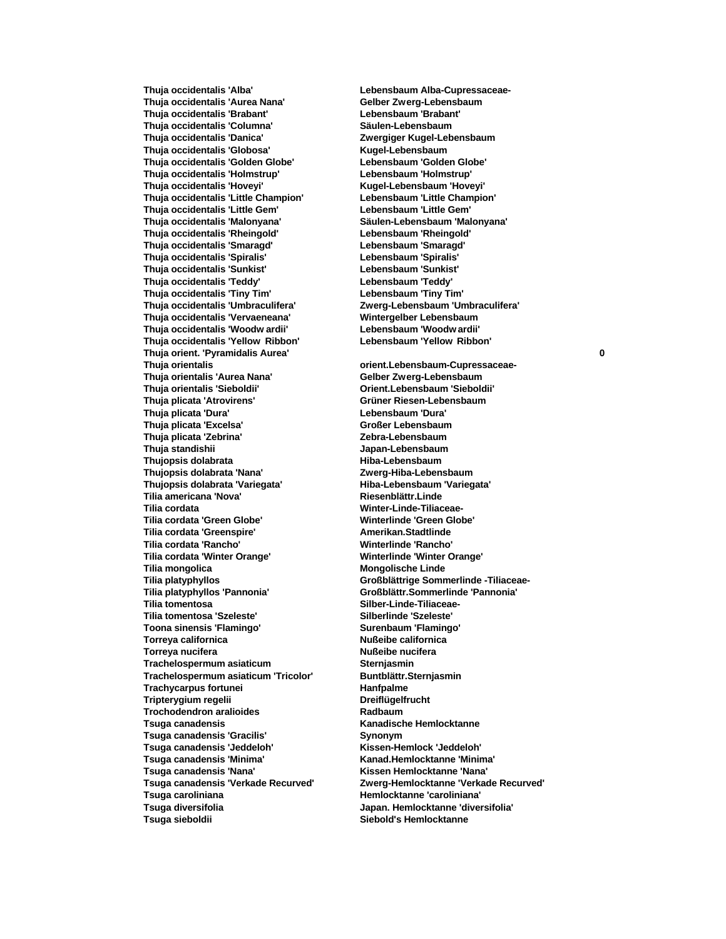**Thuja occidentalis 'Aurea Nana' Gelber Zwerg-Lebensbaum Thuja occidentalis 'Brabant' Lebensbaum 'Brabant' Thuja occidentalis 'Columna' Säulen-Lebensbaum Thuja occidentalis 'Danica' Zwergiger Kugel-Lebensbaum Thuja occidentalis 'Globosa' Kugel-Lebensbaum Thuja occidentalis 'Golden Globe' Lebensbaum 'Golden Globe' Thuja occidentalis 'Holmstrup' Lebensbaum 'Holmstrup' Thuja occidentalis 'Hoveyi' Kugel-Lebensbaum 'Hoveyi' Thuja occidentalis 'Little Champion' Lebensbaum 'Little Champion' Thuja occidentalis 'Little Gem' Lebensbaum 'Little Gem' Thuja occidentalis 'Malonyana' Säulen-Lebensbaum 'Malonyana' Thuja occidentalis 'Rheingold' Lebensbaum 'Rheingold' Thuja occidentalis 'Smaragd' Lebensbaum 'Smaragd' Thuja occidentalis 'Spiralis' Lebensbaum 'Spiralis' Thuja occidentalis 'Sunkist' Lebensbaum 'Sunkist' Thuja occidentalis 'Teddy' Lebensbaum 'Teddy' Thuja occidentalis 'Tiny Tim' Lebensbaum 'Tiny Tim' Thuja occidentalis 'Umbraculifera' Zwerg-Lebensbaum 'Umbraculifera' Thuja occidentalis 'Vervaeneana' Wintergelber Lebensbaum Thuja occidentalis 'Woodw ardii' Lebensbaum 'Woodw ardii' Thuja occidentalis 'Yellow Ribbon' Lebensbaum 'Yellow Ribbon' Thuja orient. 'Pyramidalis Aurea' 0 Thuja orientalis orient.Lebensbaum-Cupressaceae-Thuja orientalis 'Aurea Nana' Thuja orientalis 'Sieboldii' Orient.Lebensbaum 'Sieboldii' Thuja plicata 'Atrovirens' Grüner Riesen-Lebensbaum Thuja plicata 'Dura' Lebensbaum 'Dura' Thuja plicata 'Excelsa' Großer Lebensbaum Thuja plicata 'Zebrina' Zebra-Lebensbaum Thujopsis dolabrata Hiba-Lebensbaum Thujopsis dolabrata 'Nana' Zwerg-Hiba-Lebensbaum Thujopsis dolabrata 'Variegata' Hiba-Lebensbaum 'Variegata' Tilia americana 'Nova' Riesenblättr.Linde Tilia cordata 'Green Globe' Winterlinde 'Green Globe' Tilia cordata 'Greenspire' Amerikan.Stadtlinde Tilia cordata 'Rancho' Winterlinde 'Rancho' Tilia cordata 'Winter Orange' Tilia mongolica Mongolische Linde Tilia platyphyllos Großblättrige Sommerlinde -Tiliaceae-Tilia tomentosa Silber-Linde-Tiliaceae-Tilia tomentosa 'Szeleste' Silberlinde 'Szeleste' Toona sinensis 'Flamingo' Surenbaum 'Flamingo' Torreya californica Nußeibe californica Torreya nucifera Nußeibe nucifera Trachelospermum asiaticum Sternjasmin Trachelospermum asiaticum 'Tricolor' Buntblättr.Sternjasmin Trachycarpus fortunei Hanfpalme Tripterygium regelii Dreiflügelfrucht Trochodendron aralioides Radbaum Tsuga canadensis Kanadische Hemlocktanne Tsuga canadensis 'Gracilis' Synonym Tsuga canadensis 'Jeddeloh' Kissen-Hemlock 'Jeddeloh' Tsuga canadensis 'Minima' Kanad.Hemlocktanne 'Minima' Tsuga canadensis 'Nana' Kissen Hemlocktanne 'Nana' Tsuga caroliniana Hemlocktanne 'caroliniana' Tsuga diversifolia Japan. Hemlocktanne 'diversifolia' Tsuga sieboldii Siebold's Hemlocktanne**

**Thuja occidentalis 'Alba' Lebensbaum Alba-Cupressaceae-**

**Thuja standishii Japan-Lebensbaum Tilia cordata Winter-Linde-Tiliaceae-Tilia platyphyllos 'Pannonia' Großblättr.Sommerlinde 'Pannonia' Tsuga canadensis 'Verkade Recurved' Zwerg-Hemlocktanne 'Verkade Recurved'**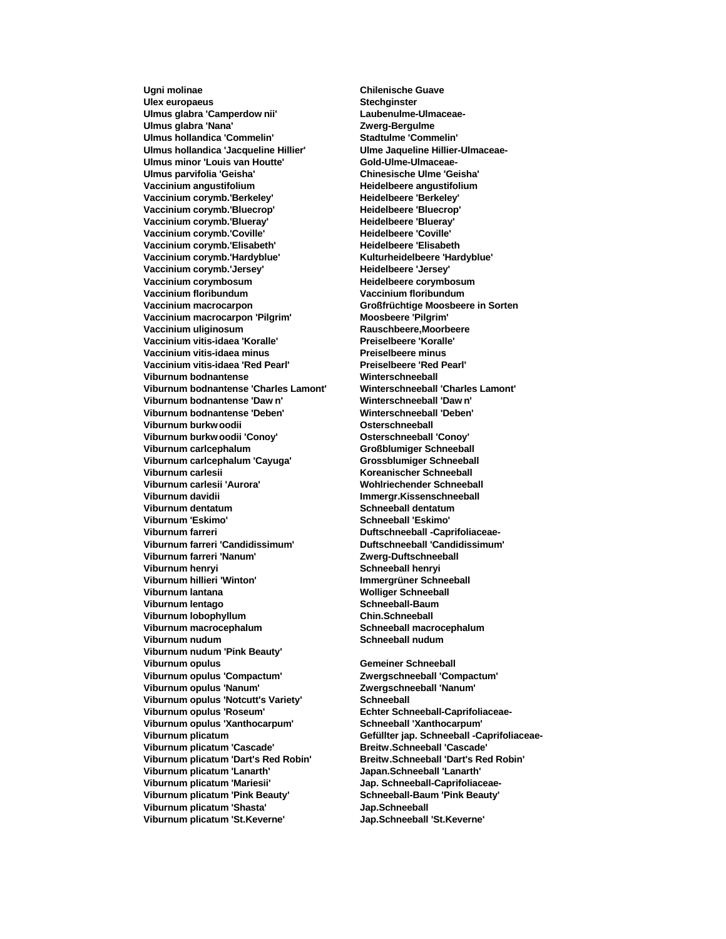**Ugni molinae Chilenische Guave Ulex europaeus Stechginster Ulmus glabra 'Camperdow nii' Laubenulme-Ulmaceae-**Ulmus glabra 'Nana' **Xana Zwerg-Bergulme Ulmus hollandica 'Commelin' Stadtulme 'Commelin' Ulmus hollandica 'Jacqueline Hillier'** Ulmus minor 'Louis van Houtte' Gold-Ulme-Ulmaceae-**Ulmus parvifolia 'Geisha' Chinesische Ulme 'Geisha' Vaccinium angustifolium Heidelbeere angustifolium** Vaccinium corymb.'Berkeley' **Heidelbeere 'Berkeley' Vaccinium corymb.'Bluecrop' Heidelbeere 'Bluecrop' Vaccinium corymb.'Blueray' Heidelbeere 'Blueray' Vaccinium corymb.'Coville' Vaccinium corymb.'Elisabeth' Heidelbeere 'Elisabeth Vaccinium corymb.'Hardyblue' Vaccinium corymb.'Jersey' Heidelbeere 'Jersey' Vaccinium corymbosum Heidelbeere corymbosum Vaccinium floribundum Vaccinium floribundum Vaccinium macrocarpon Großfrüchtige Moosbeere in Sorten Vaccinium macrocarpon 'Pilgrim' Moosbeere 'Pilgrim' Vaccinium uliginosum Rauschbeere,Moorbeere Vaccinium vitis-idaea 'Koralle' Preiselbeere 'Koralle' Vaccinium vitis-idaea minus Preiselbeere minus Vaccinium vitis-idaea 'Red Pearl' Preiselbeere 'Red Pearl' Viburnum bodnantense Winterschneeball Viburnum bodnantense 'Charles Lamont' Winterschneeball 'Charles Lamont' Viburnum bodnantense 'Daw n' Winterschneeball 'Daw n' Viburnum bodnantense 'Deben' Winterschneeball 'Deben' Viburnum burkw oodii Osterschneeball Viburnum burkw oodii 'Conoy'**<br>Viburnum carlcephalum **Viburnum carlcephalum 'Cayuga' Grossblumiger Schneeball Viburnum carlesii Koreanischer Schneeball Viburnum carlesii 'Aurora' Wohlriechender Schneeball Viburnum davidii Immergr.Kissenschneeball Viburnum 'Eskimo' Schneeball 'Eskimo' Viburnum farreri Duftschneeball -Caprifoliaceae-Viburnum farreri 'Candidissimum' Duftschneeball 'Candidissimum' Viburnum farreri 'Nanum' Viburnum henryi Schneeball henryi Viburnum lantana Wolliger Schneeball Viburnum lentago Schneeball-Baum Viburnum lobophyllum Chin.Schneeball Viburnum macrocephalum Schneeball macrocephalum Viburnum nudum Schneeball nudum Viburnum nudum 'Pink Beauty' Viburnum opulus Gemeiner Schneeball Viburnum opulus 'Compactum' Zwergschneeball 'Compactum' Viburnum opulus 'Nanum' Zwergschneeball 'Nanum' Viburnum opulus 'Notcutt's Variety' Schneeball Viburnum opulus 'Roseum' Echter Schneeball-Caprifoliaceae-Viburnum opulus 'Xanthocarpum' Schneeball 'Xanthocarpum' Viburnum plicatum Gefüllter jap. Schneeball -Caprifoliaceae-Viburnum plicatum 'Cascade' Breitw.Schneeball 'Cascade' Viburnum plicatum 'Dart's Red Robin' Breitw.Schneeball 'Dart's Red Robin' Viburnum plicatum 'Lanarth' Japan.Schneeball 'Lanarth' Viburnum plicatum 'Mariesii' Jap. Schneeball-Caprifoliaceae-Viburnum plicatum 'Pink Beauty' Schneeball-Baum 'Pink Beauty' Viburnum plicatum 'Shasta' Jap.Schneeball Viburnum plicatum 'St.Keverne' Jap.Schneeball 'St.Keverne'**

**Viburnum carlcephalum Großblumiger Schneeball Schneeball dentatum Immergrüner Schneeball**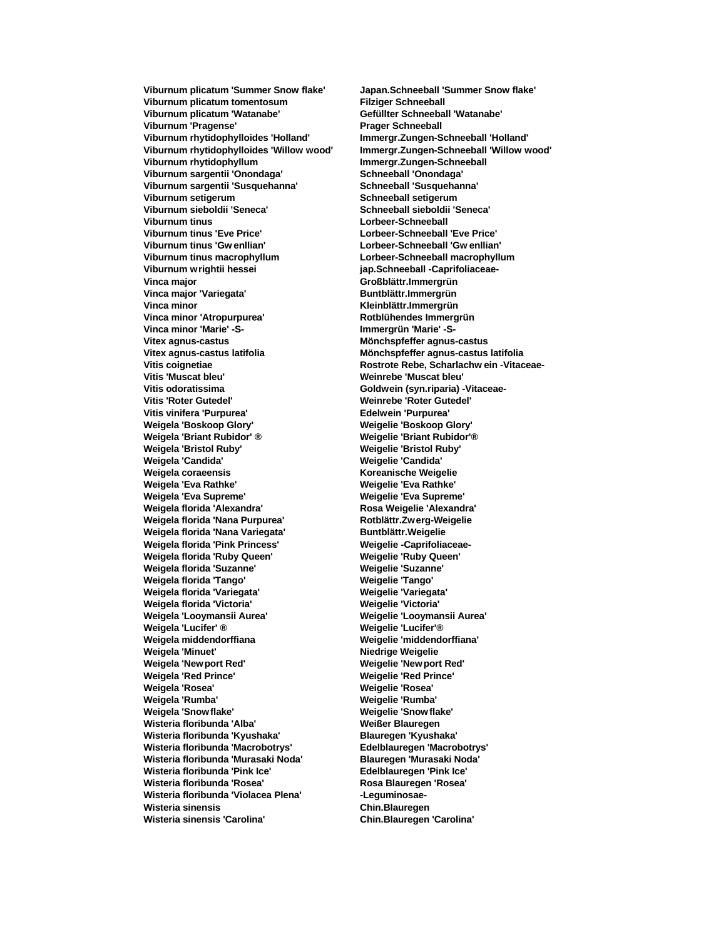**Viburnum plicatum 'Summer Snow flake' Japan.Schneeball 'Summer Snow flake' Viburnum plicatum tomentosum Filziger Schneeball Viburnum plicatum 'Watanabe' Gefüllter Schneeball 'Watanabe'** Viburnum 'Pragense' **Prager Schneeball Viburnum rhytidophylloides 'Holland' Immergr.Zungen-Schneeball 'Holland' Viburnum rhytidophyllum Immergr.Zungen-Schneeball Viburnum sargentii 'Onondaga' Schneeball 'Onondaga' Viburnum sargentii 'Susquehanna' Schneeball 'Susquehanna' Viburnum setigerum Schneeball setigerum Viburnum sieboldii 'Seneca' Schneeball sieboldii 'Seneca' Viburnum tinus Lorbeer-Schneeball Viburnum tinus 'Eve Price' Lorbeer-Schneeball 'Eve Price' Viburnum tinus 'Gw enllian' Lorbeer-Schneeball 'Gw enllian' Viburnum wrightii hessei jap.Schneeball -Caprifoliaceae-Vinca major Großblättr.Immergrün** Vinca major 'Variegata' **Buntblättr.Immergrün Vinca minor Kleinblättr.Immergrün Vinca minor 'Atropurpurea' Rotblühendes Immergrün Vinca minor 'Marie' -S- Immergrün 'Marie' -S-Vitex agnus-castus Mönchspfeffer agnus-castus Vitex agnus-castus latifolia Mönchspfeffer agnus-castus latifolia Vitis 'Muscat bleu' Weinrebe 'Muscat bleu' Vitis odoratissima Goldwein (syn.riparia) -Vitaceae-Vitis 'Roter Gutedel' Weinrebe 'Roter Gutedel' Vitis vinifera 'Purpurea' Edelwein 'Purpurea' Weigela 'Boskoop Glory' Weigelie 'Boskoop Glory'** Weigela 'Briant Rubidor' <sup>®</sup><br>Weigela 'Bristol Ruby' **Weigela 'Candida' Weigelie 'Candida' Weigela coraeensis Koreanische Weigelie Weigela 'Eva Rathke' Weigelie 'Eva Rathke' Weigela 'Eva Supreme' Weigelie 'Eva Supreme' Weigela florida 'Alexandra' Rosa Weigelie 'Alexandra' Weigela florida 'Nana Purpurea' Rotblättr.Zwerg-Weigelie** Weigela florida 'Nana Variegata' **Buntblättr.Weigelie Weigela florida 'Pink Princess' Weigelie -Caprifoliaceae-Weigela florida 'Ruby Queen' Weigelie 'Ruby Queen' Weigela florida 'Suzanne' Weigelie 'Suzanne' Weigela florida 'Tango' Weigelie 'Tango' Weigela florida 'Variegata' Weigelie 'Variegata' Weigela florida 'Victoria' Weigelie 'Victoria' Weigela 'Looymansii Aurea' Weigelie 'Looymansii Aurea' Weigela 'Lucifer' ® Weigelie 'Lucifer'® Weigela middendorffiana Weigelie 'middendorffiana' Weigela 'Minuet' Niedrige Weigelie Weigela 'Newport Red' Weigelie 'New port Red' Weigela 'Red Prince' Weigelie 'Red Prince' Weigela 'Rosea' Weigelie 'Rosea' Weigela 'Snow flake' Weigelie 'Snow flake' Wisteria floribunda 'Alba' Wisteria floribunda 'Kyushaka' Blauregen 'Kyushaka' Wisteria floribunda 'Macrobotrys' Wisteria floribunda 'Murasaki Noda' Blauregen 'Murasaki Noda' Wisteria floribunda 'Pink Ice' Edelblauregen 'Pink Ice' Wisteria floribunda 'Rosea' Wisteria floribunda 'Violacea Plena' -Leguminosae-Wisteria sinensis Chin.Blauregen Wisteria sinensis 'Carolina' Chin.Blauregen 'Carolina'**

**Viburnum rhytidophylloides 'Willow wood' Immergr.Zungen-Schneeball 'Willow wood' Viburnum tinus macrophyllum Lorbeer-Schneeball macrophyllum Vitis coignetiae Rostrote Rebe, Scharlachw ein -Vitaceae-Weigela 'Bristol Ruby' Weigelie 'Bristol Ruby' Weigela 'Rumba' Weigelie 'Rumba'**